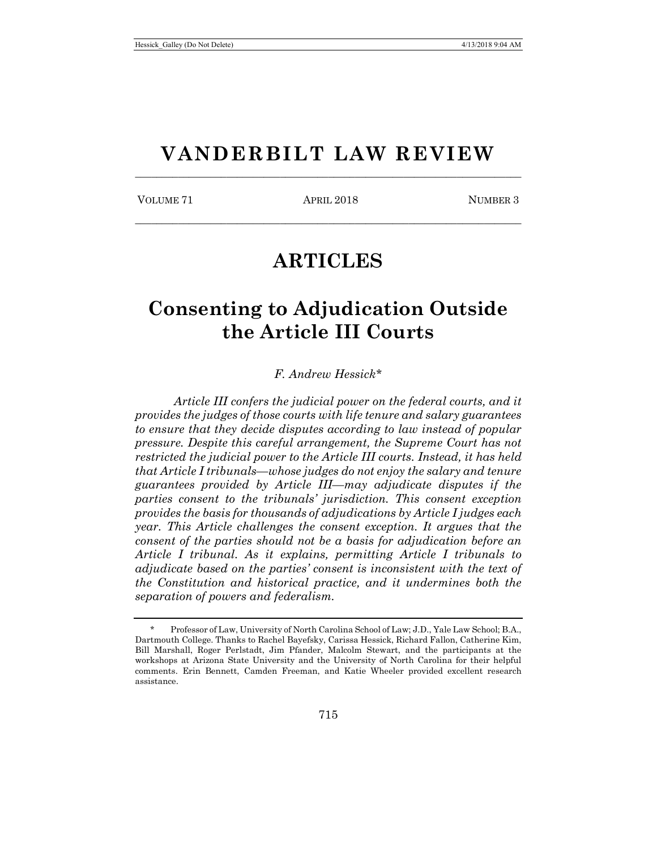# **VANDERBILT LAW REVIEW** \_\_\_\_\_\_\_\_\_\_\_\_\_\_\_\_\_\_\_\_\_\_\_\_\_\_\_\_\_\_\_\_\_\_\_\_\_\_\_\_\_\_\_\_\_\_\_\_\_\_\_\_\_\_\_\_\_\_\_\_\_\_\_\_\_\_\_\_\_\_\_\_

VOLUME 71 APRIL 2018 NUMBER 3

\_\_\_\_\_\_\_\_\_\_\_\_\_\_\_\_\_\_\_\_\_\_\_\_\_\_\_\_\_\_\_\_\_\_\_\_\_\_\_\_\_\_\_\_\_\_\_\_\_\_\_\_\_\_\_\_\_\_\_\_\_\_\_\_\_\_\_\_\_\_\_\_

# **ARTICLES**

# **Consenting to Adjudication Outside the Article III Courts**

*F. Andrew Hessick*[\\*](#page-0-0)

*Article III confers the judicial power on the federal courts, and it provides the judges of those courts with life tenure and salary guarantees to ensure that they decide disputes according to law instead of popular pressure. Despite this careful arrangement, the Supreme Court has not restricted the judicial power to the Article III courts. Instead, it has held that Article I tribunals—whose judges do not enjoy the salary and tenure guarantees provided by Article III—may adjudicate disputes if the parties consent to the tribunals' jurisdiction. This consent exception provides the basis for thousands of adjudications by Article I judges each year. This Article challenges the consent exception. It argues that the consent of the parties should not be a basis for adjudication before an Article I tribunal. As it explains, permitting Article I tribunals to adjudicate based on the parties' consent is inconsistent with the text of the Constitution and historical practice, and it undermines both the separation of powers and federalism.*

<span id="page-0-0"></span><sup>\*</sup> Professor of Law, University of North Carolina School of Law; J.D., Yale Law School; B.A., Dartmouth College. Thanks to Rachel Bayefsky, Carissa Hessick, Richard Fallon, Catherine Kim, Bill Marshall, Roger Perlstadt, Jim Pfander, Malcolm Stewart, and the participants at the workshops at Arizona State University and the University of North Carolina for their helpful comments. Erin Bennett, Camden Freeman, and Katie Wheeler provided excellent research assistance.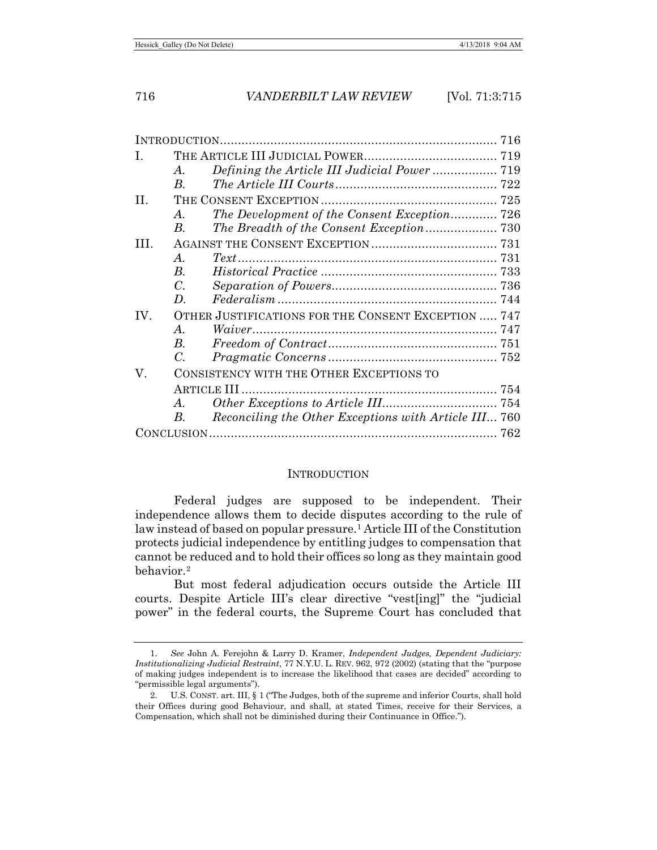| $\mathbf{I}$ . |                                                     |                                                       |  |
|----------------|-----------------------------------------------------|-------------------------------------------------------|--|
|                | A.                                                  |                                                       |  |
|                | $B_{\cdot}$                                         |                                                       |  |
| II.            |                                                     |                                                       |  |
|                | $\bm{A}$ .                                          | The Development of the Consent Exception 726          |  |
|                | В.                                                  |                                                       |  |
| TH.            |                                                     |                                                       |  |
|                | $\mathcal{A}_{\cdot}$                               | $Text \dots 731$                                      |  |
|                | <i>B</i> .                                          |                                                       |  |
|                | $C_{\cdot}$                                         |                                                       |  |
|                | D.                                                  |                                                       |  |
| IV.            | OTHER JUSTIFICATIONS FOR THE CONSENT EXCEPTION  747 |                                                       |  |
|                | $\bm{A}$ .                                          |                                                       |  |
|                | $B_{-}$                                             | $Freedom of Contract \dots 751$                       |  |
|                | C.                                                  |                                                       |  |
| V.             | CONSISTENCY WITH THE OTHER EXCEPTIONS TO            |                                                       |  |
|                |                                                     |                                                       |  |
|                | $A_{-}$                                             |                                                       |  |
|                | B.                                                  | Reconciling the Other Exceptions with Article III 760 |  |
|                |                                                     |                                                       |  |
|                |                                                     |                                                       |  |

#### **INTRODUCTION**

Federal judges are supposed to be independent. Their independence allows them to decide disputes according to the rule of law instead of based on popular pressure.[1](#page-1-0) Article III of the Constitution protects judicial independence by entitling judges to compensation that cannot be reduced and to hold their offices so long as they maintain good behavior.[2](#page-1-1)

But most federal adjudication occurs outside the Article III courts. Despite Article III's clear directive "vest[ing]" the "judicial power" in the federal courts, the Supreme Court has concluded that

<span id="page-1-0"></span><sup>1.</sup> *See* John A. Ferejohn & Larry D. Kramer, *Independent Judges, Dependent Judiciary: Institutionalizing Judicial Restraint*, 77 N.Y.U. L. REV. 962, 972 (2002) (stating that the "purpose of making judges independent is to increase the likelihood that cases are decided" according to "permissible legal arguments").

<span id="page-1-1"></span><sup>2.</sup> U.S. CONST. art. III, § 1 ("The Judges, both of the supreme and inferior Courts, shall hold their Offices during good Behaviour, and shall, at stated Times, receive for their Services, a Compensation, which shall not be diminished during their Continuance in Office.").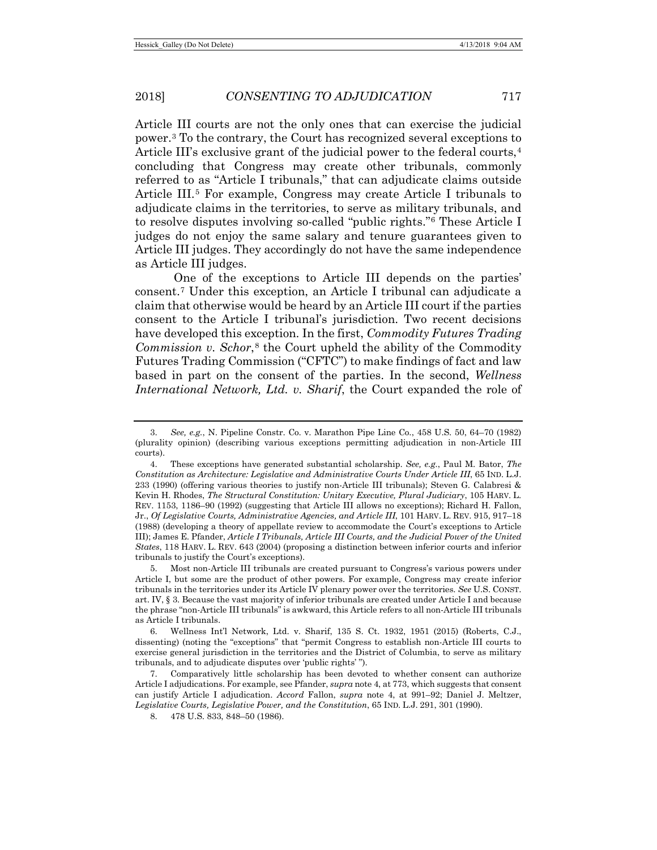<span id="page-2-0"></span>Article III courts are not the only ones that can exercise the judicial power.[3](#page-2-1) To the contrary, the Court has recognized several exceptions to Article III's exclusive grant of the judicial power to the federal courts.<sup>[4](#page-2-2)</sup> concluding that Congress may create other tribunals, commonly referred to as "Article I tribunals," that can adjudicate claims outside Article III.[5](#page-2-3) For example, Congress may create Article I tribunals to adjudicate claims in the territories, to serve as military tribunals, and to resolve disputes involving so-called "public rights."[6](#page-2-4) These Article I judges do not enjoy the same salary and tenure guarantees given to Article III judges. They accordingly do not have the same independence as Article III judges.

<span id="page-2-7"></span>One of the exceptions to Article III depends on the parties' consent.[7](#page-2-5) Under this exception, an Article I tribunal can adjudicate a claim that otherwise would be heard by an Article III court if the parties consent to the Article I tribunal's jurisdiction. Two recent decisions have developed this exception. In the first, *Commodity Futures Trading Commission v. Schor*,<sup>[8](#page-2-6)</sup> the Court upheld the ability of the Commodity Futures Trading Commission ("CFTC") to make findings of fact and law based in part on the consent of the parties. In the second, *Wellness International Network, Ltd. v. Sharif*, the Court expanded the role of

8. 478 U.S. 833, 848–50 (1986).

<span id="page-2-1"></span><sup>3.</sup> *See, e.g.*, N. Pipeline Constr. Co. v. Marathon Pipe Line Co., 458 U.S. 50, 64–70 (1982) (plurality opinion) (describing various exceptions permitting adjudication in non-Article III courts).

<span id="page-2-2"></span><sup>4.</sup> These exceptions have generated substantial scholarship. *See, e.g.*, Paul M. Bator, *The Constitution as Architecture: Legislative and Administrative Courts Under Article III*, 65 IND. L.J. 233 (1990) (offering various theories to justify non-Article III tribunals); Steven G. Calabresi & Kevin H. Rhodes, *The Structural Constitution: Unitary Executive, Plural Judiciary*, 105 HARV. L. REV. 1153, 1186–90 (1992) (suggesting that Article III allows no exceptions); Richard H. Fallon, Jr., *Of Legislative Courts, Administrative Agencies, and Article III*, 101 HARV. L. REV. 915, 917–18 (1988) (developing a theory of appellate review to accommodate the Court's exceptions to Article III); James E. Pfander, *Article I Tribunals, Article III Courts, and the Judicial Power of the United States*, 118 HARV. L. REV. 643 (2004) (proposing a distinction between inferior courts and inferior tribunals to justify the Court's exceptions).

<span id="page-2-3"></span><sup>5.</sup> Most non-Article III tribunals are created pursuant to Congress's various powers under Article I, but some are the product of other powers. For example, Congress may create inferior tribunals in the territories under its Article IV plenary power over the territories. *See* U.S. CONST. art. IV, § 3. Because the vast majority of inferior tribunals are created under Article I and because the phrase "non-Article III tribunals" is awkward, this Article refers to all non-Article III tribunals as Article I tribunals.

<span id="page-2-4"></span><sup>6.</sup> Wellness Int'l Network, Ltd. v. Sharif, 135 S. Ct. 1932, 1951 (2015) (Roberts, C.J., dissenting) (noting the "exceptions" that "permit Congress to establish non-Article III courts to exercise general jurisdiction in the territories and the District of Columbia, to serve as military tribunals, and to adjudicate disputes over 'public rights' ").

<span id="page-2-6"></span><span id="page-2-5"></span><sup>7.</sup> Comparatively little scholarship has been devoted to whether consent can authorize Article I adjudications. For example, see Pfander, *supra* not[e 4,](#page-2-0) at 773, which suggests that consent can justify Article I adjudication. *Accord* Fallon, *supra* note [4,](#page-2-0) at 991–92; Daniel J. Meltzer, *Legislative Courts, Legislative Power, and the Constitution*, 65 IND. L.J. 291, 301 (1990).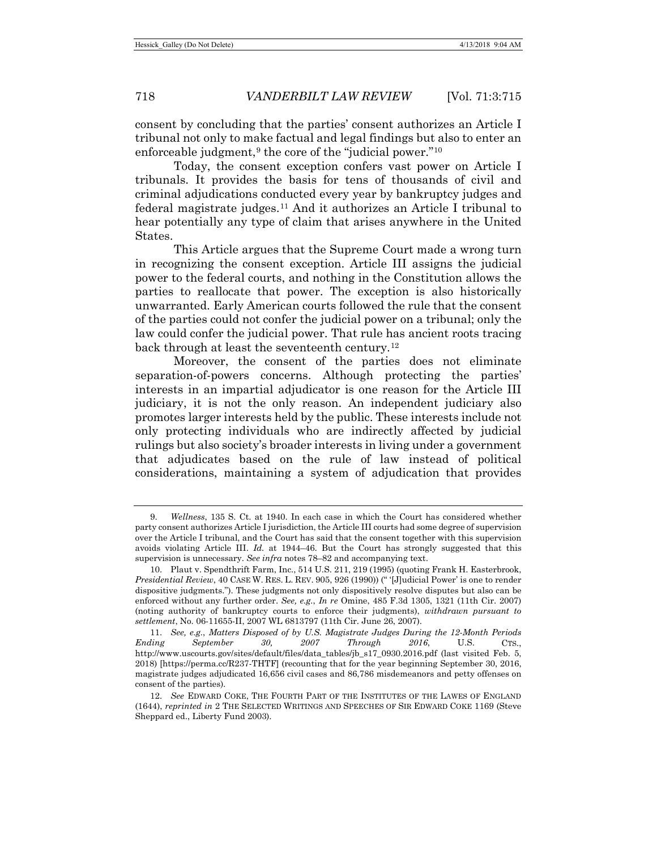consent by concluding that the parties' consent authorizes an Article I tribunal not only to make factual and legal findings but also to enter an enforceable judgment,<sup>[9](#page-3-0)</sup> the core of the "judicial power."<sup>[10](#page-3-1)</sup>

<span id="page-3-4"></span>Today, the consent exception confers vast power on Article I tribunals. It provides the basis for tens of thousands of civil and criminal adjudications conducted every year by bankruptcy judges and federal magistrate judges.[11](#page-3-2) And it authorizes an Article I tribunal to hear potentially any type of claim that arises anywhere in the United States.

This Article argues that the Supreme Court made a wrong turn in recognizing the consent exception. Article III assigns the judicial power to the federal courts, and nothing in the Constitution allows the parties to reallocate that power. The exception is also historically unwarranted. Early American courts followed the rule that the consent of the parties could not confer the judicial power on a tribunal; only the law could confer the judicial power. That rule has ancient roots tracing back through at least the seventeenth century.<sup>[12](#page-3-3)</sup>

<span id="page-3-5"></span>Moreover, the consent of the parties does not eliminate separation-of-powers concerns. Although protecting the parties' interests in an impartial adjudicator is one reason for the Article III judiciary, it is not the only reason. An independent judiciary also promotes larger interests held by the public. These interests include not only protecting individuals who are indirectly affected by judicial rulings but also society's broader interests in living under a government that adjudicates based on the rule of law instead of political considerations, maintaining a system of adjudication that provides

<span id="page-3-0"></span><sup>9.</sup> *Wellness*, 135 S. Ct. at 1940. In each case in which the Court has considered whether party consent authorizes Article I jurisdiction, the Article III courts had some degree of supervision over the Article I tribunal, and the Court has said that the consent together with this supervision avoids violating Article III. *Id.* at 1944–46. But the Court has strongly suggested that this supervision is unnecessary. *See infra* notes [78](#page-14-0)[–82](#page-14-1) and accompanying text.

<span id="page-3-1"></span><sup>10.</sup> Plaut v. Spendthrift Farm, Inc., 514 U.S. 211, 219 (1995) (quoting Frank H. Easterbrook, *Presidential Review*, 40 CASE W. RES. L. REV. 905, 926 (1990)) (" '[J]udicial Power' is one to render dispositive judgments."). These judgments not only dispositively resolve disputes but also can be enforced without any further order. *See, e.g.*, *In re* Omine, 485 F.3d 1305, 1321 (11th Cir. 2007) (noting authority of bankruptcy courts to enforce their judgments), *withdrawn pursuant to settlement*, No. 06-11655-II, 2007 WL 6813797 (11th Cir. June 26, 2007).

<span id="page-3-2"></span><sup>11.</sup> *See, e.g.*, *Matters Disposed of by U.S. Magistrate Judges During the 12-Month Periods Ending September 30, 2007 Through 2016*, U.S. CTS., http://www.uscourts.gov/sites/default/files/data\_tables/jb\_s17\_0930.2016.pdf (last visited Feb. 5, 2018) [https://perma.cc/R237-THTF] (recounting that for the year beginning September 30, 2016, magistrate judges adjudicated 16,656 civil cases and 86,786 misdemeanors and petty offenses on consent of the parties).

<span id="page-3-3"></span><sup>12.</sup> *See* EDWARD COKE, THE FOURTH PART OF THE INSTITUTES OF THE LAWES OF ENGLAND (1644), *reprinted in* 2 THE SELECTED WRITINGS AND SPEECHES OF SIR EDWARD COKE 1169 (Steve Sheppard ed., Liberty Fund 2003).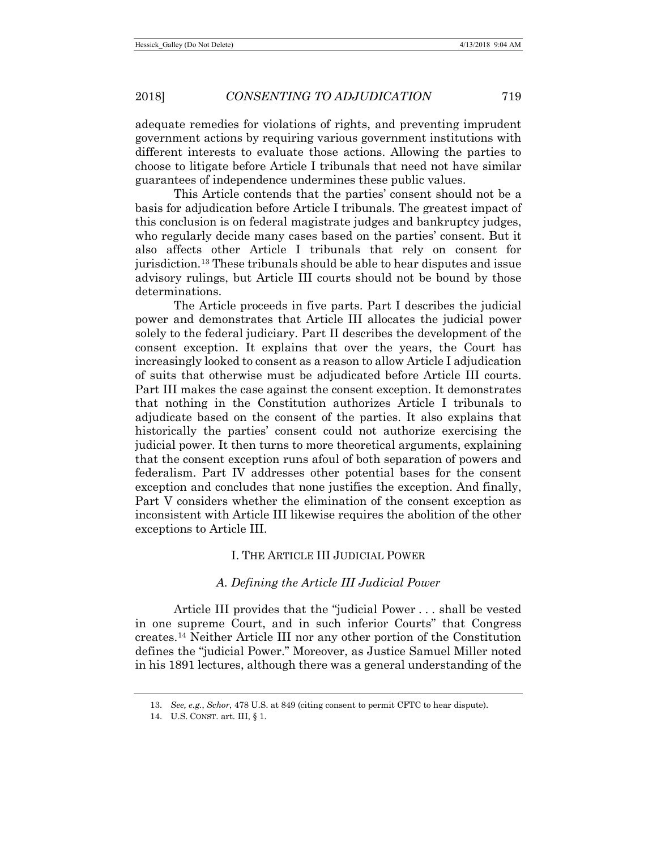adequate remedies for violations of rights, and preventing imprudent government actions by requiring various government institutions with different interests to evaluate those actions. Allowing the parties to choose to litigate before Article I tribunals that need not have similar guarantees of independence undermines these public values.

This Article contends that the parties' consent should not be a basis for adjudication before Article I tribunals. The greatest impact of this conclusion is on federal magistrate judges and bankruptcy judges, who regularly decide many cases based on the parties' consent. But it also affects other Article I tribunals that rely on consent for jurisdiction.[13](#page-4-0) These tribunals should be able to hear disputes and issue advisory rulings, but Article III courts should not be bound by those determinations.

The Article proceeds in five parts. Part I describes the judicial power and demonstrates that Article III allocates the judicial power solely to the federal judiciary. Part II describes the development of the consent exception. It explains that over the years, the Court has increasingly looked to consent as a reason to allow Article I adjudication of suits that otherwise must be adjudicated before Article III courts. Part III makes the case against the consent exception. It demonstrates that nothing in the Constitution authorizes Article I tribunals to adjudicate based on the consent of the parties. It also explains that historically the parties' consent could not authorize exercising the judicial power. It then turns to more theoretical arguments, explaining that the consent exception runs afoul of both separation of powers and federalism. Part IV addresses other potential bases for the consent exception and concludes that none justifies the exception. And finally, Part V considers whether the elimination of the consent exception as inconsistent with Article III likewise requires the abolition of the other exceptions to Article III.

# I. THE ARTICLE III JUDICIAL POWER

# *A. Defining the Article III Judicial Power*

<span id="page-4-2"></span>Article III provides that the "judicial Power . . . shall be vested in one supreme Court, and in such inferior Courts" that Congress creates.[14](#page-4-1) Neither Article III nor any other portion of the Constitution defines the "judicial Power." Moreover, as Justice Samuel Miller noted in his 1891 lectures, although there was a general understanding of the

<span id="page-4-0"></span><sup>13.</sup> *See, e.g.*, *Schor*, 478 U.S. at 849 (citing consent to permit CFTC to hear dispute).

<span id="page-4-1"></span><sup>14.</sup> U.S. CONST. art. III, § 1.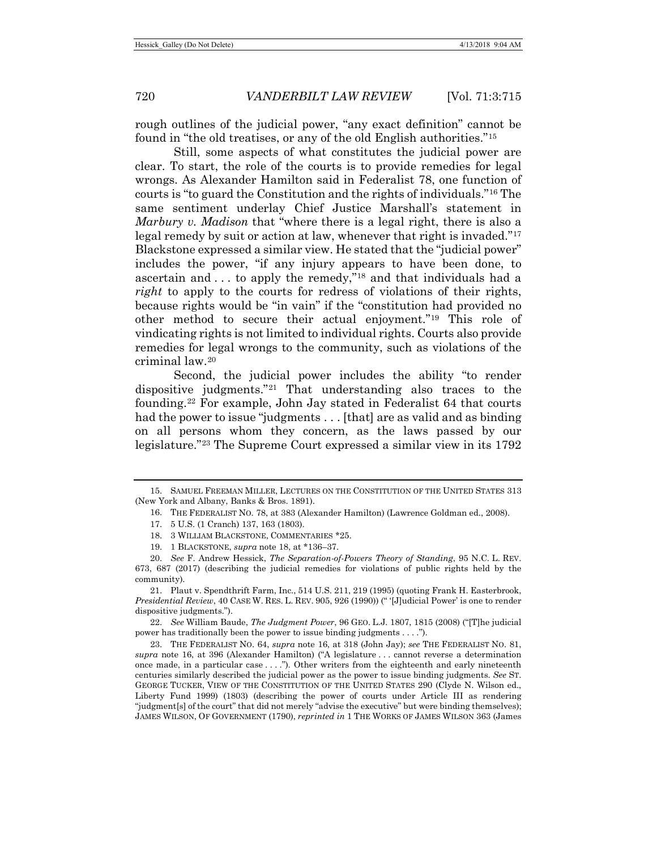<span id="page-5-11"></span>rough outlines of the judicial power, "any exact definition" cannot be found in "the old treatises, or any of the old English authorities."[15](#page-5-2)

<span id="page-5-1"></span>Still, some aspects of what constitutes the judicial power are clear. To start, the role of the courts is to provide remedies for legal wrongs. As Alexander Hamilton said in Federalist 78, one function of courts is "to guard the Constitution and the rights of individuals."[16](#page-5-3) The same sentiment underlay Chief Justice Marshall's statement in *Marbury v. Madison* that "where there is a legal right, there is also a legal remedy by suit or action at law, whenever that right is invaded."[17](#page-5-4) Blackstone expressed a similar view. He stated that the "judicial power" includes the power, "if any injury appears to have been done, to ascertain and . . . to apply the remedy,"[18](#page-5-5) and that individuals had a *right* to apply to the courts for redress of violations of their rights, because rights would be "in vain" if the "constitution had provided no other method to secure their actual enjoyment."[19](#page-5-6) This role of vindicating rights is not limited to individual rights. Courts also provide remedies for legal wrongs to the community, such as violations of the criminal law.[20](#page-5-7)

<span id="page-5-0"></span>Second, the judicial power includes the ability "to render dispositive judgments."[21](#page-5-8) That understanding also traces to the founding.[22](#page-5-9) For example, John Jay stated in Federalist 64 that courts had the power to issue "judgments . . . [that] are as valid and as binding on all persons whom they concern, as the laws passed by our legislature."[23](#page-5-10) The Supreme Court expressed a similar view in its 1792

<span id="page-5-8"></span>21. Plaut v. Spendthrift Farm, Inc., 514 U.S. 211, 219 (1995) (quoting Frank H. Easterbrook, *Presidential Review*, 40 CASE W. RES. L. REV. 905, 926 (1990)) (" '[J]udicial Power' is one to render dispositive judgments.").

<span id="page-5-9"></span>22. *See* William Baude, *The Judgment Power*, 96 GEO. L.J. 1807, 1815 (2008) ("[T]he judicial power has traditionally been the power to issue binding judgments . . . .").

<span id="page-5-10"></span>23. THE FEDERALIST NO. 64, *supra* note [16,](#page-5-1) at 318 (John Jay); *see* THE FEDERALIST NO. 81, *supra* note [16,](#page-5-1) at 396 (Alexander Hamilton) ("A legislature . . . cannot reverse a determination once made, in a particular case . . . ."). Other writers from the eighteenth and early nineteenth centuries similarly described the judicial power as the power to issue binding judgments. *See* ST. GEORGE TUCKER, VIEW OF THE CONSTITUTION OF THE UNITED STATES 290 (Clyde N. Wilson ed., Liberty Fund 1999) (1803) (describing the power of courts under Article III as rendering "judgment[s] of the court" that did not merely "advise the executive" but were binding themselves); JAMES WILSON, OF GOVERNMENT (1790), *reprinted in* 1 THE WORKS OF JAMES WILSON 363 (James

<span id="page-5-12"></span><span id="page-5-4"></span><span id="page-5-3"></span><span id="page-5-2"></span><sup>15.</sup> SAMUEL FREEMAN MILLER, LECTURES ON THE CONSTITUTION OF THE UNITED STATES 313 (New York and Albany, Banks & Bros. 1891).

<sup>16.</sup> THE FEDERALIST NO. 78, at 383 (Alexander Hamilton) (Lawrence Goldman ed., 2008).

<sup>17.</sup> 5 U.S. (1 Cranch) 137, 163 (1803).

<sup>18.</sup> 3 WILLIAM BLACKSTONE, COMMENTARIES \*25.

<sup>19.</sup> 1 BLACKSTONE, *supra* note [18,](#page-5-0) at \*136–37.

<span id="page-5-7"></span><span id="page-5-6"></span><span id="page-5-5"></span><sup>20.</sup> *See* F. Andrew Hessick, *The Separation-of-Powers Theory of Standing*, 95 N.C. L. REV. 673, 687 (2017) (describing the judicial remedies for violations of public rights held by the community).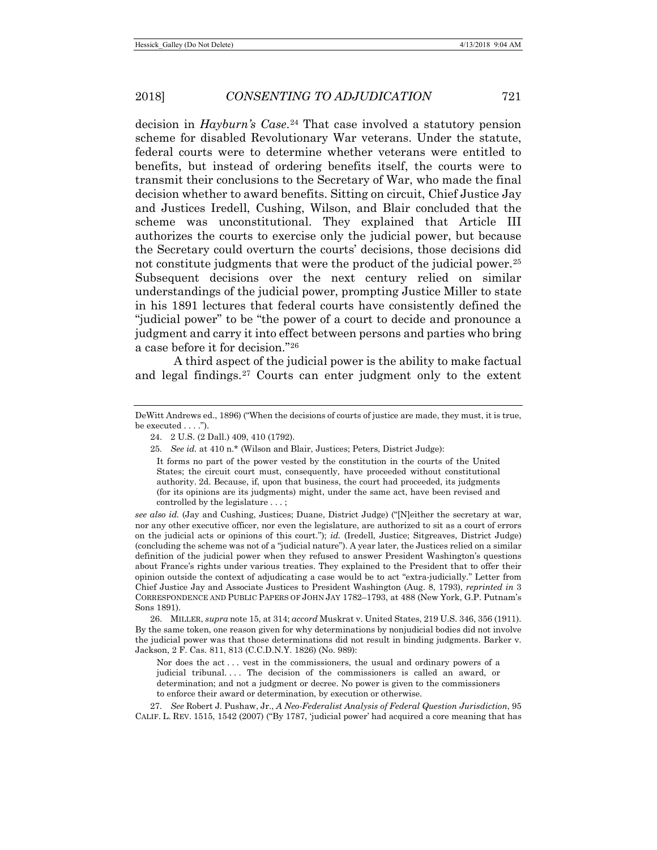decision in *Hayburn's Case*[.24](#page-6-0) That case involved a statutory pension scheme for disabled Revolutionary War veterans. Under the statute, federal courts were to determine whether veterans were entitled to benefits, but instead of ordering benefits itself, the courts were to transmit their conclusions to the Secretary of War, who made the final decision whether to award benefits. Sitting on circuit, Chief Justice Jay and Justices Iredell, Cushing, Wilson, and Blair concluded that the scheme was unconstitutional. They explained that Article III authorizes the courts to exercise only the judicial power, but because the Secretary could overturn the courts' decisions, those decisions did not constitute judgments that were the product of the judicial power.<sup>[25](#page-6-1)</sup> Subsequent decisions over the next century relied on similar understandings of the judicial power, prompting Justice Miller to state in his 1891 lectures that federal courts have consistently defined the "judicial power" to be "the power of a court to decide and pronounce a judgment and carry it into effect between persons and parties who bring a case before it for decision."[26](#page-6-2)

<span id="page-6-4"></span>A third aspect of the judicial power is the ability to make factual and legal findings.[27](#page-6-3) Courts can enter judgment only to the extent

*see also id.* (Jay and Cushing, Justices; Duane, District Judge) ("[N]either the secretary at war, nor any other executive officer, nor even the legislature, are authorized to sit as a court of errors on the judicial acts or opinions of this court."); *id.* (Iredell, Justice; Sitgreaves, District Judge) (concluding the scheme was not of a "judicial nature"). A year later, the Justices relied on a similar definition of the judicial power when they refused to answer President Washington's questions about France's rights under various treaties. They explained to the President that to offer their opinion outside the context of adjudicating a case would be to act "extra-judicially." Letter from Chief Justice Jay and Associate Justices to President Washington (Aug. 8, 1793), *reprinted in* 3 CORRESPONDENCE AND PUBLIC PAPERS OF JOHN JAY 1782–1793, at 488 (New York, G.P. Putnam's Sons 1891).

<span id="page-6-2"></span>26. MILLER, *supra* not[e 15,](#page-5-11) at 314; *accord* Muskrat v. United States, 219 U.S. 346, 356 (1911). By the same token, one reason given for why determinations by nonjudicial bodies did not involve the judicial power was that those determinations did not result in binding judgments. Barker v. Jackson, 2 F. Cas. 811, 813 (C.C.D.N.Y. 1826) (No. 989):

Nor does the act . . . vest in the commissioners, the usual and ordinary powers of a judicial tribunal.... The decision of the commissioners is called an award, or determination; and not a judgment or decree. No power is given to the commissioners to enforce their award or determination, by execution or otherwise.

<span id="page-6-3"></span>27*. See* Robert J. Pushaw, Jr., *A Neo-Federalist Analysis of Federal Question Jurisdiction*, 95 CALIF. L. REV. 1515, 1542 (2007) ("By 1787, 'judicial power' had acquired a core meaning that has

<span id="page-6-1"></span><span id="page-6-0"></span>DeWitt Andrews ed., 1896) ("When the decisions of courts of justice are made, they must, it is true, be executed . . . .").

<sup>24.</sup> 2 U.S. (2 Dall.) 409, 410 (1792).

<sup>25</sup>*. See id.* at 410 n.\* (Wilson and Blair, Justices; Peters, District Judge):

It forms no part of the power vested by the constitution in the courts of the United States; the circuit court must, consequently, have proceeded without constitutional authority. 2d. Because, if, upon that business, the court had proceeded, its judgments (for its opinions are its judgments) might, under the same act, have been revised and controlled by the legislature . . . ;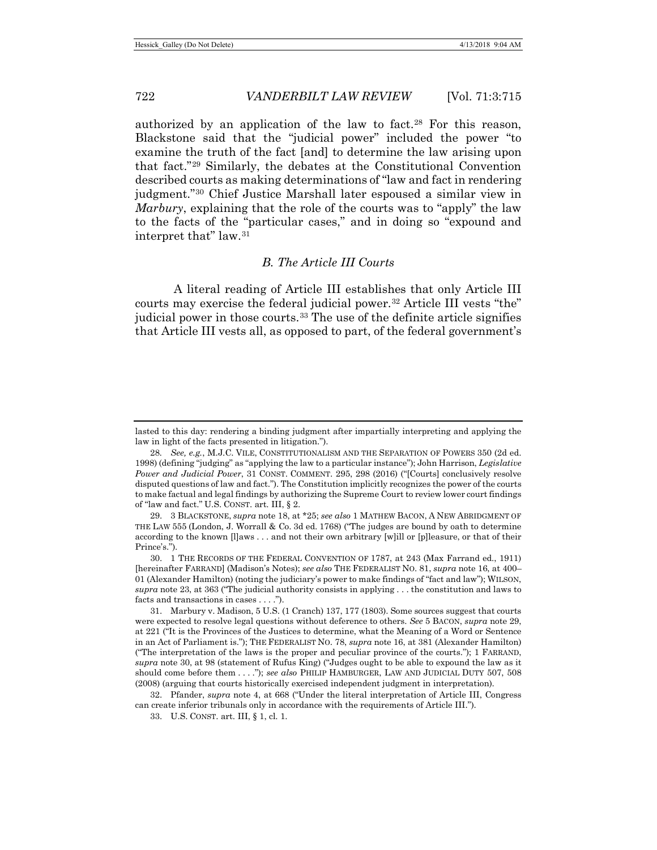<span id="page-7-9"></span><span id="page-7-7"></span>authorized by an application of the law to fact.[28](#page-7-0) For this reason, Blackstone said that the "judicial power" included the power "to examine the truth of the fact [and] to determine the law arising upon that fact."[29](#page-7-1) Similarly, the debates at the Constitutional Convention described courts as making determinations of "law and fact in rendering judgment."[30](#page-7-2) Chief Justice Marshall later espoused a similar view in *Marbury*, explaining that the role of the courts was to "apply" the law to the facts of the "particular cases," and in doing so "expound and interpret that" law.[31](#page-7-3)

# <span id="page-7-10"></span><span id="page-7-8"></span><span id="page-7-6"></span>*B. The Article III Courts*

A literal reading of Article III establishes that only Article III courts may exercise the federal judicial power.[32](#page-7-4) Article III vests "the" judicial power in those courts.<sup>33</sup> The use of the definite article signifies that Article III vests all, as opposed to part, of the federal government's

lasted to this day: rendering a binding judgment after impartially interpreting and applying the law in light of the facts presented in litigation.").

<span id="page-7-0"></span><sup>28</sup>*. See, e.g.*, M.J.C. VILE, CONSTITUTIONALISM AND THE SEPARATION OF POWERS 350 (2d ed. 1998) (defining "judging" as "applying the law to a particular instance"); John Harrison, *Legislative Power and Judicial Power*, 31 CONST. COMMENT. 295, 298 (2016) ("[Courts] conclusively resolve disputed questions of law and fact."). The Constitution implicitly recognizes the power of the courts to make factual and legal findings by authorizing the Supreme Court to review lower court findings of "law and fact." U.S. CONST. art. III, § 2.

<span id="page-7-1"></span><sup>29.</sup> 3 BLACKSTONE, *supra* note [18,](#page-5-0) at \*25; *see also* 1 MATHEW BACON, A NEW ABRIDGMENT OF THE LAW 555 (London, J. Worrall & Co. 3d ed. 1768) ("The judges are bound by oath to determine according to the known [l]aws . . . and not their own arbitrary [w]ill or [p]leasure, or that of their Prince's.").

<span id="page-7-2"></span><sup>30.</sup> 1 THE RECORDS OF THE FEDERAL CONVENTION OF 1787, at 243 (Max Farrand ed., 1911) [hereinafter FARRAND] (Madison's Notes); *see also* THE FEDERALIST NO. 81, *supra* note 16, at 400– 01 (Alexander Hamilton) (noting the judiciary's power to make findings of "fact and law"); WILSON, *supra* note 23, at 363 ("The judicial authority consists in applying . . . the constitution and laws to facts and transactions in cases . . . .").

<span id="page-7-3"></span><sup>31.</sup> Marbury v. Madison, 5 U.S. (1 Cranch) 137, 177 (1803). Some sources suggest that courts were expected to resolve legal questions without deference to others. *See* 5 BACON, *supra* note 29, at 221 ("It is the Provinces of the Justices to determine, what the Meaning of a Word or Sentence in an Act of Parliament is."); THE FEDERALIST NO. 78, *supra* note [16,](#page-5-1) at 381 (Alexander Hamilton) ("The interpretation of the laws is the proper and peculiar province of the courts."); 1 FARRAND, *supra* note 30, at 98 (statement of Rufus King) ("Judges ought to be able to expound the law as it should come before them . . . ."); *see also* PHILIP HAMBURGER, LAW AND JUDICIAL DUTY 507, 508 (2008) (arguing that courts historically exercised independent judgment in interpretation).

<span id="page-7-5"></span><span id="page-7-4"></span><sup>32.</sup> Pfander, *supra* note [4,](#page-2-0) at 668 ("Under the literal interpretation of Article III, Congress can create inferior tribunals only in accordance with the requirements of Article III.").

<sup>33.</sup> U.S. CONST. art. III, § 1, cl. 1.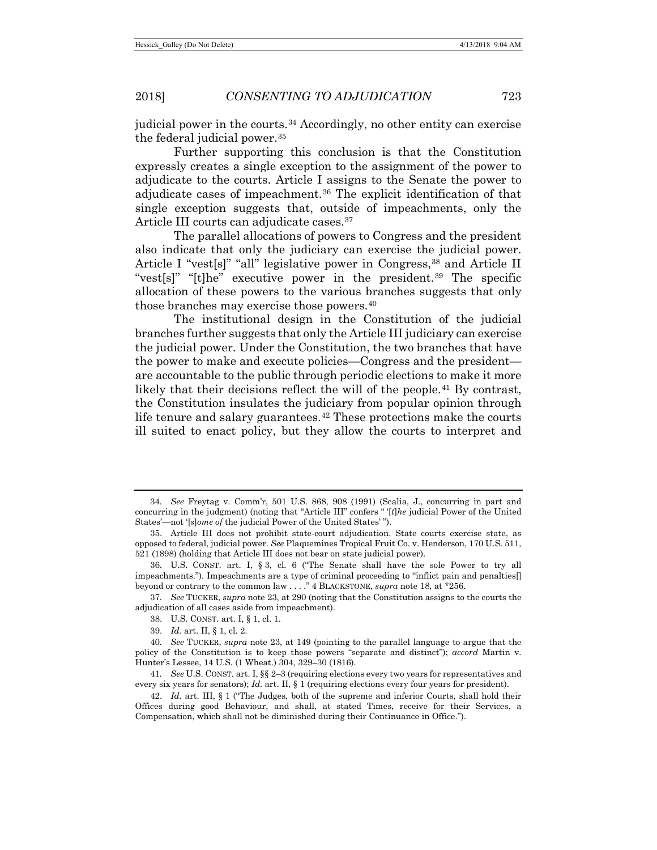judicial power in the courts.[34](#page-8-0) Accordingly, no other entity can exercise the federal judicial power.[35](#page-8-1)

Further supporting this conclusion is that the Constitution expressly creates a single exception to the assignment of the power to adjudicate to the courts. Article I assigns to the Senate the power to adjudicate cases of impeachment.[36](#page-8-2) The explicit identification of that single exception suggests that, outside of impeachments, only the Article III courts can adjudicate cases.<sup>[37](#page-8-3)</sup>

The parallel allocations of powers to Congress and the president also indicate that only the judiciary can exercise the judicial power. Article I "vest[s]" "all" legislative power in Congress,[38](#page-8-4) and Article II "vest[s]" "[t]he" executive power in the president.[39](#page-8-5) The specific allocation of these powers to the various branches suggests that only those branches may exercise those powers.<sup>[40](#page-8-6)</sup>

The institutional design in the Constitution of the judicial branches further suggests that only the Article III judiciary can exercise the judicial power. Under the Constitution, the two branches that have the power to make and execute policies—Congress and the president are accountable to the public through periodic elections to make it more likely that their decisions reflect the will of the people.<sup>[41](#page-8-7)</sup> By contrast, the Constitution insulates the judiciary from popular opinion through life tenure and salary guarantees.<sup>[42](#page-8-8)</sup> These protections make the courts ill suited to enact policy, but they allow the courts to interpret and

<span id="page-8-0"></span><sup>34</sup>*. See* Freytag v. Comm'r, 501 U.S. 868, 908 (1991) (Scalia, J., concurring in part and concurring in the judgment) (noting that "Article III" confers " '[*t*]*he* judicial Power of the United States'—not '[*s*]*ome of* the judicial Power of the United States' ").

<span id="page-8-1"></span><sup>35.</sup> Article III does not prohibit state-court adjudication. State courts exercise state, as opposed to federal, judicial power. *See* Plaquemines Tropical Fruit Co. v. Henderson, 170 U.S. 511, 521 (1898) (holding that Article III does not bear on state judicial power).

<span id="page-8-2"></span><sup>36.</sup> U.S. CONST. art. I, § 3, cl. 6 ("The Senate shall have the sole Power to try all impeachments."). Impeachments are a type of criminal proceeding to "inflict pain and penalties[] beyond or contrary to the common law . . . ." 4 BLACKSTONE, *supra* note 18, at \*256.

<span id="page-8-4"></span><span id="page-8-3"></span><sup>37</sup>*. See* TUCKER, *supra* note 23, at 290 (noting that the Constitution assigns to the courts the adjudication of all cases aside from impeachment).

<sup>38.</sup> U.S. CONST. art. I, § 1, cl. 1.

<sup>39.</sup> *Id.* art. II, § 1, cl. 2.

<span id="page-8-6"></span><span id="page-8-5"></span><sup>40</sup>*. See* TUCKER, *supra* note 23, at 149 (pointing to the parallel language to argue that the policy of the Constitution is to keep those powers "separate and distinct"); *accord* Martin v. Hunter's Lessee, 14 U.S. (1 Wheat.) 304, 329–30 (1816).

<span id="page-8-7"></span><sup>41</sup>*. See* U.S. CONST. art. I, §§ 2–3 (requiring elections every two years for representatives and every six years for senators); *Id.* art. II, § 1 (requiring elections every four years for president).

<span id="page-8-8"></span><sup>42.</sup> *Id.* art. III, § 1 ("The Judges, both of the supreme and inferior Courts, shall hold their Offices during good Behaviour, and shall, at stated Times, receive for their Services, a Compensation, which shall not be diminished during their Continuance in Office.").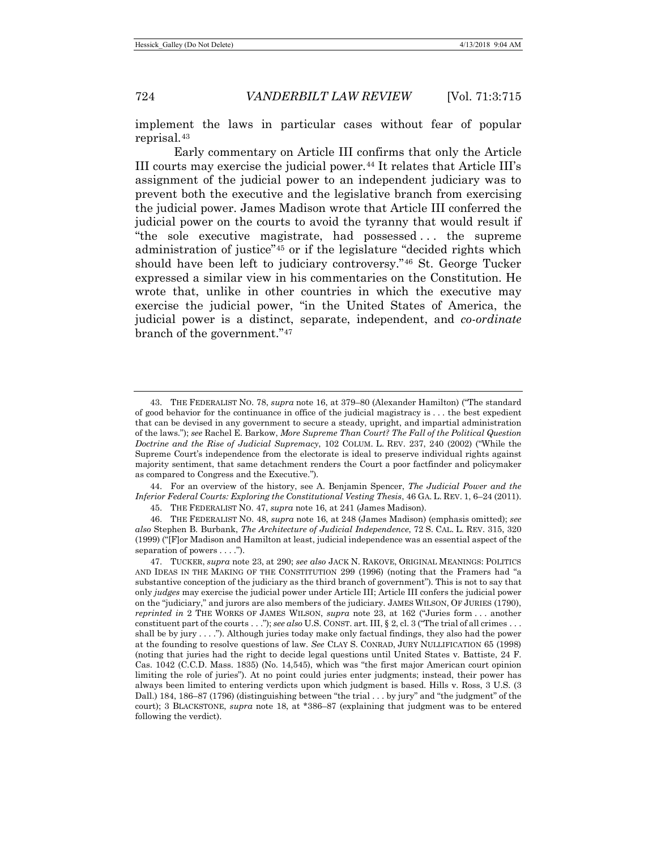implement the laws in particular cases without fear of popular reprisal.[43](#page-9-0)

Early commentary on Article III confirms that only the Article III courts may exercise the judicial power.[44](#page-9-1) It relates that Article III's assignment of the judicial power to an independent judiciary was to prevent both the executive and the legislative branch from exercising the judicial power. James Madison wrote that Article III conferred the judicial power on the courts to avoid the tyranny that would result if "the sole executive magistrate, had possessed . . . the supreme administration of justice"[45](#page-9-2) or if the legislature "decided rights which should have been left to judiciary controversy."[46](#page-9-3) St. George Tucker expressed a similar view in his commentaries on the Constitution. He wrote that, unlike in other countries in which the executive may exercise the judicial power, "in the United States of America, the judicial power is a distinct, separate, independent, and *co-ordinate* branch of the government."[47](#page-9-4)

<span id="page-9-1"></span>44. For an overview of the history, see A. Benjamin Spencer, *The Judicial Power and the Inferior Federal Courts: Exploring the Constitutional Vesting Thesis*, 46 GA. L. REV. 1, 6–24 (2011).

45. THE FEDERALIST NO. 47, *supra* not[e 16,](#page-5-1) at 241 (James Madison).

<span id="page-9-3"></span><span id="page-9-2"></span>46. THE FEDERALIST NO. 48, *supra* not[e 16,](#page-5-1) at 248 (James Madison) (emphasis omitted); *see also* Stephen B. Burbank, *The Architecture of Judicial Independence*, 72 S. CAL. L. REV. 315, 320 (1999) ("[F]or Madison and Hamilton at least, judicial independence was an essential aspect of the separation of powers . . . .").

<span id="page-9-4"></span>47. TUCKER, *supra* note [23,](#page-5-12) at 290; *see also* JACK N. RAKOVE, ORIGINAL MEANINGS: POLITICS AND IDEAS IN THE MAKING OF THE CONSTITUTION 299 (1996) (noting that the Framers had "a substantive conception of the judiciary as the third branch of government"). This is not to say that only *judges* may exercise the judicial power under Article III; Article III confers the judicial power on the "judiciary," and jurors are also members of the judiciary. JAMES WILSON, OF JURIES (1790), *reprinted in* 2 THE WORKS OF JAMES WILSON, *supra* note [23,](#page-5-12) at 162 ("Juries form . . . another constituent part of the courts . . ."); *see also* U.S. CONST. art. III, § 2, cl. 3 ("The trial of all crimes . . . shall be by jury  $\dots$ . . . ."). Although juries today make only factual findings, they also had the power at the founding to resolve questions of law. *See* CLAY S. CONRAD, JURY NULLIFICATION 65 (1998) (noting that juries had the right to decide legal questions until United States v. Battiste, 24 F. Cas. 1042 (C.C.D. Mass. 1835) (No. 14,545), which was "the first major American court opinion limiting the role of juries"). At no point could juries enter judgments; instead, their power has always been limited to entering verdicts upon which judgment is based. Hills v. Ross, 3 U.S. (3 Dall.) 184, 186–87 (1796) (distinguishing between "the trial . . . by jury" and "the judgment" of the court); 3 BLACKSTONE, *supra* note 18, at \*386–87 (explaining that judgment was to be entered following the verdict).

<span id="page-9-5"></span><span id="page-9-0"></span><sup>43.</sup> THE FEDERALIST NO. 78, *supra* not[e 16,](#page-5-1) at 379–80 (Alexander Hamilton) ("The standard of good behavior for the continuance in office of the judicial magistracy is . . . the best expedient that can be devised in any government to secure a steady, upright, and impartial administration of the laws."); *see* Rachel E. Barkow, *More Supreme Than Court? The Fall of the Political Question Doctrine and the Rise of Judicial Supremacy*, 102 COLUM. L. REV. 237, 240 (2002) ("While the Supreme Court's independence from the electorate is ideal to preserve individual rights against majority sentiment, that same detachment renders the Court a poor factfinder and policymaker as compared to Congress and the Executive.").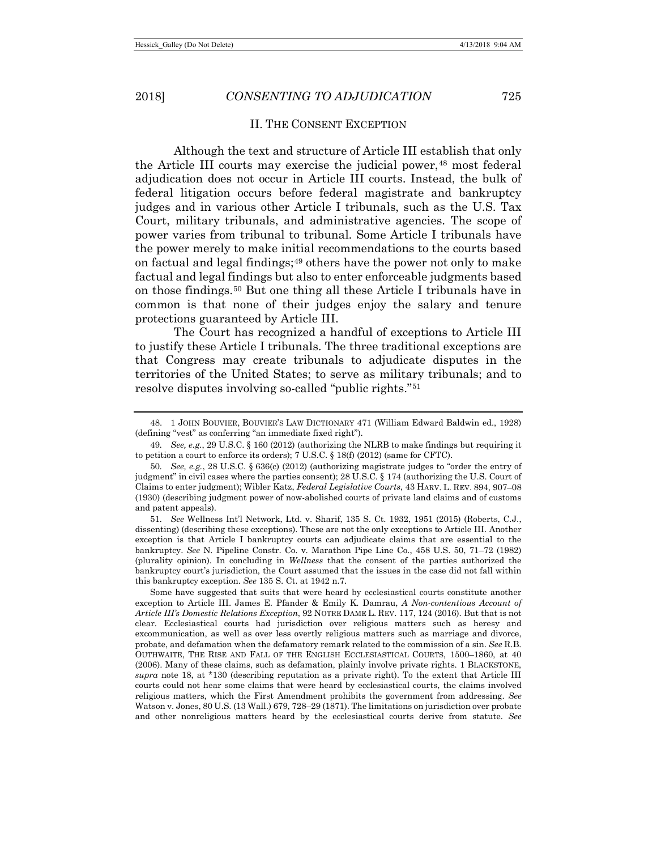# II. THE CONSENT EXCEPTION

Although the text and structure of Article III establish that only the Article III courts may exercise the judicial power,<sup>[48](#page-10-0)</sup> most federal adjudication does not occur in Article III courts. Instead, the bulk of federal litigation occurs before federal magistrate and bankruptcy judges and in various other Article I tribunals, such as the U.S. Tax Court, military tribunals, and administrative agencies. The scope of power varies from tribunal to tribunal. Some Article I tribunals have the power merely to make initial recommendations to the courts based on factual and legal findings;[49](#page-10-1) others have the power not only to make factual and legal findings but also to enter enforceable judgments based on those findings.[50](#page-10-2) But one thing all these Article I tribunals have in common is that none of their judges enjoy the salary and tenure protections guaranteed by Article III.

The Court has recognized a handful of exceptions to Article III to justify these Article I tribunals. The three traditional exceptions are that Congress may create tribunals to adjudicate disputes in the territories of the United States; to serve as military tribunals; and to resolve disputes involving so-called "public rights."[51](#page-10-3)

<span id="page-10-3"></span>51*. See* Wellness Int'l Network, Ltd. v. Sharif, 135 S. Ct. 1932, 1951 (2015) (Roberts, C.J., dissenting) (describing these exceptions). These are not the only exceptions to Article III. Another exception is that Article I bankruptcy courts can adjudicate claims that are essential to the bankruptcy. *See* N. Pipeline Constr. Co. v. Marathon Pipe Line Co., 458 U.S. 50, 71–72 (1982) (plurality opinion). In concluding in *Wellness* that the consent of the parties authorized the bankruptcy court's jurisdiction, the Court assumed that the issues in the case did not fall within this bankruptcy exception. *See* 135 S. Ct. at 1942 n.7.

Some have suggested that suits that were heard by ecclesiastical courts constitute another exception to Article III. James E. Pfander & Emily K. Damrau, *A Non-contentious Account of Article III's Domestic Relations Exception*, 92 NOTRE DAME L. REV. 117, 124 (2016). But that is not clear. Ecclesiastical courts had jurisdiction over religious matters such as heresy and excommunication, as well as over less overtly religious matters such as marriage and divorce, probate, and defamation when the defamatory remark related to the commission of a sin. *See* R.B. OUTHWAITE, THE RISE AND FALL OF THE ENGLISH ECCLESIASTICAL COURTS, 1500–1860, at 40 (2006). Many of these claims, such as defamation, plainly involve private rights. 1 BLACKSTONE, *supra* note [18,](#page-5-0) at \*130 (describing reputation as a private right). To the extent that Article III courts could not hear some claims that were heard by ecclesiastical courts, the claims involved religious matters, which the First Amendment prohibits the government from addressing. *See* Watson v. Jones, 80 U.S. (13 Wall.) 679, 728–29 (1871). The limitations on jurisdiction over probate and other nonreligious matters heard by the ecclesiastical courts derive from statute. *See*

<span id="page-10-0"></span><sup>48.</sup> 1 JOHN BOUVIER, BOUVIER'S LAW DICTIONARY 471 (William Edward Baldwin ed., 1928) (defining "vest" as conferring "an immediate fixed right").

<span id="page-10-1"></span><sup>49</sup>*. See, e.g.*, 29 U.S.C. § 160 (2012) (authorizing the NLRB to make findings but requiring it to petition a court to enforce its orders); 7 U.S.C. § 18(f) (2012) (same for CFTC).

<span id="page-10-2"></span><sup>50</sup>*. See, e.g.*, 28 U.S.C. § 636(c) (2012) (authorizing magistrate judges to "order the entry of judgment" in civil cases where the parties consent); 28 U.S.C. § 174 (authorizing the U.S. Court of Claims to enter judgment); Wibler Katz, *Federal Legislative Courts*, 43 HARV. L. REV. 894, 907–08 (1930) (describing judgment power of now-abolished courts of private land claims and of customs and patent appeals).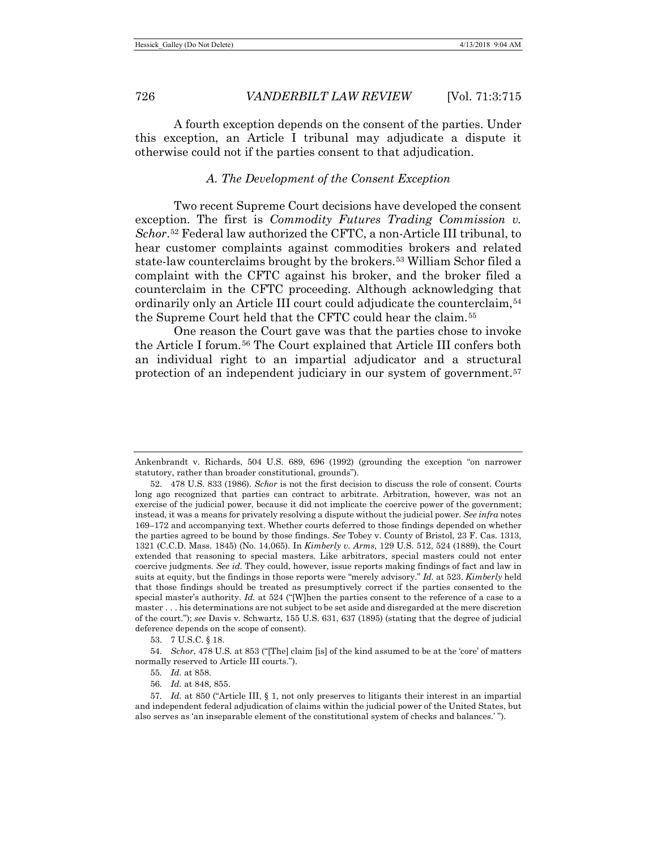A fourth exception depends on the consent of the parties. Under this exception, an Article I tribunal may adjudicate a dispute it otherwise could not if the parties consent to that adjudication.

# *A. The Development of the Consent Exception*

Two recent Supreme Court decisions have developed the consent exception. The first is *Commodity Futures Trading Commission v. Schor*.[52](#page-11-0) Federal law authorized the CFTC, a non-Article III tribunal, to hear customer complaints against commodities brokers and related state-law counterclaims brought by the brokers.[53](#page-11-1) William Schor filed a complaint with the CFTC against his broker, and the broker filed a counterclaim in the CFTC proceeding. Although acknowledging that ordinarily only an Article III court could adjudicate the counterclaim,<sup>[54](#page-11-2)</sup> the Supreme Court held that the CFTC could hear the claim.[55](#page-11-3)

One reason the Court gave was that the parties chose to invoke the Article I forum.[56](#page-11-4) The Court explained that Article III confers both an individual right to an impartial adjudicator and a structural protection of an independent judiciary in our system of government.[57](#page-11-5)

53. 7 U.S.C. § 18.

<span id="page-11-3"></span><span id="page-11-2"></span><span id="page-11-1"></span>54*. Schor*, 478 U.S. at 853 ("[The] claim [is] of the kind assumed to be at the 'core' of matters normally reserved to Article III courts.").

55*. Id.* at 858.

56*. Id.* at 848, 855.

<span id="page-11-5"></span><span id="page-11-4"></span>57*. Id.* at 850 ("Article III, § 1, not only preserves to litigants their interest in an impartial and independent federal adjudication of claims within the judicial power of the United States, but also serves as 'an inseparable element of the constitutional system of checks and balances.' ").

Ankenbrandt v. Richards, 504 U.S. 689, 696 (1992) (grounding the exception "on narrower statutory, rather than broader constitutional, grounds").

<span id="page-11-0"></span><sup>52.</sup> 478 U.S. 833 (1986). *Schor* is not the first decision to discuss the role of consent. Courts long ago recognized that parties can contract to arbitrate. Arbitration, however, was not an exercise of the judicial power, because it did not implicate the coercive power of the government; instead, it was a means for privately resolving a dispute without the judicial power. *See infra* notes 169[–172](#page-28-0) and accompanying text. Whether courts deferred to those findings depended on whether the parties agreed to be bound by those findings. *See* Tobey v. County of Bristol, 23 F. Cas. 1313, 1321 (C.C.D. Mass. 1845) (No. 14,065). In *Kimberly v. Arms*, 129 U.S. 512, 524 (1889), the Court extended that reasoning to special masters. Like arbitrators, special masters could not enter coercive judgments. *See id.* They could, however, issue reports making findings of fact and law in suits at equity, but the findings in those reports were "merely advisory." *Id.* at 523. *Kimberly* held that those findings should be treated as presumptively correct if the parties consented to the special master's authority. *Id.* at 524 ("[W]hen the parties consent to the reference of a case to a master . . . his determinations are not subject to be set aside and disregarded at the mere discretion of the court."); *see* Davis v. Schwartz, 155 U.S. 631, 637 (1895) (stating that the degree of judicial deference depends on the scope of consent).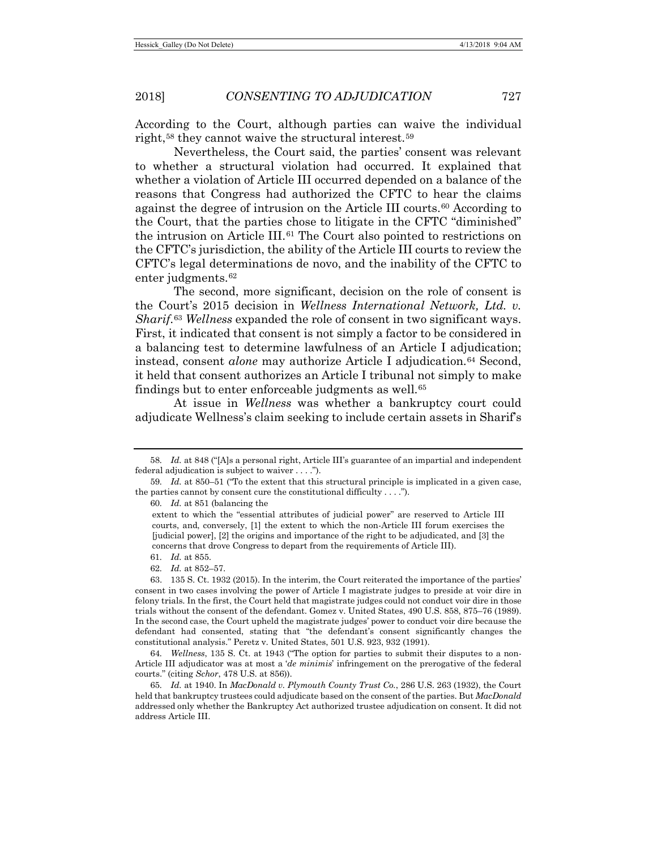According to the Court, although parties can waive the individual right,[58](#page-12-0) they cannot waive the structural interest.[59](#page-12-1)

Nevertheless, the Court said, the parties' consent was relevant to whether a structural violation had occurred. It explained that whether a violation of Article III occurred depended on a balance of the reasons that Congress had authorized the CFTC to hear the claims against the degree of intrusion on the Article III courts.[60](#page-12-2) According to the Court, that the parties chose to litigate in the CFTC "diminished" the intrusion on Article  $III<sup>61</sup>$  $III<sup>61</sup>$  $III<sup>61</sup>$ . The Court also pointed to restrictions on the CFTC's jurisdiction, the ability of the Article III courts to review the CFTC's legal determinations de novo, and the inability of the CFTC to enter judgments.<sup>[62](#page-12-4)</sup>

The second, more significant, decision on the role of consent is the Court's 2015 decision in *Wellness International Network, Ltd. v. Sharif*.[63](#page-12-5) *Wellness* expanded the role of consent in two significant ways. First, it indicated that consent is not simply a factor to be considered in a balancing test to determine lawfulness of an Article I adjudication; instead, consent *alone* may authorize Article I adjudication.[64](#page-12-6) Second, it held that consent authorizes an Article I tribunal not simply to make findings but to enter enforceable judgments as well.<sup>[65](#page-12-7)</sup>

At issue in *Wellness* was whether a bankruptcy court could adjudicate Wellness's claim seeking to include certain assets in Sharif's

- 61*. Id.* at 855.
- 62*. Id.* at 852–57.

<span id="page-12-6"></span>64*. Wellness*, 135 S. Ct. at 1943 ("The option for parties to submit their disputes to a non-Article III adjudicator was at most a '*de minimis*' infringement on the prerogative of the federal courts." (citing *Schor*, 478 U.S. at 856)).

<span id="page-12-0"></span><sup>58</sup>*. Id.* at 848 ("[A]s a personal right, Article III's guarantee of an impartial and independent federal adjudication is subject to waiver . . . .").

<span id="page-12-2"></span><span id="page-12-1"></span><sup>59</sup>*. Id.* at 850–51 ("To the extent that this structural principle is implicated in a given case, the parties cannot by consent cure the constitutional difficulty  $\dots$ .").

<sup>60</sup>*. Id.* at 851 (balancing the

extent to which the "essential attributes of judicial power" are reserved to Article III courts, and, conversely, [1] the extent to which the non-Article III forum exercises the [judicial power], [2] the origins and importance of the right to be adjudicated, and [3] the concerns that drove Congress to depart from the requirements of Article III).

<span id="page-12-5"></span><span id="page-12-4"></span><span id="page-12-3"></span><sup>63.</sup> 135 S. Ct. 1932 (2015). In the interim, the Court reiterated the importance of the parties' consent in two cases involving the power of Article I magistrate judges to preside at voir dire in felony trials. In the first, the Court held that magistrate judges could not conduct voir dire in those trials without the consent of the defendant. Gomez v. United States, 490 U.S. 858, 875–76 (1989). In the second case, the Court upheld the magistrate judges' power to conduct voir dire because the defendant had consented, stating that "the defendant's consent significantly changes the constitutional analysis." Peretz v. United States, 501 U.S. 923, 932 (1991).

<span id="page-12-7"></span><sup>65</sup>*. Id.* at 1940. In *MacDonald v. Plymouth County Trust Co.*, 286 U.S. 263 (1932), the Court held that bankruptcy trustees could adjudicate based on the consent of the parties. But *MacDonald* addressed only whether the Bankruptcy Act authorized trustee adjudication on consent. It did not address Article III.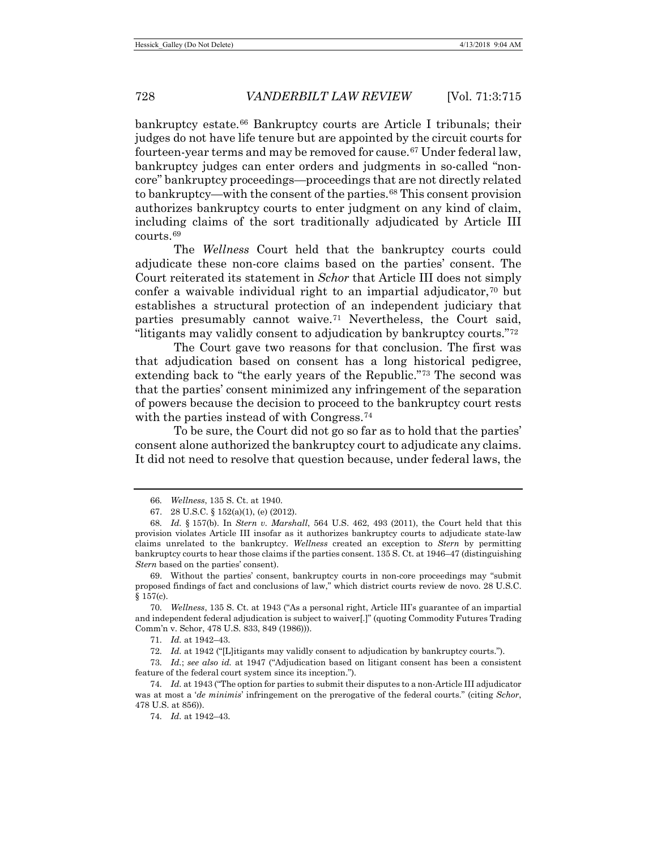bankruptcy estate.[66](#page-13-0) Bankruptcy courts are Article I tribunals; their judges do not have life tenure but are appointed by the circuit courts for fourteen-year terms and may be removed for cause.[67](#page-13-1) Under federal law, bankruptcy judges can enter orders and judgments in so-called "noncore" bankruptcy proceedings—proceedings that are not directly related to bankruptcy—with the consent of the parties.[68](#page-13-2) This consent provision authorizes bankruptcy courts to enter judgment on any kind of claim, including claims of the sort traditionally adjudicated by Article III courts.[69](#page-13-3)

The *Wellness* Court held that the bankruptcy courts could adjudicate these non-core claims based on the parties' consent. The Court reiterated its statement in *Schor* that Article III does not simply confer a waivable individual right to an impartial adjudicator, $\tau$ <sup>0</sup> but establishes a structural protection of an independent judiciary that parties presumably cannot waive.[71](#page-13-5) Nevertheless, the Court said, "litigants may validly consent to adjudication by bankruptcy courts."[72](#page-13-6)

The Court gave two reasons for that conclusion. The first was that adjudication based on consent has a long historical pedigree, extending back to "the early years of the Republic."[73](#page-13-7) The second was that the parties' consent minimized any infringement of the separation of powers because the decision to proceed to the bankruptcy court rests with the parties instead of with Congress.<sup>[74](#page-13-8)</sup>

To be sure, the Court did not go so far as to hold that the parties' consent alone authorized the bankruptcy court to adjudicate any claims. It did not need to resolve that question because, under federal laws, the

<span id="page-13-3"></span>69. Without the parties' consent, bankruptcy courts in non-core proceedings may "submit proposed findings of fact and conclusions of law," which district courts review de novo. 28 U.S.C.  $§ 157(c).$ 

<span id="page-13-4"></span>70*. Wellness*, 135 S. Ct. at 1943 ("As a personal right, Article III's guarantee of an impartial and independent federal adjudication is subject to waiver[.]" (quoting Commodity Futures Trading Comm'n v. Schor, 478 U.S. 833, 849 (1986))).

71*. Id.* at 1942–43.

72*. Id.* at 1942 ("[L]itigants may validly consent to adjudication by bankruptcy courts.").

<span id="page-13-7"></span><span id="page-13-6"></span><span id="page-13-5"></span>73*. Id.*; *see also id.* at 1947 ("Adjudication based on litigant consent has been a consistent feature of the federal court system since its inception.").

74*. Id.* at 1942–43.

<sup>66</sup>*. Wellness*, 135 S. Ct. at 1940.

<sup>67.</sup> 28 U.S.C. § 152(a)(1), (e) (2012).

<span id="page-13-2"></span><span id="page-13-1"></span><span id="page-13-0"></span><sup>68</sup>*. Id.* § 157(b). In *Stern v. Marshall*, 564 U.S. 462, 493 (2011), the Court held that this provision violates Article III insofar as it authorizes bankruptcy courts to adjudicate state-law claims unrelated to the bankruptcy. *Wellness* created an exception to *Stern* by permitting bankruptcy courts to hear those claims if the parties consent. 135 S. Ct. at 1946–47 (distinguishing *Stern* based on the parties' consent).

<span id="page-13-8"></span><sup>74</sup>*. Id.* at 1943 ("The option for parties to submit their disputes to a non-Article III adjudicator was at most a '*de minimis*' infringement on the prerogative of the federal courts." (citing *Schor*, 478 U.S. at 856)).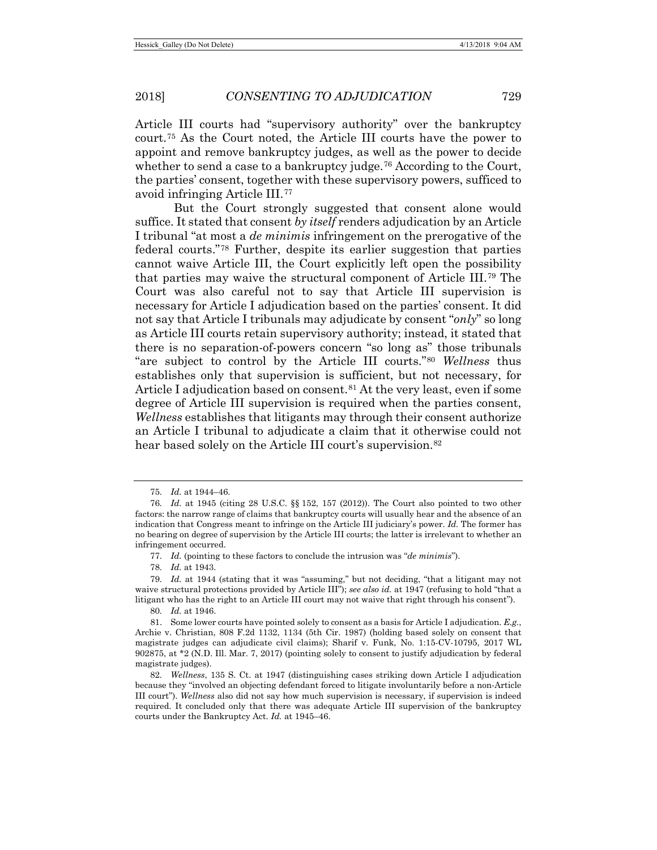<span id="page-14-10"></span>Article III courts had "supervisory authority" over the bankruptcy court.[75](#page-14-2) As the Court noted, the Article III courts have the power to appoint and remove bankruptcy judges, as well as the power to decide whether to send a case to a bankruptcy judge.<sup>[76](#page-14-3)</sup> According to the Court, the parties' consent, together with these supervisory powers, sufficed to avoid infringing Article III.[77](#page-14-4)

<span id="page-14-0"></span>But the Court strongly suggested that consent alone would suffice. It stated that consent *by itself* renders adjudication by an Article I tribunal "at most a *de minimis* infringement on the prerogative of the federal courts."[78](#page-14-5) Further, despite its earlier suggestion that parties cannot waive Article III, the Court explicitly left open the possibility that parties may waive the structural component of Article III.[79](#page-14-6) The Court was also careful not to say that Article III supervision is necessary for Article I adjudication based on the parties' consent. It did not say that Article I tribunals may adjudicate by consent "*only*" so long as Article III courts retain supervisory authority; instead, it stated that there is no separation-of-powers concern "so long as" those tribunals "are subject to control by the Article III courts."[80](#page-14-7) *Wellness* thus establishes only that supervision is sufficient, but not necessary, for Article I adjudication based on consent.<sup>[81](#page-14-8)</sup> At the very least, even if some degree of Article III supervision is required when the parties consent, *Wellness* establishes that litigants may through their consent authorize an Article I tribunal to adjudicate a claim that it otherwise could not hear based solely on the Article III court's supervision.<sup>[82](#page-14-9)</sup>

<span id="page-14-1"></span><sup>75</sup>*. Id.* at 1944–46.

<span id="page-14-3"></span><span id="page-14-2"></span><sup>76</sup>*. Id.* at 1945 (citing 28 U.S.C. §§ 152, 157 (2012)). The Court also pointed to two other factors: the narrow range of claims that bankruptcy courts will usually hear and the absence of an indication that Congress meant to infringe on the Article III judiciary's power. *Id.* The former has no bearing on degree of supervision by the Article III courts; the latter is irrelevant to whether an infringement occurred.

<sup>77</sup>*. Id.* (pointing to these factors to conclude the intrusion was "*de minimis*").

<sup>78</sup>*. Id.* at 1943.

<span id="page-14-6"></span><span id="page-14-5"></span><span id="page-14-4"></span><sup>79</sup>*. Id.* at 1944 (stating that it was "assuming," but not deciding, "that a litigant may not waive structural protections provided by Article III"); *see also id.* at 1947 (refusing to hold "that a litigant who has the right to an Article III court may not waive that right through his consent").

<sup>80</sup>*. Id.* at 1946.

<span id="page-14-8"></span><span id="page-14-7"></span><sup>81.</sup> Some lower courts have pointed solely to consent as a basis for Article I adjudication. *E.g.*, Archie v. Christian, 808 F.2d 1132, 1134 (5th Cir. 1987) (holding based solely on consent that magistrate judges can adjudicate civil claims); Sharif v. Funk, No. 1:15-CV-10795, 2017 WL 902875, at \*2 (N.D. Ill. Mar. 7, 2017) (pointing solely to consent to justify adjudication by federal magistrate judges).

<span id="page-14-9"></span><sup>82</sup>*. Wellness*, 135 S. Ct. at 1947 (distinguishing cases striking down Article I adjudication because they "involved an objecting defendant forced to litigate involuntarily before a non-Article III court"). *Wellness* also did not say how much supervision is necessary, if supervision is indeed required. It concluded only that there was adequate Article III supervision of the bankruptcy courts under the Bankruptcy Act. *Id.* at 1945–46.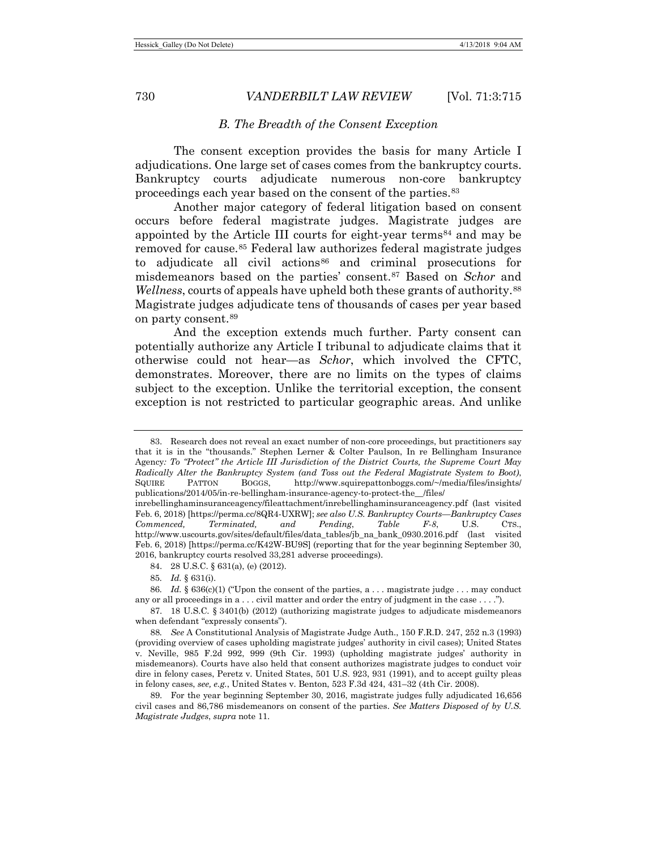#### *B. The Breadth of the Consent Exception*

The consent exception provides the basis for many Article I adjudications. One large set of cases comes from the bankruptcy courts. Bankruptcy courts adjudicate numerous non-core bankruptcy proceedings each year based on the consent of the parties.[83](#page-15-0)

Another major category of federal litigation based on consent occurs before federal magistrate judges. Magistrate judges are appointed by the Article III courts for eight-year terms<sup>[84](#page-15-1)</sup> and may be removed for cause.[85](#page-15-2) Federal law authorizes federal magistrate judges to adjudicate all civil actions<sup>[86](#page-15-3)</sup> and criminal prosecutions for misdemeanors based on the parties' consent.[87](#page-15-4) Based on *Schor* and *Wellness*, courts of appeals have upheld both these grants of authority.<sup>[88](#page-15-5)</sup> Magistrate judges adjudicate tens of thousands of cases per year based on party consent.[89](#page-15-6)

<span id="page-15-7"></span>And the exception extends much further. Party consent can potentially authorize any Article I tribunal to adjudicate claims that it otherwise could not hear—as *Schor*, which involved the CFTC, demonstrates. Moreover, there are no limits on the types of claims subject to the exception. Unlike the territorial exception, the consent exception is not restricted to particular geographic areas. And unlike

<span id="page-15-0"></span><sup>83.</sup> Research does not reveal an exact number of non-core proceedings, but practitioners say that it is in the "thousands." Stephen Lerner & Colter Paulson, In re Bellingham Insurance Agency*: To "Protect" the Article III Jurisdiction of the District Courts, the Supreme Court May Radically Alter the Bankruptcy System (and Toss out the Federal Magistrate System to Boot)*, SQUIRE PATTON BOGGS, http://www.squirepattonboggs.com/~/media/files/insights/ publications/2014/05/in-re-bellingham-insurance-agency-to-protect-the\_\_/files/

inrebellinghaminsuranceagency/fileattachment/inrebellinghaminsuranceagency.pdf (last visited Feb. 6, 2018) [https://perma.cc/8QR4-UXRW]; *see also U.S. Bankruptcy Courts—Bankruptcy Cases Commenced, Terminated, and Pending*, *Table F-8*, U.S. CTS., http://www.uscourts.gov/sites/default/files/data\_tables/jb\_na\_bank\_0930.2016.pdf (last visited Feb. 6, 2018) [https://perma.cc/K42W-BU9S] (reporting that for the year beginning September 30, 2016, bankruptcy courts resolved 33,281 adverse proceedings).

<sup>84.</sup> 28 U.S.C. § 631(a), (e) (2012).

<sup>85</sup>*. Id.* § 631(i).

<span id="page-15-3"></span><span id="page-15-2"></span><span id="page-15-1"></span><sup>86.</sup> *Id.* § 636(c)(1) ("Upon the consent of the parties, a . . . magistrate judge . . . may conduct any or all proceedings in a . . . civil matter and order the entry of judgment in the case . . . .").

<span id="page-15-4"></span><sup>87.</sup> 18 U.S.C. § 3401(b) (2012) (authorizing magistrate judges to adjudicate misdemeanors when defendant "expressly consents").

<span id="page-15-5"></span><sup>88</sup>*. See* A Constitutional Analysis of Magistrate Judge Auth., 150 F.R.D. 247, 252 n.3 (1993) (providing overview of cases upholding magistrate judges' authority in civil cases); United States v. Neville, 985 F.2d 992, 999 (9th Cir. 1993) (upholding magistrate judges' authority in misdemeanors). Courts have also held that consent authorizes magistrate judges to conduct voir dire in felony cases, Peretz v. United States, 501 U.S. 923, 931 (1991), and to accept guilty pleas in felony cases, *see, e.g.*, United States v. Benton, 523 F.3d 424, 431–32 (4th Cir. 2008).

<span id="page-15-6"></span><sup>89.</sup> For the year beginning September 30, 2016, magistrate judges fully adjudicated 16,656 civil cases and 86,786 misdemeanors on consent of the parties. *See Matters Disposed of by U.S. Magistrate Judges*, *supra* not[e 11.](#page-3-4)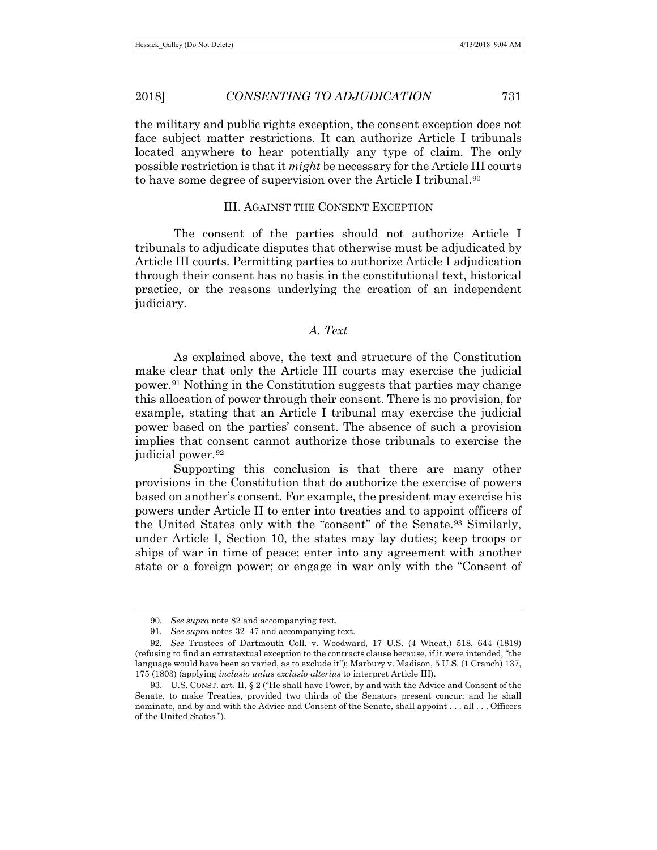the military and public rights exception, the consent exception does not face subject matter restrictions. It can authorize Article I tribunals located anywhere to hear potentially any type of claim. The only possible restriction is that it *might* be necessary for the Article III courts to have some degree of supervision over the Article I tribunal.<sup>90</sup>

#### III. AGAINST THE CONSENT EXCEPTION

The consent of the parties should not authorize Article I tribunals to adjudicate disputes that otherwise must be adjudicated by Article III courts. Permitting parties to authorize Article I adjudication through their consent has no basis in the constitutional text, historical practice, or the reasons underlying the creation of an independent judiciary.

# *A. Text*

As explained above, the text and structure of the Constitution make clear that only the Article III courts may exercise the judicial power.<sup>[91](#page-16-1)</sup> Nothing in the Constitution suggests that parties may change this allocation of power through their consent. There is no provision, for example, stating that an Article I tribunal may exercise the judicial power based on the parties' consent. The absence of such a provision implies that consent cannot authorize those tribunals to exercise the judicial power.<sup>[92](#page-16-2)</sup>

Supporting this conclusion is that there are many other provisions in the Constitution that do authorize the exercise of powers based on another's consent. For example, the president may exercise his powers under Article II to enter into treaties and to appoint officers of the United States only with the "consent" of the Senate.[93](#page-16-3) Similarly, under Article I, Section 10, the states may lay duties; keep troops or ships of war in time of peace; enter into any agreement with another state or a foreign power; or engage in war only with the "Consent of

<sup>90</sup>*. See supra* not[e 82](#page-14-1) and accompanying text.

<sup>91</sup>*. See supra* notes [32](#page-7-6)[–47](#page-9-5) and accompanying text.

<span id="page-16-2"></span><span id="page-16-1"></span><span id="page-16-0"></span><sup>92</sup>*. See* Trustees of Dartmouth Coll. v. Woodward, 17 U.S. (4 Wheat.) 518, 644 (1819) (refusing to find an extratextual exception to the contracts clause because, if it were intended, "the language would have been so varied, as to exclude it"); Marbury v. Madison, 5 U.S. (1 Cranch) 137, 175 (1803) (applying *inclusio unius exclusio alterius* to interpret Article III).

<span id="page-16-3"></span><sup>93.</sup> U.S. CONST. art. II, § 2 ("He shall have Power, by and with the Advice and Consent of the Senate, to make Treaties, provided two thirds of the Senators present concur; and he shall nominate, and by and with the Advice and Consent of the Senate, shall appoint . . . all . . . Officers of the United States.").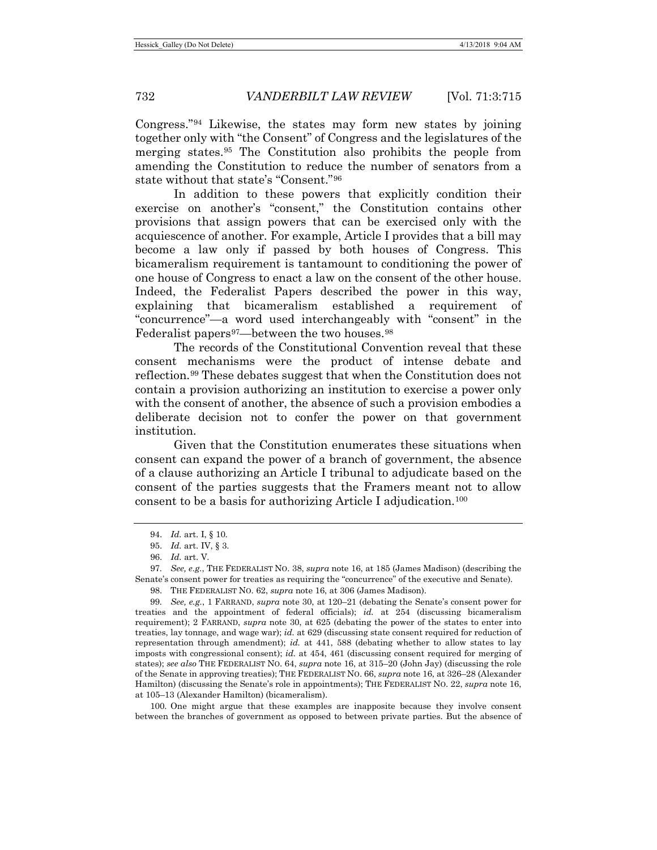Congress.["94](#page-17-0) Likewise, the states may form new states by joining together only with "the Consent" of Congress and the legislatures of the merging states.[95](#page-17-1) The Constitution also prohibits the people from amending the Constitution to reduce the number of senators from a state without that state's "Consent."[96](#page-17-2)

In addition to these powers that explicitly condition their exercise on another's "consent," the Constitution contains other provisions that assign powers that can be exercised only with the acquiescence of another. For example, Article I provides that a bill may become a law only if passed by both houses of Congress. This bicameralism requirement is tantamount to conditioning the power of one house of Congress to enact a law on the consent of the other house. Indeed, the Federalist Papers described the power in this way, explaining that bicameralism established a requirement of "concurrence"—a word used interchangeably with "consent" in the Federalist papers<sup>[97](#page-17-3)</sup>—between the two houses.<sup>[98](#page-17-4)</sup>

The records of the Constitutional Convention reveal that these consent mechanisms were the product of intense debate and reflection.[99](#page-17-5) These debates suggest that when the Constitution does not contain a provision authorizing an institution to exercise a power only with the consent of another, the absence of such a provision embodies a deliberate decision not to confer the power on that government institution.

Given that the Constitution enumerates these situations when consent can expand the power of a branch of government, the absence of a clause authorizing an Article I tribunal to adjudicate based on the consent of the parties suggests that the Framers meant not to allow consent to be a basis for authorizing Article I adjudication.[100](#page-17-6)

<span id="page-17-3"></span><span id="page-17-2"></span><span id="page-17-1"></span><span id="page-17-0"></span>97*. See, e.g.*, THE FEDERALIST NO. 38, *supra* not[e 16,](#page-5-1) at 185 (James Madison) (describing the Senate's consent power for treaties as requiring the "concurrence" of the executive and Senate).

98. THE FEDERALIST NO. 62, *supra* not[e 16,](#page-5-1) at 306 (James Madison).

<span id="page-17-5"></span><span id="page-17-4"></span>99*. See, e.g.*, 1 FARRAND, *supra* note [30,](#page-7-7) at 120–21 (debating the Senate's consent power for treaties and the appointment of federal officials); *id.* at 254 (discussing bicameralism requirement); 2 FARRAND, *supra* note [30,](#page-7-7) at 625 (debating the power of the states to enter into treaties, lay tonnage, and wage war); *id.* at 629 (discussing state consent required for reduction of representation through amendment); *id.* at 441, 588 (debating whether to allow states to lay imposts with congressional consent); *id.* at 454, 461 (discussing consent required for merging of states); *see also* THE FEDERALIST NO. 64, *supra* not[e 16,](#page-5-1) at 315–20 (John Jay) (discussing the role of the Senate in approving treaties); THE FEDERALIST NO. 66, *supra* note [16,](#page-5-1) at 326–28 (Alexander Hamilton) (discussing the Senate's role in appointments); THE FEDERALIST NO. 22, *supra* note [16,](#page-5-1) at 105–13 (Alexander Hamilton) (bicameralism).

<span id="page-17-6"></span>100. One might argue that these examples are inapposite because they involve consent between the branches of government as opposed to between private parties. But the absence of

<sup>94.</sup> *Id.* art. I, § 10.

<sup>95.</sup> *Id.* art. IV, § 3.

<sup>96.</sup> *Id.* art. V.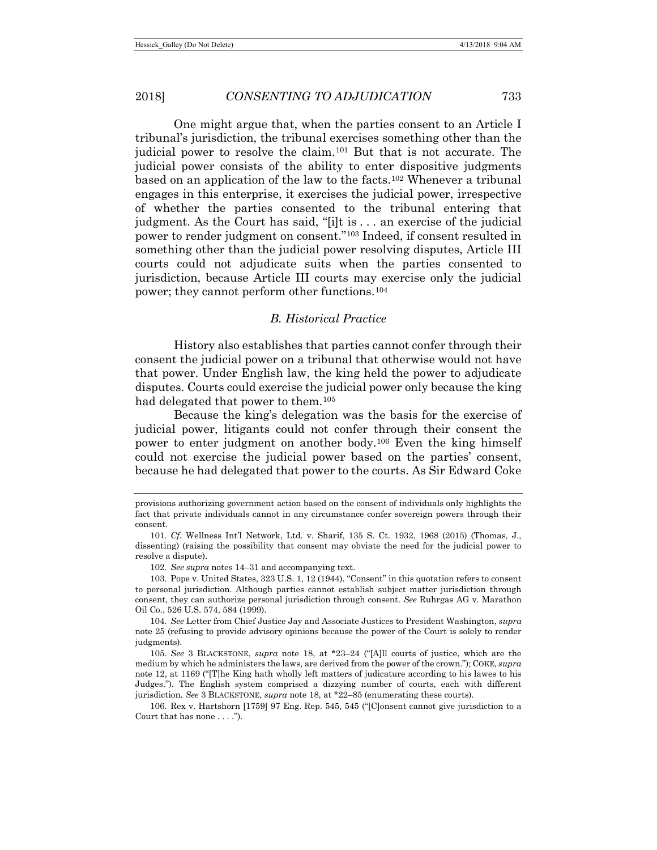One might argue that, when the parties consent to an Article I tribunal's jurisdiction, the tribunal exercises something other than the judicial power to resolve the claim.[101](#page-18-0) But that is not accurate. The judicial power consists of the ability to enter dispositive judgments based on an application of the law to the facts.[102](#page-18-1) Whenever a tribunal engages in this enterprise, it exercises the judicial power, irrespective of whether the parties consented to the tribunal entering that judgment. As the Court has said, "[i]t is . . . an exercise of the judicial power to render judgment on consent."[103](#page-18-2) Indeed, if consent resulted in something other than the judicial power resolving disputes, Article III courts could not adjudicate suits when the parties consented to jurisdiction, because Article III courts may exercise only the judicial power; they cannot perform other functions.[104](#page-18-3)

# *B. Historical Practice*

History also establishes that parties cannot confer through their consent the judicial power on a tribunal that otherwise would not have that power. Under English law, the king held the power to adjudicate disputes. Courts could exercise the judicial power only because the king had delegated that power to them.<sup>[105](#page-18-4)</sup>

Because the king's delegation was the basis for the exercise of judicial power, litigants could not confer through their consent the power to enter judgment on another body.[106](#page-18-5) Even the king himself could not exercise the judicial power based on the parties' consent, because he had delegated that power to the courts. As Sir Edward Coke

<span id="page-18-3"></span>104*. See* Letter from Chief Justice Jay and Associate Justices to President Washington, *supra* not[e 25](#page-6-4) (refusing to provide advisory opinions because the power of the Court is solely to render judgments).

<span id="page-18-4"></span>105*. See* 3 BLACKSTONE, *supra* note [18,](#page-5-0) at \*23–24 ("[A]ll courts of justice, which are the medium by which he administers the laws, are derived from the power of the crown."); COKE, *supra* not[e 12,](#page-3-5) at 1169 ("[T]he King hath wholly left matters of judicature according to his lawes to his Judges."). The English system comprised a dizzying number of courts, each with different jurisdiction. *See* 3 BLACKSTONE, *supra* note [18,](#page-5-0) at \*22–85 (enumerating these courts).

<span id="page-18-5"></span>106. Rex v. Hartshorn [1759] 97 Eng. Rep. 545, 545 ("[C]onsent cannot give jurisdiction to a Court that has none . . . .").

provisions authorizing government action based on the consent of individuals only highlights the fact that private individuals cannot in any circumstance confer sovereign powers through their consent.

<span id="page-18-0"></span><sup>101</sup>*. Cf.* Wellness Int'l Network, Ltd. v. Sharif, 135 S. Ct. 1932, 1968 (2015) (Thomas, J., dissenting) (raising the possibility that consent may obviate the need for the judicial power to resolve a dispute).

<sup>102</sup>*. See supra* notes [14](#page-4-2)[–31](#page-7-8) and accompanying text.

<span id="page-18-2"></span><span id="page-18-1"></span><sup>103.</sup> Pope v. United States, 323 U.S. 1, 12 (1944). "Consent" in this quotation refers to consent to personal jurisdiction. Although parties cannot establish subject matter jurisdiction through consent, they can authorize personal jurisdiction through consent. *See* Ruhrgas AG v. Marathon Oil Co., 526 U.S. 574, 584 (1999).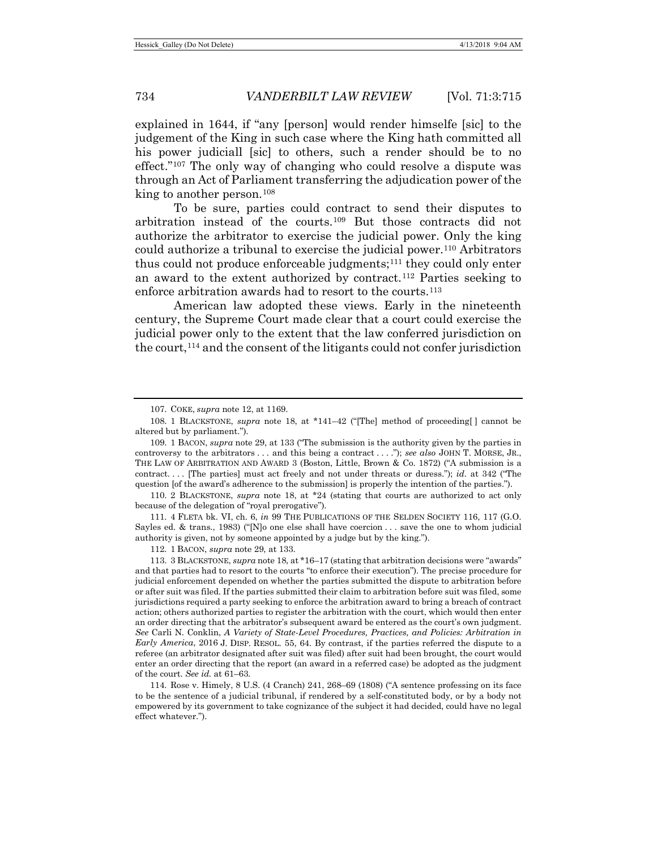explained in 1644, if "any [person] would render himselfe [sic] to the judgement of the King in such case where the King hath committed all his power judiciall [sic] to others, such a render should be to no effect."[107](#page-19-0) The only way of changing who could resolve a dispute was through an Act of Parliament transferring the adjudication power of the king to another person.<sup>[108](#page-19-1)</sup>

To be sure, parties could contract to send their disputes to arbitration instead of the courts.[109](#page-19-2) But those contracts did not authorize the arbitrator to exercise the judicial power. Only the king could authorize a tribunal to exercise the judicial power.[110](#page-19-3) Arbitrators thus could not produce enforceable judgments[;111](#page-19-4) they could only enter an award to the extent authorized by contract.[112](#page-19-5) Parties seeking to enforce arbitration awards had to resort to the courts.<sup>[113](#page-19-6)</sup>

American law adopted these views. Early in the nineteenth century, the Supreme Court made clear that a court could exercise the judicial power only to the extent that the law conferred jurisdiction on the court,  $114$  and the consent of the litigants could not confer jurisdiction

<span id="page-19-3"></span>110. 2 BLACKSTONE, *supra* note [18,](#page-5-0) at \*24 (stating that courts are authorized to act only because of the delegation of "royal prerogative").

<span id="page-19-4"></span>111. 4 FLETA bk. VI, ch. 6, *in* 99 THE PUBLICATIONS OF THE SELDEN SOCIETY 116, 117 (G.O. Sayles ed. & trans., 1983) ("[N]o one else shall have coercion  $\dots$  save the one to whom judicial authority is given, not by someone appointed by a judge but by the king.").

112. 1 BACON, *supra* note [29,](#page-7-9) at 133.

<span id="page-19-6"></span><span id="page-19-5"></span>113. 3 BLACKSTONE, *supra* not[e 18,](#page-5-0) at \*16–17 (stating that arbitration decisions were "awards" and that parties had to resort to the courts "to enforce their execution"). The precise procedure for judicial enforcement depended on whether the parties submitted the dispute to arbitration before or after suit was filed. If the parties submitted their claim to arbitration before suit was filed, some jurisdictions required a party seeking to enforce the arbitration award to bring a breach of contract action; others authorized parties to register the arbitration with the court, which would then enter an order directing that the arbitrator's subsequent award be entered as the court's own judgment. *See* Carli N. Conklin, *A Variety of State-Level Procedures, Practices, and Policies: Arbitration in Early America*, 2016 J. DISP. RESOL. 55, 64. By contrast, if the parties referred the dispute to a referee (an arbitrator designated after suit was filed) after suit had been brought, the court would enter an order directing that the report (an award in a referred case) be adopted as the judgment of the court. *See id.* at 61–63.

<span id="page-19-7"></span>114. Rose v. Himely, 8 U.S. (4 Cranch) 241, 268–69 (1808) ("A sentence professing on its face to be the sentence of a judicial tribunal, if rendered by a self-constituted body, or by a body not empowered by its government to take cognizance of the subject it had decided, could have no legal effect whatever.").

<sup>107.</sup> COKE, *supra* not[e 12,](#page-3-5) at 1169.

<span id="page-19-1"></span><span id="page-19-0"></span><sup>108.</sup> 1 BLACKSTONE, *supra* note 18, at \*141–42 ("[The] method of proceeding[ ] cannot be altered but by parliament.").

<span id="page-19-2"></span><sup>109.</sup> 1 BACON, *supra* not[e 29,](#page-7-9) at 133 ("The submission is the authority given by the parties in controversy to the arbitrators . . . and this being a contract . . . ."); *see also* JOHN T. MORSE, JR., THE LAW OF ARBITRATION AND AWARD 3 (Boston, Little, Brown & Co. 1872) ("A submission is a contract. . . . [The parties] must act freely and not under threats or duress."); *id.* at 342 ("The question [of the award's adherence to the submission] is properly the intention of the parties.").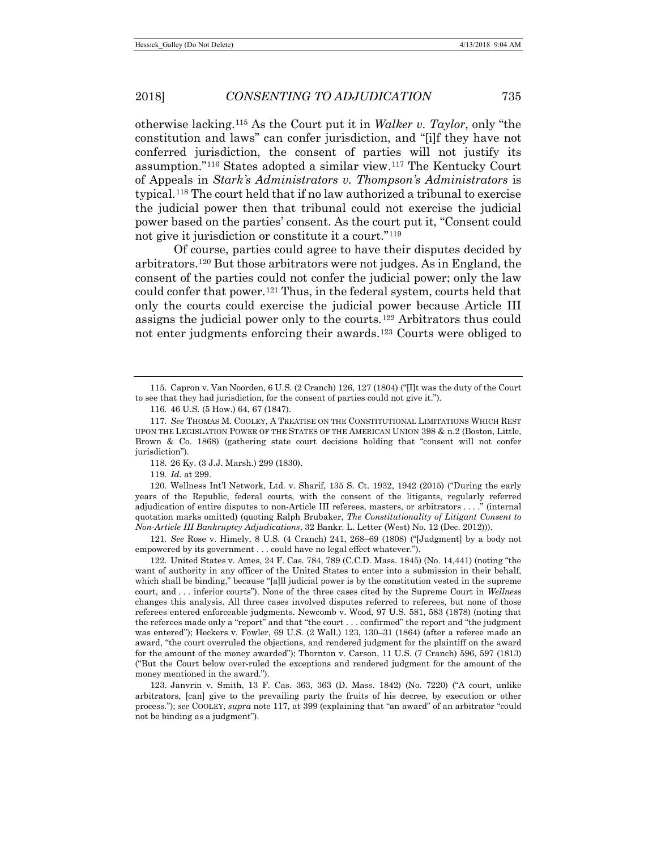<span id="page-20-0"></span>otherwise lacking[.115](#page-20-1) As the Court put it in *Walker v. Taylor*, only "the constitution and laws" can confer jurisdiction, and "[i]f they have not conferred jurisdiction, the consent of parties will not justify its assumption."[116](#page-20-2) States adopted a similar view.[117](#page-20-3) The Kentucky Court of Appeals in *Stark's Administrators v. Thompson's Administrators* is typical.[118](#page-20-4) The court held that if no law authorized a tribunal to exercise the judicial power then that tribunal could not exercise the judicial power based on the parties' consent. As the court put it, "Consent could not give it jurisdiction or constitute it a court."[119](#page-20-5)

<span id="page-20-10"></span>Of course, parties could agree to have their disputes decided by arbitrators.[120](#page-20-6) But those arbitrators were not judges. As in England, the consent of the parties could not confer the judicial power; only the law could confer that power.<sup>[121](#page-20-7)</sup> Thus, in the federal system, courts held that only the courts could exercise the judicial power because Article III assigns the judicial power only to the courts.[122](#page-20-8) Arbitrators thus could not enter judgments enforcing their awards[.123](#page-20-9) Courts were obliged to

119*. Id.* at 299.

<span id="page-20-7"></span>121*. See* Rose v. Himely, 8 U.S. (4 Cranch) 241, 268–69 (1808) ("[Judgment] by a body not empowered by its government . . . could have no legal effect whatever.").

<span id="page-20-8"></span>122. United States v. Ames, 24 F. Cas. 784, 789 (C.C.D. Mass. 1845) (No. 14,441) (noting "the want of authority in any officer of the United States to enter into a submission in their behalf, which shall be binding," because "[a]ll judicial power is by the constitution vested in the supreme court, and . . . inferior courts"). None of the three cases cited by the Supreme Court in *Wellness* changes this analysis. All three cases involved disputes referred to referees, but none of those referees entered enforceable judgments. Newcomb v. Wood, 97 U.S. 581, 583 (1878) (noting that the referees made only a "report" and that "the court . . . confirmed" the report and "the judgment was entered"); Heckers v. Fowler, 69 U.S. (2 Wall.) 123, 130–31 (1864) (after a referee made an award, "the court overruled the objections, and rendered judgment for the plaintiff on the award for the amount of the money awarded"); Thornton v. Carson, 11 U.S. (7 Cranch) 596, 597 (1813) ("But the Court below over-ruled the exceptions and rendered judgment for the amount of the money mentioned in the award.").

<span id="page-20-9"></span>123. Janvrin v. Smith, 13 F. Cas. 363, 363 (D. Mass. 1842) (No. 7220) ("A court, unlike arbitrators, [can] give to the prevailing party the fruits of his decree, by execution or other process."); *see* COOLEY, *supra* not[e 117,](#page-20-0) at 399 (explaining that "an award" of an arbitrator "could not be binding as a judgment").

<span id="page-20-1"></span><sup>115.</sup> Capron v. Van Noorden, 6 U.S. (2 Cranch) 126, 127 (1804) ("[I]t was the duty of the Court to see that they had jurisdiction, for the consent of parties could not give it.").

<sup>116.</sup> 46 U.S. (5 How.) 64, 67 (1847).

<span id="page-20-3"></span><span id="page-20-2"></span><sup>117</sup>*. See* THOMAS M. COOLEY, A TREATISE ON THE CONSTITUTIONAL LIMITATIONS WHICH REST UPON THE LEGISLATION POWER OF THE STATES OF THE AMERICAN UNION 398 & n.2 (Boston, Little, Brown & Co. 1868) (gathering state court decisions holding that "consent will not confer jurisdiction").

<sup>118.</sup> 26 Ky. (3 J.J. Marsh.) 299 (1830).

<span id="page-20-6"></span><span id="page-20-5"></span><span id="page-20-4"></span><sup>120.</sup> Wellness Int'l Network, Ltd. v. Sharif, 135 S. Ct. 1932, 1942 (2015) ("During the early years of the Republic, federal courts, with the consent of the litigants, regularly referred adjudication of entire disputes to non-Article III referees, masters, or arbitrators . . . ." (internal quotation marks omitted) (quoting Ralph Brubaker, *The Constitutionality of Litigant Consent to Non-Article III Bankruptcy Adjudications*, 32 Bankr. L. Letter (West) No. 12 (Dec. 2012))).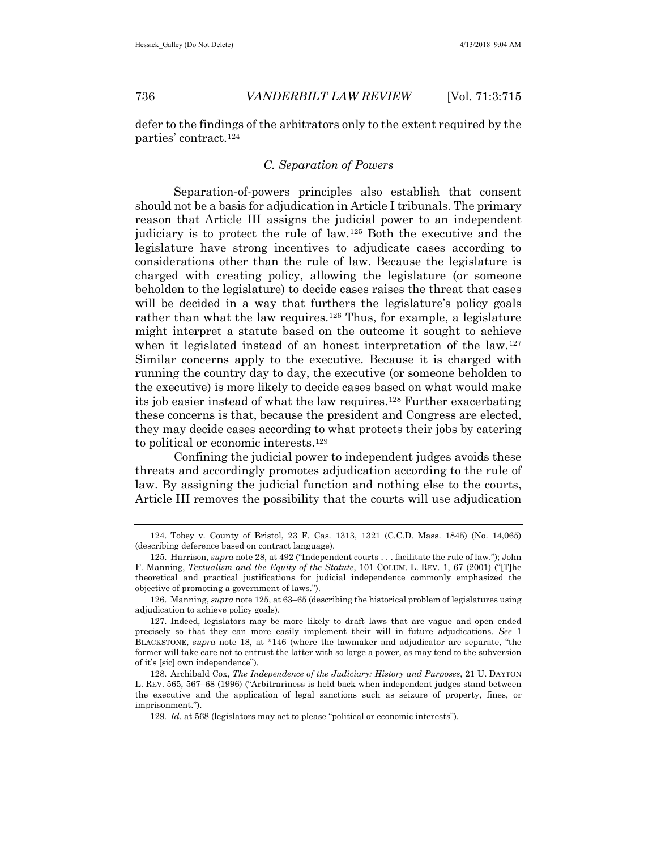defer to the findings of the arbitrators only to the extent required by the parties' contract.[124](#page-21-1)

# <span id="page-21-7"></span><span id="page-21-0"></span>*C. Separation of Powers*

Separation-of-powers principles also establish that consent should not be a basis for adjudication in Article I tribunals. The primary reason that Article III assigns the judicial power to an independent judiciary is to protect the rule of law.[125](#page-21-2) Both the executive and the legislature have strong incentives to adjudicate cases according to considerations other than the rule of law. Because the legislature is charged with creating policy, allowing the legislature (or someone beholden to the legislature) to decide cases raises the threat that cases will be decided in a way that furthers the legislature's policy goals rather than what the law requires.<sup>[126](#page-21-3)</sup> Thus, for example, a legislature might interpret a statute based on the outcome it sought to achieve when it legislated instead of an honest interpretation of the law.<sup>[127](#page-21-4)</sup> Similar concerns apply to the executive. Because it is charged with running the country day to day, the executive (or someone beholden to the executive) is more likely to decide cases based on what would make its job easier instead of what the law requires.<sup>[128](#page-21-5)</sup> Further exacerbating these concerns is that, because the president and Congress are elected, they may decide cases according to what protects their jobs by catering to political or economic interests.[129](#page-21-6)

Confining the judicial power to independent judges avoids these threats and accordingly promotes adjudication according to the rule of law. By assigning the judicial function and nothing else to the courts, Article III removes the possibility that the courts will use adjudication

<span id="page-21-1"></span><sup>124.</sup> Tobey v. County of Bristol, 23 F. Cas. 1313, 1321 (C.C.D. Mass. 1845) (No. 14,065) (describing deference based on contract language).

<span id="page-21-2"></span><sup>125.</sup> Harrison, *supra* not[e 28,](#page-7-10) at 492 ("Independent courts . . . facilitate the rule of law."); John F. Manning, *Textualism and the Equity of the Statute*, 101 COLUM. L. REV. 1, 67 (2001) ("[T]he theoretical and practical justifications for judicial independence commonly emphasized the objective of promoting a government of laws.").

<span id="page-21-3"></span><sup>126.</sup> Manning, *supra* not[e 125,](#page-21-0) at 63–65 (describing the historical problem of legislatures using adjudication to achieve policy goals).

<span id="page-21-4"></span><sup>127.</sup> Indeed, legislators may be more likely to draft laws that are vague and open ended precisely so that they can more easily implement their will in future adjudications. *See* 1 BLACKSTONE, *supra* note [18,](#page-5-0) at \*146 (where the lawmaker and adjudicator are separate, "the former will take care not to entrust the latter with so large a power, as may tend to the subversion of it's [sic] own independence").

<span id="page-21-6"></span><span id="page-21-5"></span><sup>128.</sup> Archibald Cox, *The Independence of the Judiciary: History and Purposes*, 21 U. DAYTON L. REV. 565, 567–68 (1996) ("Arbitrariness is held back when independent judges stand between the executive and the application of legal sanctions such as seizure of property, fines, or imprisonment.").

<sup>129</sup>*. Id.* at 568 (legislators may act to please "political or economic interests").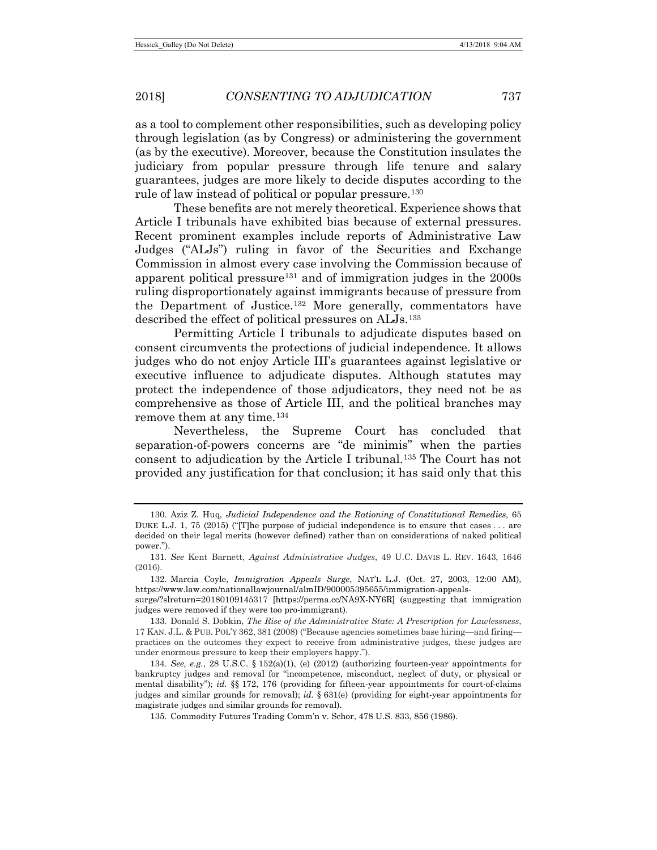as a tool to complement other responsibilities, such as developing policy through legislation (as by Congress) or administering the government (as by the executive). Moreover, because the Constitution insulates the judiciary from popular pressure through life tenure and salary guarantees, judges are more likely to decide disputes according to the rule of law instead of political or popular pressure.<sup>[130](#page-22-0)</sup>

These benefits are not merely theoretical. Experience shows that Article I tribunals have exhibited bias because of external pressures. Recent prominent examples include reports of Administrative Law Judges ("ALJs") ruling in favor of the Securities and Exchange Commission in almost every case involving the Commission because of apparent political pressure<sup>[131](#page-22-1)</sup> and of immigration judges in the  $2000s$ ruling disproportionately against immigrants because of pressure from the Department of Justice.[132](#page-22-2) More generally, commentators have described the effect of political pressures on ALJs.[133](#page-22-3)

<span id="page-22-7"></span><span id="page-22-6"></span>Permitting Article I tribunals to adjudicate disputes based on consent circumvents the protections of judicial independence. It allows judges who do not enjoy Article III's guarantees against legislative or executive influence to adjudicate disputes. Although statutes may protect the independence of those adjudicators, they need not be as comprehensive as those of Article III, and the political branches may remove them at any time.<sup>[134](#page-22-4)</sup>

Nevertheless, the Supreme Court has concluded that separation-of-powers concerns are "de minimis" when the parties consent to adjudication by the Article I tribunal.[135](#page-22-5) The Court has not provided any justification for that conclusion; it has said only that this

<span id="page-22-0"></span><sup>130.</sup> Aziz Z. Huq, *Judicial Independence and the Rationing of Constitutional Remedies*, 65 DUKE L.J. 1, 75 (2015) ("The purpose of judicial independence is to ensure that cases  $\dots$  are decided on their legal merits (however defined) rather than on considerations of naked political power.").

<span id="page-22-1"></span><sup>131</sup>*. See* Kent Barnett, *Against Administrative Judges*, 49 U.C. DAVIS L. REV. 1643, 1646 (2016).

<span id="page-22-2"></span><sup>132.</sup> Marcia Coyle, *Immigration Appeals Surge*, NAT'L L.J. (Oct. 27, 2003, 12:00 AM), https://www.law.com/nationallawjournal/almID/900005395655/immigration-appeals-

surge/?slreturn=20180109145317 [https://perma.cc/NA9X-NY6R] (suggesting that immigration judges were removed if they were too pro-immigrant).

<span id="page-22-3"></span><sup>133.</sup> Donald S. Dobkin, *The Rise of the Administrative State: A Prescription for Lawlessness*, 17 KAN. J.L. & PUB. POL'Y 362, 381 (2008) ("Because agencies sometimes base hiring—and firing practices on the outcomes they expect to receive from administrative judges, these judges are under enormous pressure to keep their employers happy.").

<span id="page-22-5"></span><span id="page-22-4"></span><sup>134</sup>*. See, e.g.*, 28 U.S.C. § 152(a)(1), (e) (2012) (authorizing fourteen-year appointments for bankruptcy judges and removal for "incompetence, misconduct, neglect of duty, or physical or mental disability"); *id.* §§ 172, 176 (providing for fifteen-year appointments for court-of-claims judges and similar grounds for removal); *id.* § 631(e) (providing for eight-year appointments for magistrate judges and similar grounds for removal).

<sup>135.</sup> Commodity Futures Trading Comm'n v. Schor, 478 U.S. 833, 856 (1986).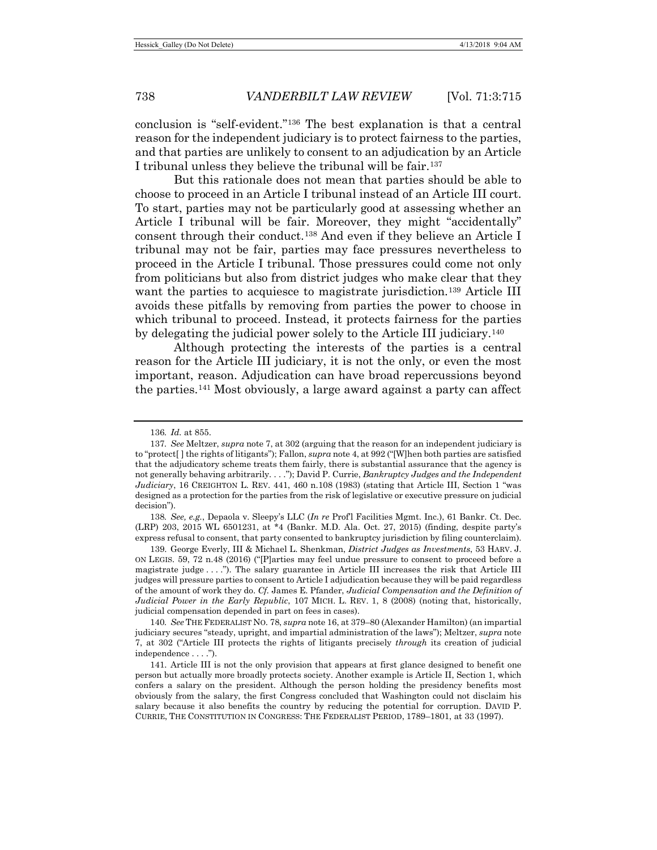conclusion is "self-evident."[136](#page-23-0) The best explanation is that a central reason for the independent judiciary is to protect fairness to the parties, and that parties are unlikely to consent to an adjudication by an Article I tribunal unless they believe the tribunal will be fair.<sup>[137](#page-23-1)</sup>

<span id="page-23-6"></span>But this rationale does not mean that parties should be able to choose to proceed in an Article I tribunal instead of an Article III court. To start, parties may not be particularly good at assessing whether an Article I tribunal will be fair. Moreover, they might "accidentally" consent through their conduct.[138](#page-23-2) And even if they believe an Article I tribunal may not be fair, parties may face pressures nevertheless to proceed in the Article I tribunal. Those pressures could come not only from politicians but also from district judges who make clear that they want the parties to acquiesce to magistrate jurisdiction.<sup>[139](#page-23-3)</sup> Article III avoids these pitfalls by removing from parties the power to choose in which tribunal to proceed. Instead, it protects fairness for the parties by delegating the judicial power solely to the Article III judiciary[.140](#page-23-4)

Although protecting the interests of the parties is a central reason for the Article III judiciary, it is not the only, or even the most important, reason. Adjudication can have broad repercussions beyond the parties.[141](#page-23-5) Most obviously, a large award against a party can affect

<span id="page-23-2"></span>138*. See, e.g.*, Depaola v. Sleepy's LLC (*In re* Prof'l Facilities Mgmt. Inc.), 61 Bankr. Ct. Dec. (LRP) 203, 2015 WL 6501231, at \*4 (Bankr. M.D. Ala. Oct. 27, 2015) (finding, despite party's express refusal to consent, that party consented to bankruptcy jurisdiction by filing counterclaim).

<span id="page-23-3"></span>139. George Everly, III & Michael L. Shenkman, *District Judges as Investments*, 53 HARV. J. ON LEGIS. 59, 72 n.48 (2016) ("[P]arties may feel undue pressure to consent to proceed before a magistrate judge . . . ."). The salary guarantee in Article III increases the risk that Article III judges will pressure parties to consent to Article I adjudication because they will be paid regardless of the amount of work they do. *Cf.* James E. Pfander, *Judicial Compensation and the Definition of Judicial Power in the Early Republic*, 107 MICH. L. REV. 1, 8 (2008) (noting that, historically, judicial compensation depended in part on fees in cases).

<span id="page-23-4"></span>140*. See* THE FEDERALIST NO. 78, *supra* not[e 16,](#page-5-1) at 379–80 (Alexander Hamilton) (an impartial judiciary secures "steady, upright, and impartial administration of the laws"); Meltzer, *supra* note [7,](#page-2-7) at 302 ("Article III protects the rights of litigants precisely *through* its creation of judicial independence . . . .").

<span id="page-23-5"></span>141. Article III is not the only provision that appears at first glance designed to benefit one person but actually more broadly protects society. Another example is Article II, Section 1, which confers a salary on the president. Although the person holding the presidency benefits most obviously from the salary, the first Congress concluded that Washington could not disclaim his salary because it also benefits the country by reducing the potential for corruption. DAVID P. CURRIE, THE CONSTITUTION IN CONGRESS: THE FEDERALIST PERIOD, 1789–1801, at 33 (1997).

<sup>136</sup>*. Id.* at 855.

<span id="page-23-1"></span><span id="page-23-0"></span><sup>137</sup>*. See* Meltzer, *supra* not[e 7,](#page-2-7) at 302 (arguing that the reason for an independent judiciary is to "protect[ ] the rights of litigants"); Fallon, *supra* not[e 4,](#page-2-0) at 992 ("[W]hen both parties are satisfied that the adjudicatory scheme treats them fairly, there is substantial assurance that the agency is not generally behaving arbitrarily. . . ."); David P. Currie, *Bankruptcy Judges and the Independent Judiciary*, 16 CREIGHTON L. REV. 441, 460 n.108 (1983) (stating that Article III, Section 1 "was designed as a protection for the parties from the risk of legislative or executive pressure on judicial decision").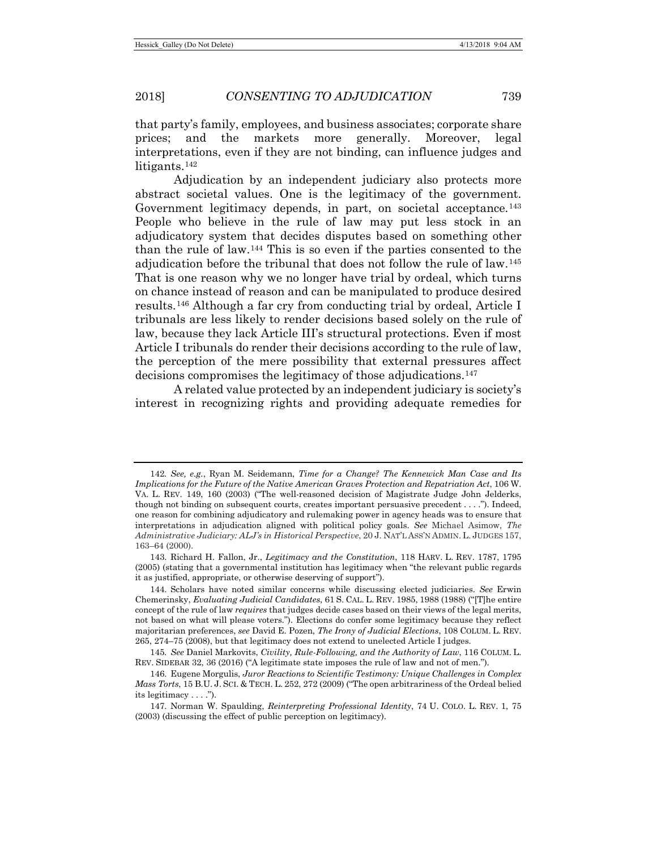that party's family, employees, and business associates; corporate share prices; and the markets more generally. Moreover, legal interpretations, even if they are not binding, can influence judges and litigants.<sup>[142](#page-24-0)</sup>

Adjudication by an independent judiciary also protects more abstract societal values. One is the legitimacy of the government. Government legitimacy depends, in part, on societal acceptance.<sup>[143](#page-24-1)</sup> People who believe in the rule of law may put less stock in an adjudicatory system that decides disputes based on something other than the rule of law.[144](#page-24-2) This is so even if the parties consented to the adjudication before the tribunal that does not follow the rule of law.[145](#page-24-3) That is one reason why we no longer have trial by ordeal, which turns on chance instead of reason and can be manipulated to produce desired results.[146](#page-24-4) Although a far cry from conducting trial by ordeal, Article I tribunals are less likely to render decisions based solely on the rule of law, because they lack Article III's structural protections. Even if most Article I tribunals do render their decisions according to the rule of law, the perception of the mere possibility that external pressures affect decisions compromises the legitimacy of those adjudications.[147](#page-24-5)

A related value protected by an independent judiciary is society's interest in recognizing rights and providing adequate remedies for

<span id="page-24-0"></span><sup>142</sup>*. See, e.g.*, Ryan M. Seidemann, *Time for a Change? The Kennewick Man Case and Its Implications for the Future of the Native American Graves Protection and Repatriation Act*, 106 W. VA. L. REV. 149, 160 (2003) ("The well-reasoned decision of Magistrate Judge John Jelderks, though not binding on subsequent courts, creates important persuasive precedent . . . ."). Indeed, one reason for combining adjudicatory and rulemaking power in agency heads was to ensure that interpretations in adjudication aligned with political policy goals. *See* Michael Asimow, *The Administrative Judiciary: ALJ's in Historical Perspective*, 20 J. NAT'L ASS'N ADMIN. L. JUDGES 157, 163–64 (2000).

<span id="page-24-1"></span><sup>143.</sup> Richard H. Fallon, Jr., *Legitimacy and the Constitution*, 118 HARV. L. REV. 1787, 1795 (2005) (stating that a governmental institution has legitimacy when "the relevant public regards it as justified, appropriate, or otherwise deserving of support").

<span id="page-24-2"></span><sup>144.</sup> Scholars have noted similar concerns while discussing elected judiciaries. *See* Erwin Chemerinsky, *Evaluating Judicial Candidates*, 61 S. CAL. L. REV. 1985, 1988 (1988) ("[T]he entire concept of the rule of law *requires* that judges decide cases based on their views of the legal merits, not based on what will please voters."). Elections do confer some legitimacy because they reflect majoritarian preferences, *see* David E. Pozen, *The Irony of Judicial Elections*, 108 COLUM. L. REV. 265, 274–75 (2008), but that legitimacy does not extend to unelected Article I judges.

<span id="page-24-3"></span><sup>145</sup>*. See* Daniel Markovits, *Civility, Rule-Following, and the Authority of Law*, 116 COLUM. L. REV. SIDEBAR 32, 36 (2016) ("A legitimate state imposes the rule of law and not of men.").

<span id="page-24-4"></span><sup>146.</sup> Eugene Morgulis, *Juror Reactions to Scientific Testimony: Unique Challenges in Complex Mass Torts*, 15 B.U. J. SCI. & TECH. L. 252, 272 (2009) ("The open arbitrariness of the Ordeal belied its legitimacy . . . .").

<span id="page-24-5"></span><sup>147.</sup> Norman W. Spaulding, *Reinterpreting Professional Identity*, 74 U. COLO. L. REV. 1, 75 (2003) (discussing the effect of public perception on legitimacy).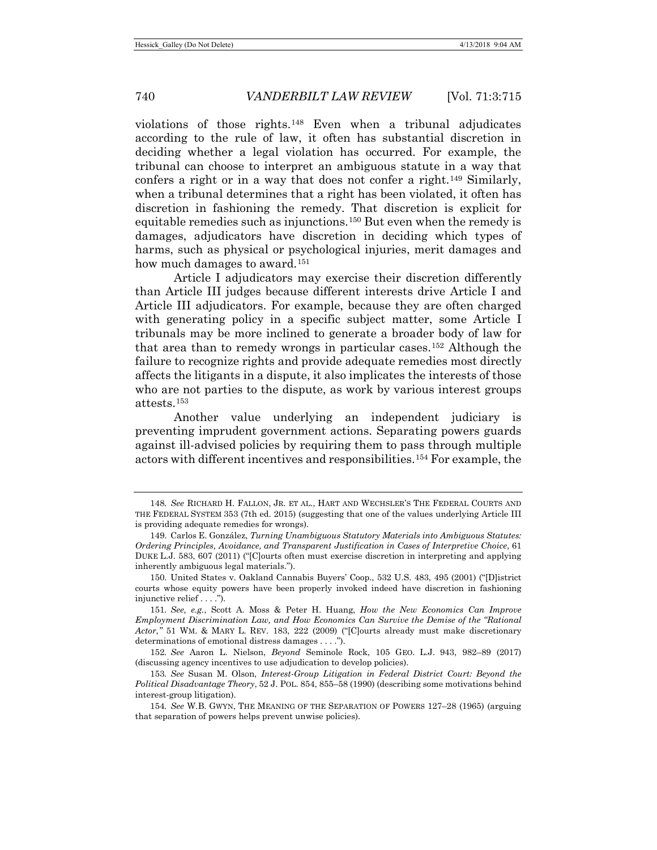violations of those rights.[148](#page-25-0) Even when a tribunal adjudicates according to the rule of law, it often has substantial discretion in deciding whether a legal violation has occurred. For example, the tribunal can choose to interpret an ambiguous statute in a way that confers a right or in a way that does not confer a right.[149](#page-25-1) Similarly, when a tribunal determines that a right has been violated, it often has discretion in fashioning the remedy. That discretion is explicit for equitable remedies such as injunctions.[150](#page-25-2) But even when the remedy is damages, adjudicators have discretion in deciding which types of harms, such as physical or psychological injuries, merit damages and how much damages to award.<sup>[151](#page-25-3)</sup>

Article I adjudicators may exercise their discretion differently than Article III judges because different interests drive Article I and Article III adjudicators. For example, because they are often charged with generating policy in a specific subject matter, some Article I tribunals may be more inclined to generate a broader body of law for that area than to remedy wrongs in particular cases.[152](#page-25-4) Although the failure to recognize rights and provide adequate remedies most directly affects the litigants in a dispute, it also implicates the interests of those who are not parties to the dispute, as work by various interest groups attests.[153](#page-25-5)

Another value underlying an independent judiciary is preventing imprudent government actions. Separating powers guards against ill-advised policies by requiring them to pass through multiple actors with different incentives and responsibilities.[154](#page-25-6) For example, the

<span id="page-25-0"></span><sup>148</sup>*. See* RICHARD H. FALLON, JR. ET AL., HART AND WECHSLER'S THE FEDERAL COURTS AND THE FEDERAL SYSTEM 353 (7th ed. 2015) (suggesting that one of the values underlying Article III is providing adequate remedies for wrongs).

<span id="page-25-1"></span><sup>149.</sup> Carlos E. González, *Turning Unambiguous Statutory Materials into Ambiguous Statutes: Ordering Principles, Avoidance, and Transparent Justification in Cases of Interpretive Choice*, 61 DUKE L.J. 583, 607 (2011) ("[C]ourts often must exercise discretion in interpreting and applying inherently ambiguous legal materials.").

<span id="page-25-2"></span><sup>150.</sup> United States v. Oakland Cannabis Buyers' Coop., 532 U.S. 483, 495 (2001) ("[D]istrict courts whose equity powers have been properly invoked indeed have discretion in fashioning injunctive relief . . . .").

<span id="page-25-3"></span><sup>151</sup>*. See, e.g.*, Scott A. Moss & Peter H. Huang, *How the New Economics Can Improve Employment Discrimination Law, and How Economics Can Survive the Demise of the "Rational Actor*,*"* 51 WM. & MARY L. REV. 183, 222 (2009) ("[C]ourts already must make discretionary determinations of emotional distress damages . . . .").

<span id="page-25-4"></span><sup>152</sup>*. See* Aaron L. Nielson, *Beyond* Seminole Rock, 105 GEO. L.J. 943, 982–89 (2017) (discussing agency incentives to use adjudication to develop policies).

<span id="page-25-5"></span><sup>153</sup>*. See* Susan M. Olson, *Interest-Group Litigation in Federal District Court: Beyond the Political Disadvantage Theory*, 52 J. POL. 854, 855–58 (1990) (describing some motivations behind interest-group litigation).

<span id="page-25-6"></span><sup>154</sup>*. See* W.B. GWYN, THE MEANING OF THE SEPARATION OF POWERS 127–28 (1965) (arguing that separation of powers helps prevent unwise policies).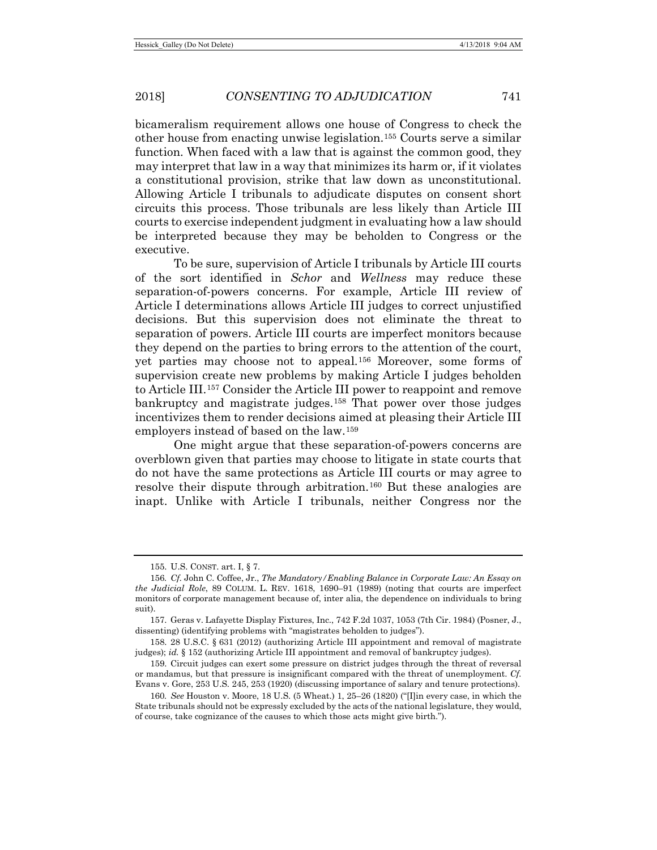bicameralism requirement allows one house of Congress to check the other house from enacting unwise legislation.[155](#page-26-0) Courts serve a similar function. When faced with a law that is against the common good, they may interpret that law in a way that minimizes its harm or, if it violates a constitutional provision, strike that law down as unconstitutional. Allowing Article I tribunals to adjudicate disputes on consent short circuits this process. Those tribunals are less likely than Article III courts to exercise independent judgment in evaluating how a law should be interpreted because they may be beholden to Congress or the executive.

To be sure, supervision of Article I tribunals by Article III courts of the sort identified in *Schor* and *Wellness* may reduce these separation-of-powers concerns. For example, Article III review of Article I determinations allows Article III judges to correct unjustified decisions. But this supervision does not eliminate the threat to separation of powers. Article III courts are imperfect monitors because they depend on the parties to bring errors to the attention of the court, yet parties may choose not to appeal.[156](#page-26-1) Moreover, some forms of supervision create new problems by making Article I judges beholden to Article III.[157](#page-26-2) Consider the Article III power to reappoint and remove bankruptcy and magistrate judges.[158](#page-26-3) That power over those judges incentivizes them to render decisions aimed at pleasing their Article III employers instead of based on the law.[159](#page-26-4)

One might argue that these separation-of-powers concerns are overblown given that parties may choose to litigate in state courts that do not have the same protections as Article III courts or may agree to resolve their dispute through arbitration.[160](#page-26-5) But these analogies are inapt. Unlike with Article I tribunals, neither Congress nor the

<sup>155.</sup> U.S. CONST. art. I, § 7.

<span id="page-26-1"></span><span id="page-26-0"></span><sup>156</sup>*. Cf.* John C. Coffee, Jr., *The Mandatory/Enabling Balance in Corporate Law: An Essay on the Judicial Role*, 89 COLUM. L. REV. 1618, 1690–91 (1989) (noting that courts are imperfect monitors of corporate management because of, inter alia, the dependence on individuals to bring suit).

<span id="page-26-2"></span><sup>157.</sup> Geras v. Lafayette Display Fixtures, Inc., 742 F.2d 1037, 1053 (7th Cir. 1984) (Posner, J., dissenting) (identifying problems with "magistrates beholden to judges").

<span id="page-26-3"></span><sup>158.</sup> 28 U.S.C. § 631 (2012) (authorizing Article III appointment and removal of magistrate judges); *id.* § 152 (authorizing Article III appointment and removal of bankruptcy judges).

<span id="page-26-4"></span><sup>159.</sup> Circuit judges can exert some pressure on district judges through the threat of reversal or mandamus, but that pressure is insignificant compared with the threat of unemployment. *Cf.* Evans v. Gore, 253 U.S. 245, 253 (1920) (discussing importance of salary and tenure protections).

<span id="page-26-5"></span><sup>160</sup>*. See* Houston v. Moore, 18 U.S. (5 Wheat.) 1, 25–26 (1820) ("[I]in every case, in which the State tribunals should not be expressly excluded by the acts of the national legislature, they would, of course, take cognizance of the causes to which those acts might give birth.").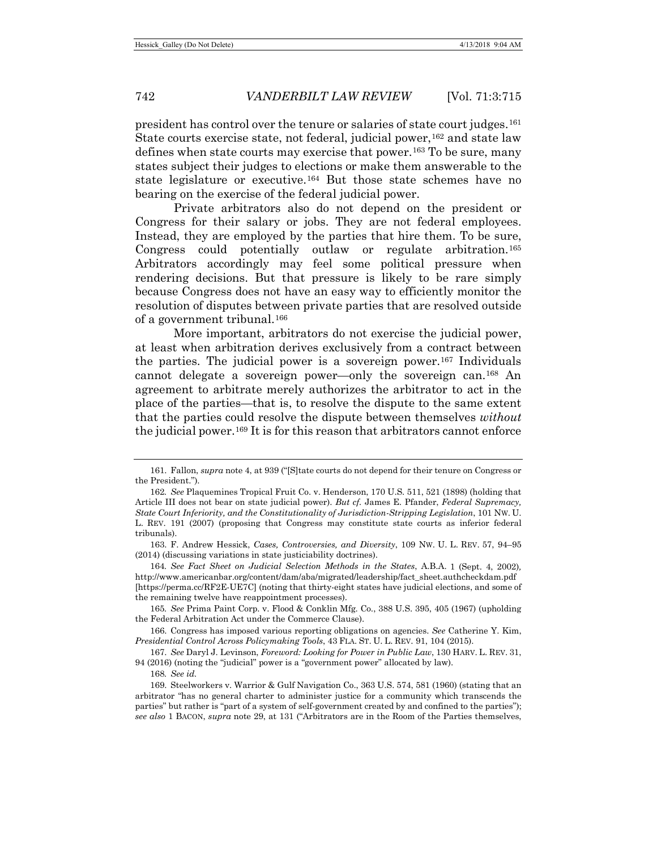president has control over the tenure or salaries of state court judges.[161](#page-27-0) State courts exercise state, not federal, judicial power,  $162$  and state law defines when state courts may exercise that power.<sup>[163](#page-27-2)</sup> To be sure, many states subject their judges to elections or make them answerable to the state legislature or executive.[164](#page-27-3) But those state schemes have no bearing on the exercise of the federal judicial power.

Private arbitrators also do not depend on the president or Congress for their salary or jobs. They are not federal employees. Instead, they are employed by the parties that hire them. To be sure, Congress could potentially outlaw or regulate arbitration.[165](#page-27-4) Arbitrators accordingly may feel some political pressure when rendering decisions. But that pressure is likely to be rare simply because Congress does not have an easy way to efficiently monitor the resolution of disputes between private parties that are resolved outside of a government tribunal.[166](#page-27-5)

More important, arbitrators do not exercise the judicial power, at least when arbitration derives exclusively from a contract between the parties. The judicial power is a sovereign power.<sup>[167](#page-27-6)</sup> Individuals cannot delegate a sovereign power—only the sovereign can.[168](#page-27-7) An agreement to arbitrate merely authorizes the arbitrator to act in the place of the parties—that is, to resolve the dispute to the same extent that the parties could resolve the dispute between themselves *without*  the judicial power[.169](#page-27-8) It is for this reason that arbitrators cannot enforce

<span id="page-27-0"></span><sup>161.</sup> Fallon, *supra* not[e 4,](#page-2-0) at 939 ("[S]tate courts do not depend for their tenure on Congress or the President.").

<span id="page-27-1"></span><sup>162</sup>*. See* Plaquemines Tropical Fruit Co. v. Henderson, 170 U.S. 511, 521 (1898) (holding that Article III does not bear on state judicial power). *But cf.* James E. Pfander, *Federal Supremacy, State Court Inferiority, and the Constitutionality of Jurisdiction-Stripping Legislation*, 101 NW. U. L. REV. 191 (2007) (proposing that Congress may constitute state courts as inferior federal tribunals).

<span id="page-27-2"></span><sup>163.</sup> F. Andrew Hessick, *Cases, Controversies, and Diversity*, 109 NW. U. L. REV. 57, 94–95 (2014) (discussing variations in state justiciability doctrines).

<span id="page-27-3"></span><sup>164</sup>*. See Fact Sheet on Judicial Selection Methods in the States*, A.B.A. 1 (Sept. 4, 2002)*,*  http://www.americanbar.org/content/dam/aba/migrated/leadership/fact\_sheet.authcheckdam.pdf [https://perma.cc/RF2E-UE7C] (noting that thirty-eight states have judicial elections, and some of the remaining twelve have reappointment processes).

<span id="page-27-4"></span><sup>165</sup>*. See* Prima Paint Corp. v. Flood & Conklin Mfg. Co., 388 U.S. 395, 405 (1967) (upholding the Federal Arbitration Act under the Commerce Clause).

<span id="page-27-5"></span><sup>166.</sup> Congress has imposed various reporting obligations on agencies. *See* Catherine Y. Kim, *Presidential Control Across Policymaking Tools*, 43 FLA. ST. U. L. REV. 91, 104 (2015).

<span id="page-27-6"></span><sup>167.</sup> *See* Daryl J. Levinson, *Foreword: Looking for Power in Public Law*, 130 HARV. L. REV. 31, 94 (2016) (noting the "judicial" power is a "government power" allocated by law).

<sup>168</sup>*. See id.*

<span id="page-27-8"></span><span id="page-27-7"></span><sup>169.</sup> Steelworkers v. Warrior & Gulf Navigation Co., 363 U.S. 574, 581 (1960) (stating that an arbitrator "has no general charter to administer justice for a community which transcends the parties" but rather is "part of a system of self-government created by and confined to the parties"); *see also* 1 BACON, *supra* note [29,](#page-7-9) at 131 ("Arbitrators are in the Room of the Parties themselves,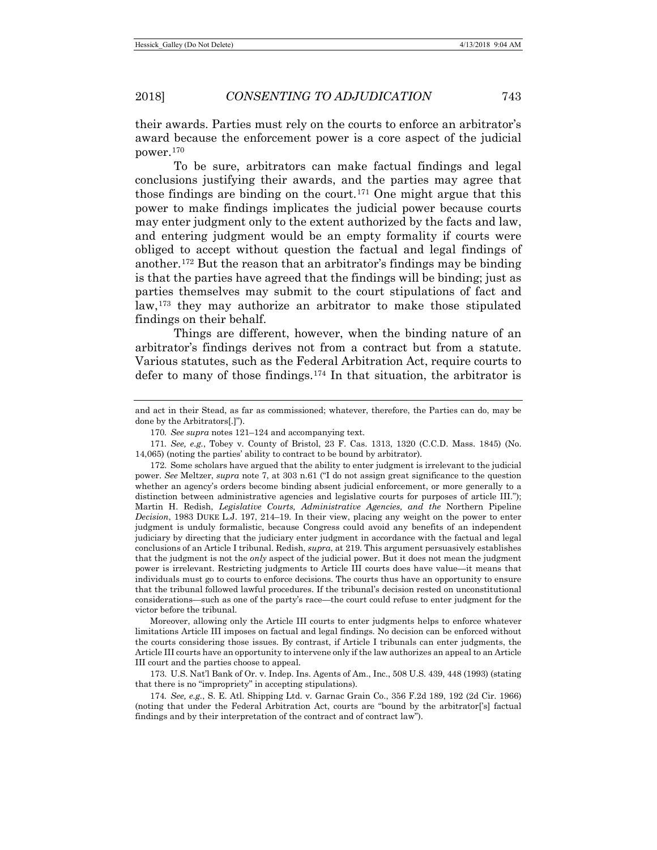their awards. Parties must rely on the courts to enforce an arbitrator's award because the enforcement power is a core aspect of the judicial power.[170](#page-28-1)

To be sure, arbitrators can make factual findings and legal conclusions justifying their awards, and the parties may agree that those findings are binding on the court.<sup>[171](#page-28-2)</sup> One might argue that this power to make findings implicates the judicial power because courts may enter judgment only to the extent authorized by the facts and law, and entering judgment would be an empty formality if courts were obliged to accept without question the factual and legal findings of another.[172](#page-28-3) But the reason that an arbitrator's findings may be binding is that the parties have agreed that the findings will be binding; just as parties themselves may submit to the court stipulations of fact and law,[173](#page-28-4) they may authorize an arbitrator to make those stipulated findings on their behalf.

<span id="page-28-0"></span>Things are different, however, when the binding nature of an arbitrator's findings derives not from a contract but from a statute. Various statutes, such as the Federal Arbitration Act, require courts to defer to many of those findings.[174](#page-28-5) In that situation, the arbitrator is

Moreover, allowing only the Article III courts to enter judgments helps to enforce whatever limitations Article III imposes on factual and legal findings. No decision can be enforced without the courts considering those issues. By contrast, if Article I tribunals can enter judgments, the Article III courts have an opportunity to intervene only if the law authorizes an appeal to an Article III court and the parties choose to appeal.

<span id="page-28-4"></span>173. U.S. Nat'l Bank of Or. v. Indep. Ins. Agents of Am., Inc., 508 U.S. 439, 448 (1993) (stating that there is no "impropriety" in accepting stipulations).

<span id="page-28-5"></span>174*. See, e.g.*, S. E. Atl. Shipping Ltd. v. Garnac Grain Co., 356 F.2d 189, 192 (2d Cir. 1966) (noting that under the Federal Arbitration Act, courts are "bound by the arbitrator['s] factual findings and by their interpretation of the contract and of contract law").

and act in their Stead, as far as commissioned; whatever, therefore, the Parties can do, may be done by the Arbitrators[.]").

<sup>170</sup>*. See supra* notes [121–](#page-20-10)[124](#page-21-7) and accompanying text.

<span id="page-28-2"></span><span id="page-28-1"></span><sup>171</sup>*. See, e.g.*, Tobey v. County of Bristol, 23 F. Cas. 1313, 1320 (C.C.D. Mass. 1845) (No. 14,065) (noting the parties' ability to contract to be bound by arbitrator).

<span id="page-28-3"></span><sup>172.</sup> Some scholars have argued that the ability to enter judgment is irrelevant to the judicial power. *See* Meltzer, *supra* note 7, at 303 n.61 ("I do not assign great significance to the question whether an agency's orders become binding absent judicial enforcement, or more generally to a distinction between administrative agencies and legislative courts for purposes of article III."); Martin H. Redish, *Legislative Courts, Administrative Agencies, and the* Northern Pipeline *Decision*, 1983 DUKE L.J. 197, 214–19. In their view, placing any weight on the power to enter judgment is unduly formalistic, because Congress could avoid any benefits of an independent judiciary by directing that the judiciary enter judgment in accordance with the factual and legal conclusions of an Article I tribunal. Redish, *supra*, at 219. This argument persuasively establishes that the judgment is not the *only* aspect of the judicial power. But it does not mean the judgment power is irrelevant. Restricting judgments to Article III courts does have value—it means that individuals must go to courts to enforce decisions. The courts thus have an opportunity to ensure that the tribunal followed lawful procedures. If the tribunal's decision rested on unconstitutional considerations—such as one of the party's race—the court could refuse to enter judgment for the victor before the tribunal.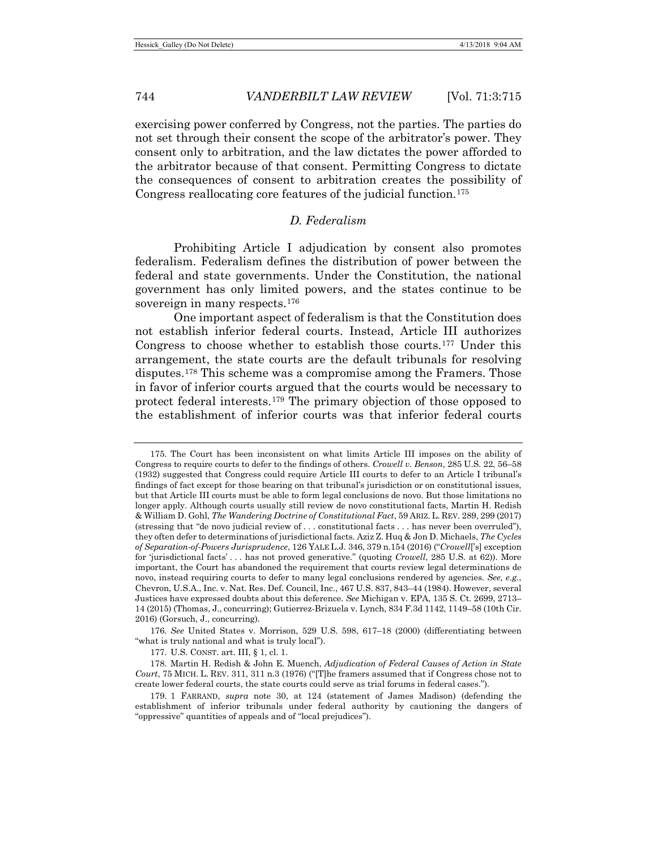exercising power conferred by Congress, not the parties. The parties do not set through their consent the scope of the arbitrator's power. They consent only to arbitration, and the law dictates the power afforded to the arbitrator because of that consent. Permitting Congress to dictate the consequences of consent to arbitration creates the possibility of Congress reallocating core features of the judicial function.[175](#page-29-0)

# *D. Federalism*

Prohibiting Article I adjudication by consent also promotes federalism. Federalism defines the distribution of power between the federal and state governments. Under the Constitution, the national government has only limited powers, and the states continue to be sovereign in many respects.<sup>176</sup>

One important aspect of federalism is that the Constitution does not establish inferior federal courts. Instead, Article III authorizes Congress to choose whether to establish those courts.[177](#page-29-2) Under this arrangement, the state courts are the default tribunals for resolving disputes.[178](#page-29-3) This scheme was a compromise among the Framers. Those in favor of inferior courts argued that the courts would be necessary to protect federal interests[.179](#page-29-4) The primary objection of those opposed to the establishment of inferior courts was that inferior federal courts

<span id="page-29-1"></span>176*. See* United States v. Morrison, 529 U.S. 598, 617–18 (2000) (differentiating between "what is truly national and what is truly local").

177. U.S. CONST. art. III, § 1, cl. 1.

<span id="page-29-0"></span><sup>175.</sup> The Court has been inconsistent on what limits Article III imposes on the ability of Congress to require courts to defer to the findings of others. *Crowell v. Benson*, 285 U.S. 22, 56–58 (1932) suggested that Congress could require Article III courts to defer to an Article I tribunal's findings of fact except for those bearing on that tribunal's jurisdiction or on constitutional issues, but that Article III courts must be able to form legal conclusions de novo. But those limitations no longer apply. Although courts usually still review de novo constitutional facts, Martin H. Redish & William D. Gohl, *The Wandering Doctrine of Constitutional Fact*, 59 ARIZ. L. REV. 289, 299 (2017) (stressing that "de novo judicial review of . . . constitutional facts . . . has never been overruled"), they often defer to determinations of jurisdictional facts. Aziz Z. Huq & Jon D. Michaels, *The Cycles of Separation-of-Powers Jurisprudence*, 126 YALE L.J. 346, 379 n.154 (2016) ("*Crowell*['s] exception for 'jurisdictional facts' . . . has not proved generative." (quoting *Crowell*, 285 U.S. at 62)). More important, the Court has abandoned the requirement that courts review legal determinations de novo, instead requiring courts to defer to many legal conclusions rendered by agencies. *See, e.g.*, Chevron, U.S.A., Inc. v. Nat. Res. Def. Council, Inc., 467 U.S. 837, 843–44 (1984). However, several Justices have expressed doubts about this deference. *See* Michigan v. EPA, 135 S. Ct. 2699, 2713– 14 (2015) (Thomas, J., concurring); Gutierrez-Brizuela v. Lynch, 834 F.3d 1142, 1149–58 (10th Cir. 2016) (Gorsuch, J., concurring).

<span id="page-29-3"></span><span id="page-29-2"></span><sup>178.</sup> Martin H. Redish & John E. Muench, *Adjudication of Federal Causes of Action in State Court*, 75 MICH. L. REV. 311, 311 n.3 (1976) ("[T]he framers assumed that if Congress chose not to create lower federal courts, the state courts could serve as trial forums in federal cases.").

<span id="page-29-4"></span><sup>179.</sup> 1 FARRAND, *supra* note 30, at 124 (statement of James Madison) (defending the establishment of inferior tribunals under federal authority by cautioning the dangers of "oppressive" quantities of appeals and of "local prejudices").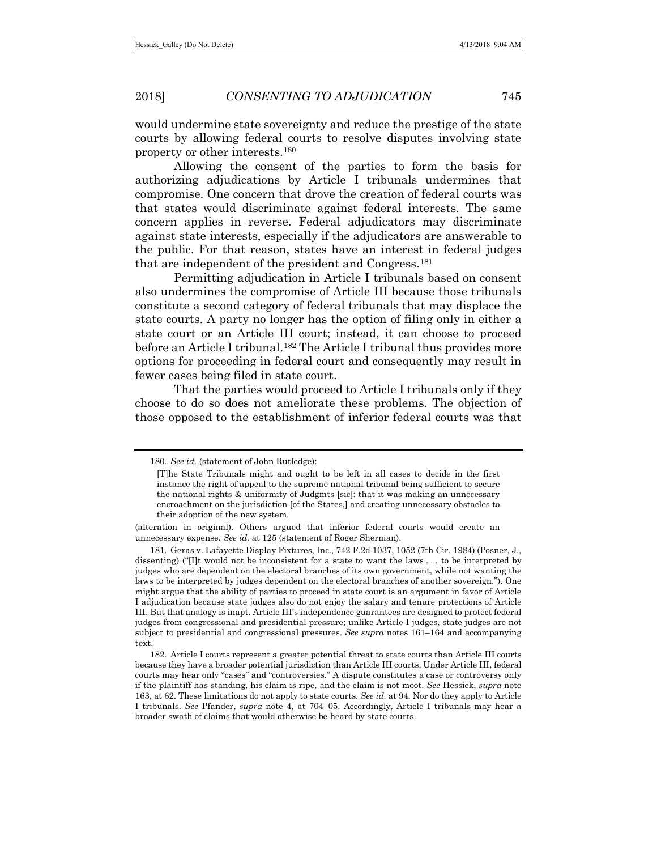would undermine state sovereignty and reduce the prestige of the state courts by allowing federal courts to resolve disputes involving state property or other interests.[180](#page-30-0)

Allowing the consent of the parties to form the basis for authorizing adjudications by Article I tribunals undermines that compromise. One concern that drove the creation of federal courts was that states would discriminate against federal interests. The same concern applies in reverse. Federal adjudicators may discriminate against state interests, especially if the adjudicators are answerable to the public. For that reason, states have an interest in federal judges that are independent of the president and Congress.[181](#page-30-1)

Permitting adjudication in Article I tribunals based on consent also undermines the compromise of Article III because those tribunals constitute a second category of federal tribunals that may displace the state courts. A party no longer has the option of filing only in either a state court or an Article III court; instead, it can choose to proceed before an Article I tribunal.<sup>[182](#page-30-2)</sup> The Article I tribunal thus provides more options for proceeding in federal court and consequently may result in fewer cases being filed in state court.

That the parties would proceed to Article I tribunals only if they choose to do so does not ameliorate these problems. The objection of those opposed to the establishment of inferior federal courts was that

<span id="page-30-0"></span><sup>180</sup>*. See id.* (statement of John Rutledge):

<sup>[</sup>T]he State Tribunals might and ought to be left in all cases to decide in the first instance the right of appeal to the supreme national tribunal being sufficient to secure the national rights & uniformity of Judgmts [sic]: that it was making an unnecessary encroachment on the jurisdiction [of the States,] and creating unnecessary obstacles to their adoption of the new system.

<sup>(</sup>alteration in original). Others argued that inferior federal courts would create an unnecessary expense. *See id.* at 125 (statement of Roger Sherman).

<span id="page-30-1"></span><sup>181.</sup> Geras v. Lafayette Display Fixtures, Inc., 742 F.2d 1037, 1052 (7th Cir. 1984) (Posner, J., dissenting) ("[I]t would not be inconsistent for a state to want the laws . . . to be interpreted by judges who are dependent on the electoral branches of its own government, while not wanting the laws to be interpreted by judges dependent on the electoral branches of another sovereign."). One might argue that the ability of parties to proceed in state court is an argument in favor of Article I adjudication because state judges also do not enjoy the salary and tenure protections of Article III. But that analogy is inapt. Article III's independence guarantees are designed to protect federal judges from congressional and presidential pressure; unlike Article I judges, state judges are not subject to presidential and congressional pressures. *See supra* notes 161–164 and accompanying text.

<span id="page-30-2"></span><sup>182.</sup> Article I courts represent a greater potential threat to state courts than Article III courts because they have a broader potential jurisdiction than Article III courts. Under Article III, federal courts may hear only "cases" and "controversies." A dispute constitutes a case or controversy only if the plaintiff has standing, his claim is ripe, and the claim is not moot. *See* Hessick, *supra* note 163, at 62. These limitations do not apply to state courts. *See id.* at 94. Nor do they apply to Article I tribunals. *See* Pfander, *supra* note 4, at 704–05. Accordingly, Article I tribunals may hear a broader swath of claims that would otherwise be heard by state courts.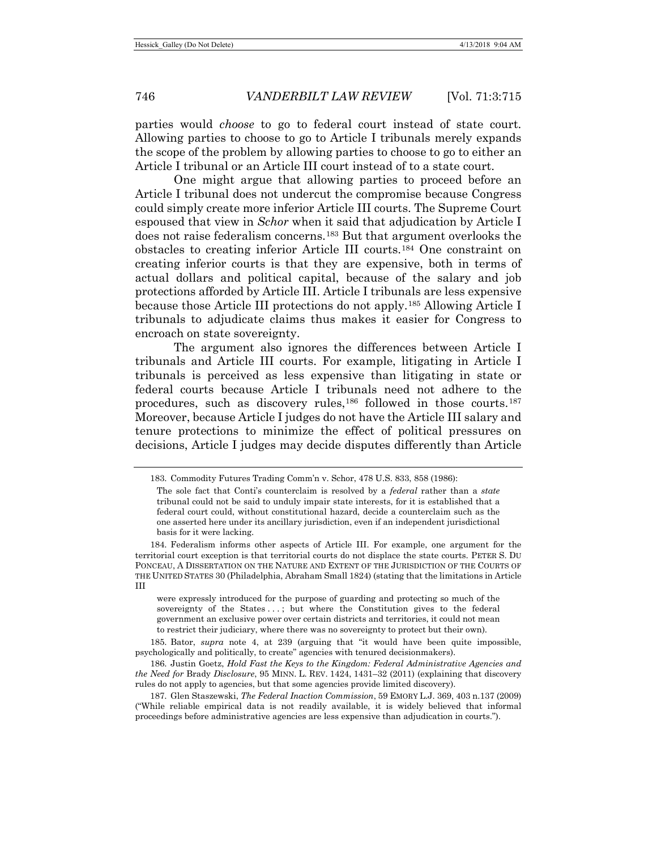parties would *choose* to go to federal court instead of state court. Allowing parties to choose to go to Article I tribunals merely expands the scope of the problem by allowing parties to choose to go to either an Article I tribunal or an Article III court instead of to a state court.

<span id="page-31-5"></span>One might argue that allowing parties to proceed before an Article I tribunal does not undercut the compromise because Congress could simply create more inferior Article III courts. The Supreme Court espoused that view in *Schor* when it said that adjudication by Article I does not raise federalism concerns.[183](#page-31-0) But that argument overlooks the obstacles to creating inferior Article III courts.[184](#page-31-1) One constraint on creating inferior courts is that they are expensive, both in terms of actual dollars and political capital, because of the salary and job protections afforded by Article III. Article I tribunals are less expensive because those Article III protections do not apply.[185](#page-31-2) Allowing Article I tribunals to adjudicate claims thus makes it easier for Congress to encroach on state sovereignty.

The argument also ignores the differences between Article I tribunals and Article III courts. For example, litigating in Article I tribunals is perceived as less expensive than litigating in state or federal courts because Article I tribunals need not adhere to the procedures, such as discovery rules,[186](#page-31-3) followed in those courts.[187](#page-31-4) Moreover, because Article I judges do not have the Article III salary and tenure protections to minimize the effect of political pressures on decisions, Article I judges may decide disputes differently than Article

<span id="page-31-1"></span>184. Federalism informs other aspects of Article III. For example, one argument for the territorial court exception is that territorial courts do not displace the state courts. PETER S. DU PONCEAU, A DISSERTATION ON THE NATURE AND EXTENT OF THE JURISDICTION OF THE COURTS OF THE UNITED STATES 30 (Philadelphia, Abraham Small 1824) (stating that the limitations in Article III

were expressly introduced for the purpose of guarding and protecting so much of the sovereignty of the States ...; but where the Constitution gives to the federal government an exclusive power over certain districts and territories, it could not mean to restrict their judiciary, where there was no sovereignty to protect but their own).

<span id="page-31-2"></span>185. Bator, *supra* note 4, at 239 (arguing that "it would have been quite impossible, psychologically and politically, to create" agencies with tenured decisionmakers).

<span id="page-31-3"></span>186. Justin Goetz, *Hold Fast the Keys to the Kingdom: Federal Administrative Agencies and the Need for* Brady *Disclosure*, 95 MINN. L. REV. 1424, 1431–32 (2011) (explaining that discovery rules do not apply to agencies, but that some agencies provide limited discovery).

<span id="page-31-4"></span>187. Glen Staszewski, *The Federal Inaction Commission*, 59 EMORY L.J. 369, 403 n.137 (2009) ("While reliable empirical data is not readily available, it is widely believed that informal proceedings before administrative agencies are less expensive than adjudication in courts.").

<span id="page-31-0"></span><sup>183.</sup> Commodity Futures Trading Comm'n v. Schor, 478 U.S. 833, 858 (1986):

The sole fact that Conti's counterclaim is resolved by a *federal* rather than a *state* tribunal could not be said to unduly impair state interests, for it is established that a federal court could, without constitutional hazard, decide a counterclaim such as the one asserted here under its ancillary jurisdiction, even if an independent jurisdictional basis for it were lacking.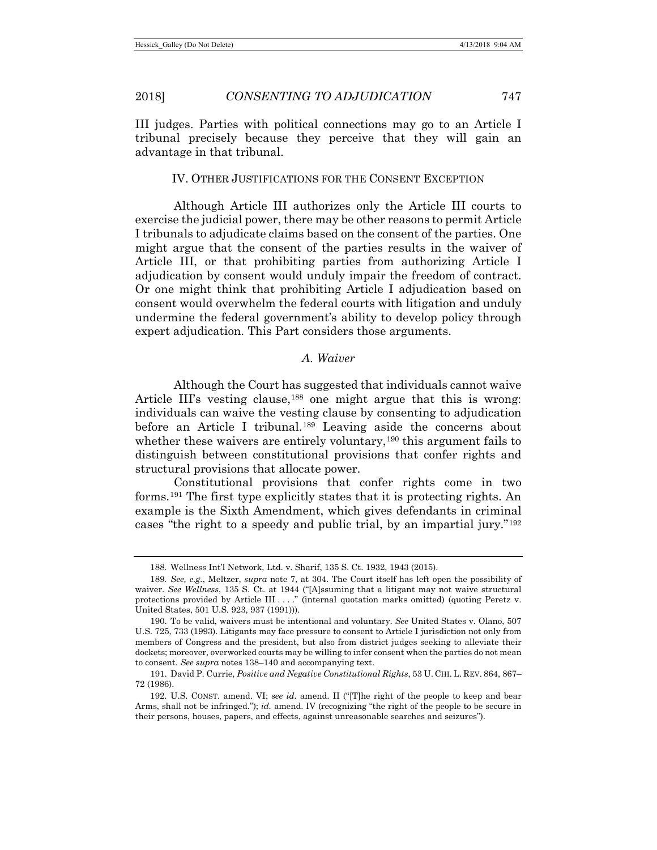III judges. Parties with political connections may go to an Article I tribunal precisely because they perceive that they will gain an advantage in that tribunal.

#### IV. OTHER JUSTIFICATIONS FOR THE CONSENT EXCEPTION

Although Article III authorizes only the Article III courts to exercise the judicial power, there may be other reasons to permit Article I tribunals to adjudicate claims based on the consent of the parties. One might argue that the consent of the parties results in the waiver of Article III, or that prohibiting parties from authorizing Article I adjudication by consent would unduly impair the freedom of contract. Or one might think that prohibiting Article I adjudication based on consent would overwhelm the federal courts with litigation and unduly undermine the federal government's ability to develop policy through expert adjudication. This Part considers those arguments.

# *A. Waiver*

Although the Court has suggested that individuals cannot waive Article III's vesting clause,<sup>[188](#page-32-0)</sup> one might argue that this is wrong: individuals can waive the vesting clause by consenting to adjudication before an Article I tribunal.<sup>[189](#page-32-1)</sup> Leaving aside the concerns about whether these waivers are entirely voluntary,<sup>[190](#page-32-2)</sup> this argument fails to distinguish between constitutional provisions that confer rights and structural provisions that allocate power.

Constitutional provisions that confer rights come in two forms.[191](#page-32-3) The first type explicitly states that it is protecting rights. An example is the Sixth Amendment, which gives defendants in criminal cases "the right to a speedy and public trial, by an impartial jury."[192](#page-32-4)

<sup>188.</sup> Wellness Int'l Network, Ltd. v. Sharif, 135 S. Ct. 1932, 1943 (2015).

<span id="page-32-1"></span><span id="page-32-0"></span><sup>189</sup>*. See, e.g.*, Meltzer, *supra* note 7, at 304. The Court itself has left open the possibility of waiver. *See Wellness*, 135 S. Ct. at 1944 ("[A]ssuming that a litigant may not waive structural protections provided by Article III . . . ." (internal quotation marks omitted) (quoting Peretz v. United States, 501 U.S. 923, 937 (1991))).

<span id="page-32-2"></span><sup>190.</sup> To be valid, waivers must be intentional and voluntary. *See* United States v. Olano, 507 U.S. 725, 733 (1993). Litigants may face pressure to consent to Article I jurisdiction not only from members of Congress and the president, but also from district judges seeking to alleviate their dockets; moreover, overworked courts may be willing to infer consent when the parties do not mean to consent. *See supra* notes 138–140 and accompanying text.

<span id="page-32-3"></span><sup>191.</sup> David P. Currie, *Positive and Negative Constitutional Rights*, 53 U. CHI. L. REV. 864, 867– 72 (1986).

<span id="page-32-4"></span><sup>192.</sup> U.S. CONST. amend. VI; *see id.* amend. II ("[T]he right of the people to keep and bear Arms, shall not be infringed."); *id.* amend. IV (recognizing "the right of the people to be secure in their persons, houses, papers, and effects, against unreasonable searches and seizures").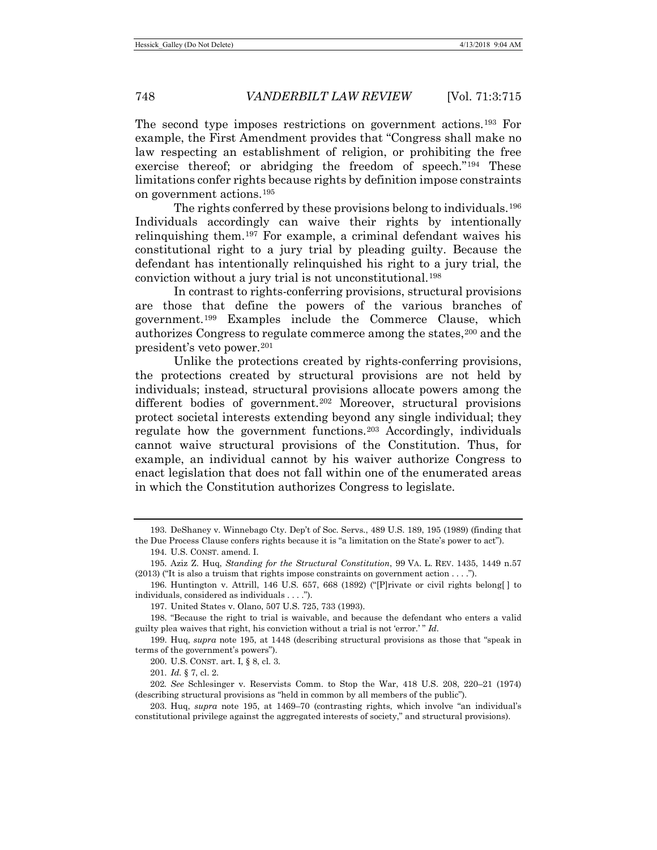The second type imposes restrictions on government actions.[193](#page-33-0) For example, the First Amendment provides that "Congress shall make no law respecting an establishment of religion, or prohibiting the free exercise thereof; or abridging the freedom of speech.["194](#page-33-1) These limitations confer rights because rights by definition impose constraints on government actions.[195](#page-33-2)

The rights conferred by these provisions belong to individuals.[196](#page-33-3) Individuals accordingly can waive their rights by intentionally relinquishing them.[197](#page-33-4) For example, a criminal defendant waives his constitutional right to a jury trial by pleading guilty. Because the defendant has intentionally relinquished his right to a jury trial, the conviction without a jury trial is not unconstitutional.[198](#page-33-5)

In contrast to rights-conferring provisions, structural provisions are those that define the powers of the various branches of government.[199](#page-33-6) Examples include the Commerce Clause, which authorizes Congress to regulate commerce among the states,<sup>[200](#page-33-7)</sup> and the president's veto power.[201](#page-33-8)

Unlike the protections created by rights-conferring provisions, the protections created by structural provisions are not held by individuals; instead, structural provisions allocate powers among the different bodies of government.<sup>[202](#page-33-9)</sup> Moreover, structural provisions protect societal interests extending beyond any single individual; they regulate how the government functions.[203](#page-33-10) Accordingly, individuals cannot waive structural provisions of the Constitution. Thus, for example, an individual cannot by his waiver authorize Congress to enact legislation that does not fall within one of the enumerated areas in which the Constitution authorizes Congress to legislate.

197. United States v. Olano, 507 U.S. 725, 733 (1993).

201. *Id.* § 7, cl. 2.

<span id="page-33-0"></span><sup>193.</sup> DeShaney v. Winnebago Cty. Dep't of Soc. Servs., 489 U.S. 189, 195 (1989) (finding that the Due Process Clause confers rights because it is "a limitation on the State's power to act").

<sup>194.</sup> U.S. CONST. amend. I.

<span id="page-33-2"></span><span id="page-33-1"></span><sup>195.</sup> Aziz Z. Huq, *Standing for the Structural Constitution*, 99 VA. L. REV. 1435, 1449 n.57  $(2013)$  ("It is also a truism that rights impose constraints on government action . . . .").

<span id="page-33-3"></span><sup>196.</sup> Huntington v. Attrill, 146 U.S. 657, 668 (1892) ("[P]rivate or civil rights belong[ ] to individuals, considered as individuals . . . .").

<span id="page-33-5"></span><span id="page-33-4"></span><sup>198.</sup> "Because the right to trial is waivable, and because the defendant who enters a valid guilty plea waives that right, his conviction without a trial is not 'error.' " *Id.*

<span id="page-33-7"></span><span id="page-33-6"></span><sup>199.</sup> Huq, *supra* note 195, at 1448 (describing structural provisions as those that "speak in terms of the government's powers").

<sup>200.</sup> U.S. CONST. art. I, § 8, cl. 3.

<span id="page-33-9"></span><span id="page-33-8"></span><sup>202</sup>*. See* Schlesinger v. Reservists Comm. to Stop the War, 418 U.S. 208, 220–21 (1974) (describing structural provisions as "held in common by all members of the public").

<span id="page-33-10"></span><sup>203.</sup> Huq, *supra* note 195, at 1469–70 (contrasting rights, which involve "an individual's constitutional privilege against the aggregated interests of society," and structural provisions).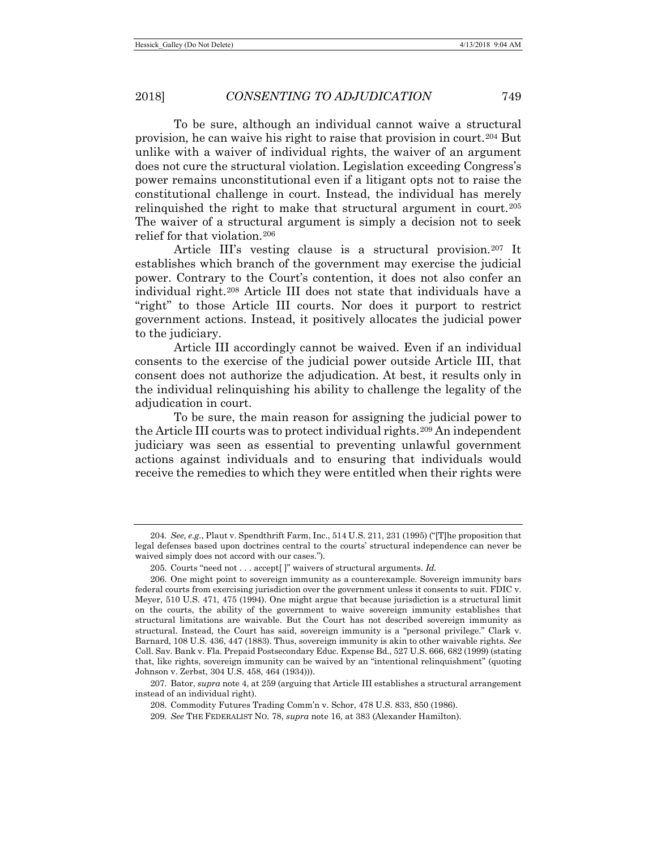To be sure, although an individual cannot waive a structural provision, he can waive his right to raise that provision in court.[204](#page-34-0) But unlike with a waiver of individual rights, the waiver of an argument does not cure the structural violation. Legislation exceeding Congress's power remains unconstitutional even if a litigant opts not to raise the constitutional challenge in court. Instead, the individual has merely relinguished the right to make that structural argument in court.<sup>[205](#page-34-1)</sup> The waiver of a structural argument is simply a decision not to seek relief for that violation.[206](#page-34-2)

Article III's vesting clause is a structural provision.[207](#page-34-3) It establishes which branch of the government may exercise the judicial power. Contrary to the Court's contention, it does not also confer an individual right[.208](#page-34-4) Article III does not state that individuals have a "right" to those Article III courts. Nor does it purport to restrict government actions. Instead, it positively allocates the judicial power to the judiciary.

Article III accordingly cannot be waived. Even if an individual consents to the exercise of the judicial power outside Article III, that consent does not authorize the adjudication. At best, it results only in the individual relinquishing his ability to challenge the legality of the adjudication in court.

To be sure, the main reason for assigning the judicial power to the Article III courts was to protect individual rights.<sup>[209](#page-34-5)</sup> An independent judiciary was seen as essential to preventing unlawful government actions against individuals and to ensuring that individuals would receive the remedies to which they were entitled when their rights were

<span id="page-34-0"></span><sup>204</sup>*. See, e.g.*, Plaut v. Spendthrift Farm, Inc., 514 U.S. 211, 231 (1995) ("[T]he proposition that legal defenses based upon doctrines central to the courts' structural independence can never be waived simply does not accord with our cases.").

<sup>205.</sup> Courts "need not . . . accept[ ]" waivers of structural arguments. *Id.*

<span id="page-34-2"></span><span id="page-34-1"></span><sup>206.</sup> One might point to sovereign immunity as a counterexample. Sovereign immunity bars federal courts from exercising jurisdiction over the government unless it consents to suit. FDIC v. Meyer, 510 U.S. 471, 475 (1994). One might argue that because jurisdiction is a structural limit on the courts, the ability of the government to waive sovereign immunity establishes that structural limitations are waivable. But the Court has not described sovereign immunity as structural. Instead, the Court has said, sovereign immunity is a "personal privilege." Clark v. Barnard, 108 U.S. 436, 447 (1883). Thus, sovereign immunity is akin to other waivable rights. *See* Coll. Sav. Bank v. Fla. Prepaid Postsecondary Educ. Expense Bd., 527 U.S. 666, 682 (1999) (stating that, like rights, sovereign immunity can be waived by an "intentional relinquishment" (quoting Johnson v. Zerbst, 304 U.S. 458, 464 (1934))).

<span id="page-34-5"></span><span id="page-34-4"></span><span id="page-34-3"></span><sup>207.</sup> Bator, *supra* note 4, at 259 (arguing that Article III establishes a structural arrangement instead of an individual right).

<sup>208.</sup> Commodity Futures Trading Comm'n v. Schor, 478 U.S. 833, 850 (1986).

<sup>209</sup>*. See* THE FEDERALIST NO. 78, *supra* note 16, at 383 (Alexander Hamilton).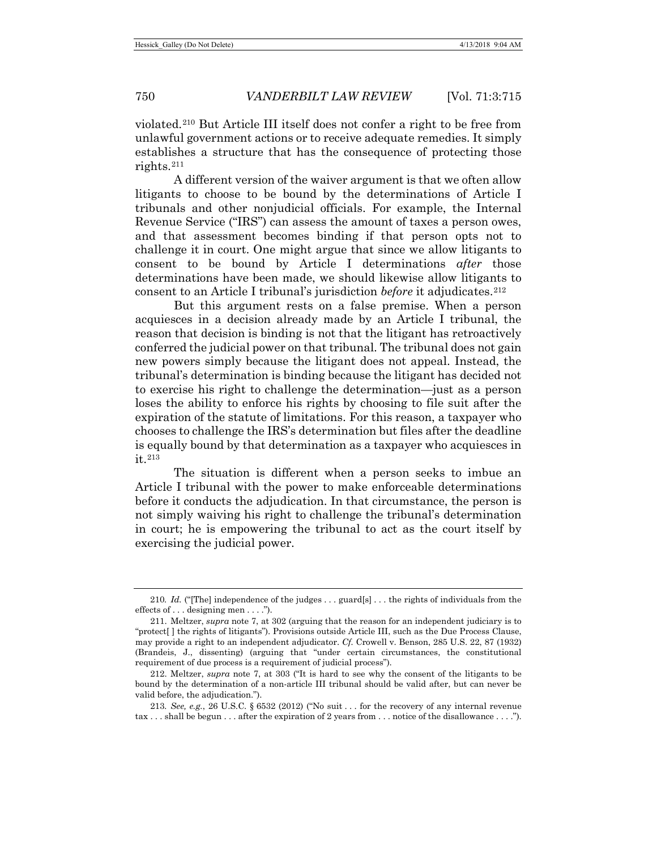violated.[210](#page-35-0) But Article III itself does not confer a right to be free from unlawful government actions or to receive adequate remedies. It simply establishes a structure that has the consequence of protecting those rights.[211](#page-35-1)

A different version of the waiver argument is that we often allow litigants to choose to be bound by the determinations of Article I tribunals and other nonjudicial officials. For example, the Internal Revenue Service ("IRS") can assess the amount of taxes a person owes, and that assessment becomes binding if that person opts not to challenge it in court. One might argue that since we allow litigants to consent to be bound by Article I determinations *after* those determinations have been made, we should likewise allow litigants to consent to an Article I tribunal's jurisdiction *before* it adjudicates.[212](#page-35-2)

But this argument rests on a false premise. When a person acquiesces in a decision already made by an Article I tribunal, the reason that decision is binding is not that the litigant has retroactively conferred the judicial power on that tribunal. The tribunal does not gain new powers simply because the litigant does not appeal. Instead, the tribunal's determination is binding because the litigant has decided not to exercise his right to challenge the determination—just as a person loses the ability to enforce his rights by choosing to file suit after the expiration of the statute of limitations. For this reason, a taxpayer who chooses to challenge the IRS's determination but files after the deadline is equally bound by that determination as a taxpayer who acquiesces in it.[213](#page-35-3)

The situation is different when a person seeks to imbue an Article I tribunal with the power to make enforceable determinations before it conducts the adjudication. In that circumstance, the person is not simply waiving his right to challenge the tribunal's determination in court; he is empowering the tribunal to act as the court itself by exercising the judicial power.

<span id="page-35-0"></span><sup>210</sup>*. Id.* ("[The] independence of the judges . . . guard[s] . . . the rights of individuals from the effects of . . . designing men . . . .").

<span id="page-35-1"></span><sup>211.</sup> Meltzer, *supra* note 7, at 302 (arguing that the reason for an independent judiciary is to "protect[ ] the rights of litigants"). Provisions outside Article III, such as the Due Process Clause, may provide a right to an independent adjudicator. *Cf.* Crowell v. Benson, 285 U.S. 22, 87 (1932) (Brandeis, J., dissenting) (arguing that "under certain circumstances, the constitutional requirement of due process is a requirement of judicial process").

<span id="page-35-2"></span><sup>212.</sup> Meltzer, *supra* note 7, at 303 ("It is hard to see why the consent of the litigants to be bound by the determination of a non-article III tribunal should be valid after, but can never be valid before, the adjudication.").

<span id="page-35-3"></span><sup>213</sup>*. See, e.g.*, 26 U.S.C. § 6532 (2012) ("No suit . . . for the recovery of any internal revenue tax . . . shall be begun . . . after the expiration of 2 years from . . . notice of the disallowance . . . .").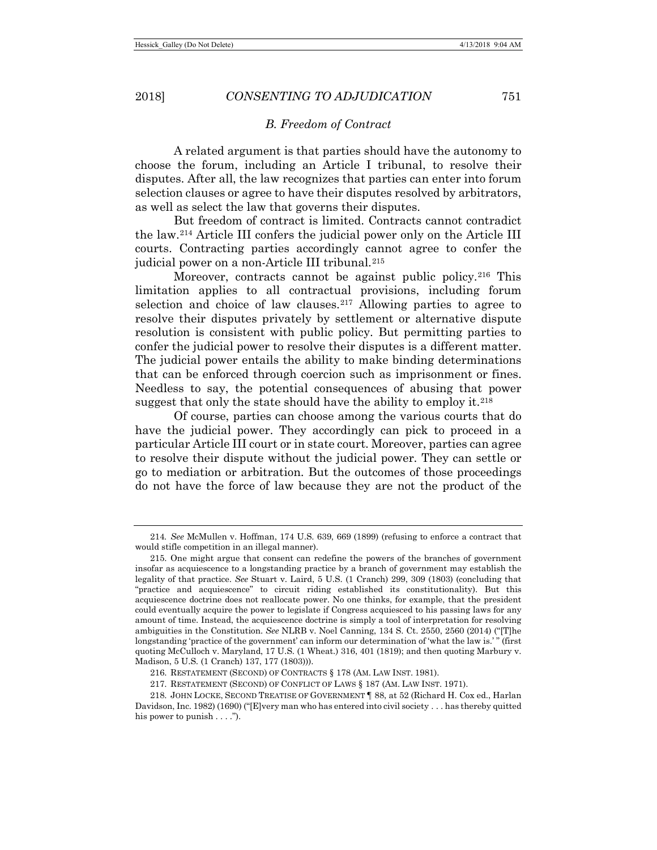#### *B. Freedom of Contract*

A related argument is that parties should have the autonomy to choose the forum, including an Article I tribunal, to resolve their disputes. After all, the law recognizes that parties can enter into forum selection clauses or agree to have their disputes resolved by arbitrators, as well as select the law that governs their disputes.

But freedom of contract is limited. Contracts cannot contradict the law.[214](#page-36-0) Article III confers the judicial power only on the Article III courts. Contracting parties accordingly cannot agree to confer the judicial power on a non-Article III tribunal.<sup>[215](#page-36-1)</sup>

Moreover, contracts cannot be against public policy.<sup>[216](#page-36-2)</sup> This limitation applies to all contractual provisions, including forum selection and choice of law clauses.<sup>[217](#page-36-3)</sup> Allowing parties to agree to resolve their disputes privately by settlement or alternative dispute resolution is consistent with public policy. But permitting parties to confer the judicial power to resolve their disputes is a different matter. The judicial power entails the ability to make binding determinations that can be enforced through coercion such as imprisonment or fines. Needless to say, the potential consequences of abusing that power suggest that only the state should have the ability to employ it. $218$ 

Of course, parties can choose among the various courts that do have the judicial power. They accordingly can pick to proceed in a particular Article III court or in state court. Moreover, parties can agree to resolve their dispute without the judicial power. They can settle or go to mediation or arbitration. But the outcomes of those proceedings do not have the force of law because they are not the product of the

<span id="page-36-0"></span><sup>214</sup>*. See* McMullen v. Hoffman, 174 U.S. 639, 669 (1899) (refusing to enforce a contract that would stifle competition in an illegal manner).

<span id="page-36-1"></span><sup>215.</sup> One might argue that consent can redefine the powers of the branches of government insofar as acquiescence to a longstanding practice by a branch of government may establish the legality of that practice. *See* Stuart v. Laird, 5 U.S. (1 Cranch) 299, 309 (1803) (concluding that "practice and acquiescence" to circuit riding established its constitutionality). But this acquiescence doctrine does not reallocate power. No one thinks, for example, that the president could eventually acquire the power to legislate if Congress acquiesced to his passing laws for any amount of time. Instead, the acquiescence doctrine is simply a tool of interpretation for resolving ambiguities in the Constitution. *See* NLRB v. Noel Canning, 134 S. Ct. 2550, 2560 (2014) ("[T]he longstanding 'practice of the government' can inform our determination of 'what the law is.' " (first quoting McCulloch v. Maryland, 17 U.S. (1 Wheat.) 316, 401 (1819); and then quoting Marbury v. Madison, 5 U.S. (1 Cranch) 137, 177 (1803))).

<sup>216.</sup> RESTATEMENT (SECOND) OF CONTRACTS § 178 (AM. LAW INST. 1981).

<sup>217.</sup> RESTATEMENT (SECOND) OF CONFLICT OF LAWS § 187 (AM. LAW INST. 1971).

<span id="page-36-4"></span><span id="page-36-3"></span><span id="page-36-2"></span><sup>218.</sup> JOHN LOCKE, SECOND TREATISE OF GOVERNMENT ¶ 88, at 52 (Richard H. Cox ed., Harlan Davidson, Inc. 1982) (1690) ("[E]very man who has entered into civil society . . . has thereby quitted his power to punish . . . .").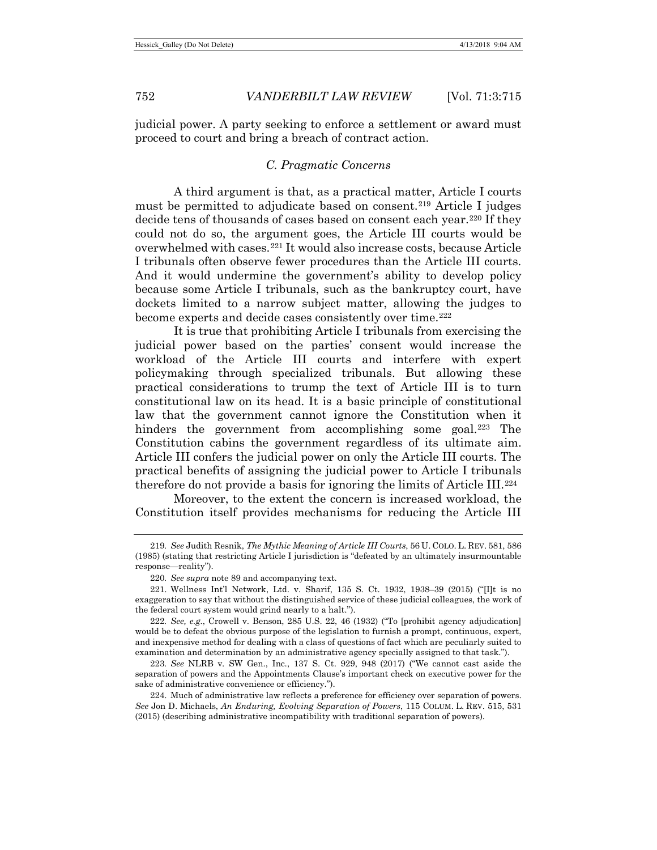judicial power. A party seeking to enforce a settlement or award must proceed to court and bring a breach of contract action.

# *C. Pragmatic Concerns*

A third argument is that, as a practical matter, Article I courts must be permitted to adjudicate based on consent.[219](#page-37-0) Article I judges decide tens of thousands of cases based on consent each year.[220](#page-37-1) If they could not do so, the argument goes, the Article III courts would be overwhelmed with cases.[221](#page-37-2) It would also increase costs, because Article I tribunals often observe fewer procedures than the Article III courts. And it would undermine the government's ability to develop policy because some Article I tribunals, such as the bankruptcy court, have dockets limited to a narrow subject matter, allowing the judges to become experts and decide cases consistently over time.<sup>[222](#page-37-3)</sup>

It is true that prohibiting Article I tribunals from exercising the judicial power based on the parties' consent would increase the workload of the Article III courts and interfere with expert policymaking through specialized tribunals. But allowing these practical considerations to trump the text of Article III is to turn constitutional law on its head. It is a basic principle of constitutional law that the government cannot ignore the Constitution when it hinders the government from accomplishing some goal.<sup>[223](#page-37-4)</sup> The Constitution cabins the government regardless of its ultimate aim. Article III confers the judicial power on only the Article III courts. The practical benefits of assigning the judicial power to Article I tribunals therefore do not provide a basis for ignoring the limits of Article III.[224](#page-37-5)

Moreover, to the extent the concern is increased workload, the Constitution itself provides mechanisms for reducing the Article III

<span id="page-37-3"></span>222*. See, e.g.*, Crowell v. Benson, 285 U.S. 22, 46 (1932) ("To [prohibit agency adjudication] would be to defeat the obvious purpose of the legislation to furnish a prompt, continuous, expert, and inexpensive method for dealing with a class of questions of fact which are peculiarly suited to examination and determination by an administrative agency specially assigned to that task.").

<span id="page-37-4"></span>223*. See* NLRB v. SW Gen., Inc., 137 S. Ct. 929, 948 (2017) ("We cannot cast aside the separation of powers and the Appointments Clause's important check on executive power for the sake of administrative convenience or efficiency.").

<span id="page-37-0"></span><sup>219</sup>*. See* Judith Resnik, *The Mythic Meaning of Article III Courts*, 56 U. COLO. L. REV. 581, 586 (1985) (stating that restricting Article I jurisdiction is "defeated by an ultimately insurmountable response—reality").

<sup>220</sup>*. See supra* not[e 89](#page-15-7) and accompanying text.

<span id="page-37-2"></span><span id="page-37-1"></span><sup>221.</sup> Wellness Int'l Network, Ltd. v. Sharif, 135 S. Ct. 1932, 1938–39 (2015) ("[I]t is no exaggeration to say that without the distinguished service of these judicial colleagues, the work of the federal court system would grind nearly to a halt.").

<span id="page-37-5"></span><sup>224.</sup> Much of administrative law reflects a preference for efficiency over separation of powers. *See* Jon D. Michaels, *An Enduring, Evolving Separation of Powers*, 115 COLUM. L. REV. 515, 531 (2015) (describing administrative incompatibility with traditional separation of powers).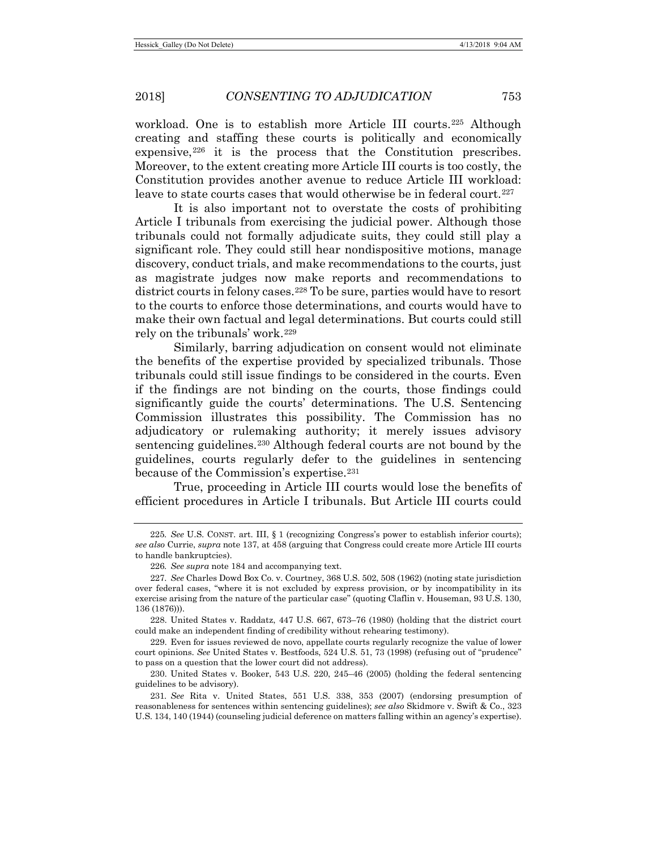workload. One is to establish more Article III courts.<sup>[225](#page-38-0)</sup> Although creating and staffing these courts is politically and economically expensive,  $226$  it is the process that the Constitution prescribes. Moreover, to the extent creating more Article III courts is too costly, the Constitution provides another avenue to reduce Article III workload: leave to state courts cases that would otherwise be in federal court.<sup>[227](#page-38-2)</sup>

It is also important not to overstate the costs of prohibiting Article I tribunals from exercising the judicial power. Although those tribunals could not formally adjudicate suits, they could still play a significant role. They could still hear nondispositive motions, manage discovery, conduct trials, and make recommendations to the courts, just as magistrate judges now make reports and recommendations to district courts in felony cases.<sup>[228](#page-38-3)</sup> To be sure, parties would have to resort to the courts to enforce those determinations, and courts would have to make their own factual and legal determinations. But courts could still rely on the tribunals' work.[229](#page-38-4)

Similarly, barring adjudication on consent would not eliminate the benefits of the expertise provided by specialized tribunals. Those tribunals could still issue findings to be considered in the courts. Even if the findings are not binding on the courts, those findings could significantly guide the courts' determinations. The U.S. Sentencing Commission illustrates this possibility. The Commission has no adjudicatory or rulemaking authority; it merely issues advisory sentencing guidelines.[230](#page-38-5) Although federal courts are not bound by the guidelines, courts regularly defer to the guidelines in sentencing because of the Commission's expertise.<sup>[231](#page-38-6)</sup>

True, proceeding in Article III courts would lose the benefits of efficient procedures in Article I tribunals. But Article III courts could

<span id="page-38-4"></span>229. Even for issues reviewed de novo, appellate courts regularly recognize the value of lower court opinions. *See* United States v. Bestfoods, 524 U.S. 51, 73 (1998) (refusing out of "prudence" to pass on a question that the lower court did not address).

<span id="page-38-5"></span>230. United States v. Booker, 543 U.S. 220, 245–46 (2005) (holding the federal sentencing guidelines to be advisory).

<span id="page-38-0"></span><sup>225</sup>*. See* U.S. CONST. art. III, § 1 (recognizing Congress's power to establish inferior courts); *see also* Currie, *supra* note [137,](#page-23-6) at 458 (arguing that Congress could create more Article III courts to handle bankruptcies).

<sup>226</sup>*. See supra* not[e 184](#page-31-5) and accompanying text.

<span id="page-38-2"></span><span id="page-38-1"></span><sup>227</sup>*. See* Charles Dowd Box Co. v. Courtney, 368 U.S. 502, 508 (1962) (noting state jurisdiction over federal cases, "where it is not excluded by express provision, or by incompatibility in its exercise arising from the nature of the particular case" (quoting Claflin v. Houseman, 93 U.S. 130, 136 (1876))).

<span id="page-38-3"></span><sup>228.</sup> United States v. Raddatz, 447 U.S. 667, 673–76 (1980) (holding that the district court could make an independent finding of credibility without rehearing testimony).

<span id="page-38-6"></span><sup>231</sup>*. See* Rita v. United States, 551 U.S. 338, 353 (2007) (endorsing presumption of reasonableness for sentences within sentencing guidelines); *see also* Skidmore v. Swift & Co., 323 U.S. 134, 140 (1944) (counseling judicial deference on matters falling within an agency's expertise).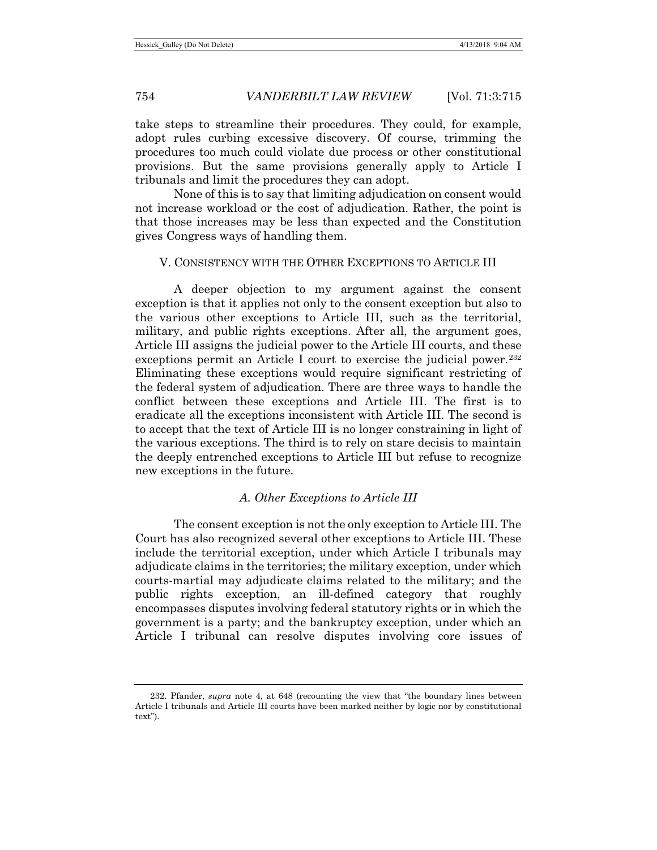take steps to streamline their procedures. They could, for example, adopt rules curbing excessive discovery. Of course, trimming the procedures too much could violate due process or other constitutional provisions. But the same provisions generally apply to Article I tribunals and limit the procedures they can adopt.

None of this is to say that limiting adjudication on consent would not increase workload or the cost of adjudication. Rather, the point is that those increases may be less than expected and the Constitution gives Congress ways of handling them.

# V. CONSISTENCY WITH THE OTHER EXCEPTIONS TO ARTICLE III

A deeper objection to my argument against the consent exception is that it applies not only to the consent exception but also to the various other exceptions to Article III, such as the territorial, military, and public rights exceptions. After all, the argument goes, Article III assigns the judicial power to the Article III courts, and these exceptions permit an Article I court to exercise the judicial power.<sup>[232](#page-39-0)</sup> Eliminating these exceptions would require significant restricting of the federal system of adjudication. There are three ways to handle the conflict between these exceptions and Article III. The first is to eradicate all the exceptions inconsistent with Article III. The second is to accept that the text of Article III is no longer constraining in light of the various exceptions. The third is to rely on stare decisis to maintain the deeply entrenched exceptions to Article III but refuse to recognize new exceptions in the future.

#### *A. Other Exceptions to Article III*

The consent exception is not the only exception to Article III. The Court has also recognized several other exceptions to Article III. These include the territorial exception, under which Article I tribunals may adjudicate claims in the territories; the military exception, under which courts-martial may adjudicate claims related to the military; and the public rights exception, an ill-defined category that roughly encompasses disputes involving federal statutory rights or in which the government is a party; and the bankruptcy exception, under which an Article I tribunal can resolve disputes involving core issues of

<span id="page-39-0"></span><sup>232.</sup> Pfander, *supra* note [4,](#page-2-0) at 648 (recounting the view that "the boundary lines between Article I tribunals and Article III courts have been marked neither by logic nor by constitutional text").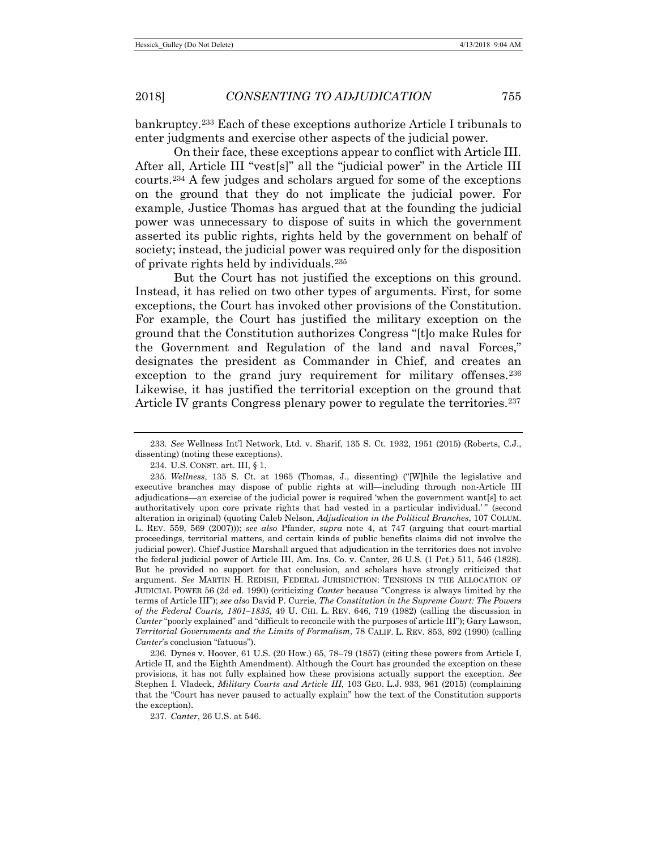bankruptcy.[233](#page-40-0) Each of these exceptions authorize Article I tribunals to enter judgments and exercise other aspects of the judicial power.

On their face, these exceptions appear to conflict with Article III. After all, Article III "vest[s]" all the "judicial power" in the Article III courts.[234](#page-40-1) A few judges and scholars argued for some of the exceptions on the ground that they do not implicate the judicial power. For example, Justice Thomas has argued that at the founding the judicial power was unnecessary to dispose of suits in which the government asserted its public rights, rights held by the government on behalf of society; instead, the judicial power was required only for the disposition of private rights held by individuals.[235](#page-40-2)

<span id="page-40-5"></span>But the Court has not justified the exceptions on this ground. Instead, it has relied on two other types of arguments. First, for some exceptions, the Court has invoked other provisions of the Constitution. For example, the Court has justified the military exception on the ground that the Constitution authorizes Congress "[t]o make Rules for the Government and Regulation of the land and naval Forces," designates the president as Commander in Chief, and creates an exception to the grand jury requirement for military offenses.<sup>[236](#page-40-3)</sup> Likewise, it has justified the territorial exception on the ground that Article IV grants Congress plenary power to regulate the territories.<sup>[237](#page-40-4)</sup>

<span id="page-40-4"></span><span id="page-40-3"></span>236. Dynes v. Hoover, 61 U.S. (20 How.) 65, 78–79 (1857) (citing these powers from Article I, Article II, and the Eighth Amendment). Although the Court has grounded the exception on these provisions, it has not fully explained how these provisions actually support the exception. *See* Stephen I. Vladeck, *Military Courts and Article III*, 103 GEO. L.J. 933, 961 (2015) (complaining that the "Court has never paused to actually explain" how the text of the Constitution supports the exception).

237*. Canter*, 26 U.S. at 546.

<span id="page-40-0"></span><sup>233</sup>*. See* Wellness Int'l Network, Ltd. v. Sharif, 135 S. Ct. 1932, 1951 (2015) (Roberts, C.J., dissenting) (noting these exceptions).

<span id="page-40-6"></span><sup>234.</sup> U.S. CONST. art. III, § 1.

<span id="page-40-2"></span><span id="page-40-1"></span><sup>235</sup>*. Wellness*, 135 S. Ct. at 1965 (Thomas, J., dissenting) ("[W]hile the legislative and executive branches may dispose of public rights at will—including through non-Article III adjudications—an exercise of the judicial power is required 'when the government want[s] to act authoritatively upon core private rights that had vested in a particular individual.'" (second alteration in original) (quoting Caleb Nelson, *Adjudication in the Political Branches*, 107 COLUM. L. REV. 559, 569 (2007))); *see also* Pfander, *supra* note [4,](#page-2-0) at 747 (arguing that court-martial proceedings, territorial matters, and certain kinds of public benefits claims did not involve the judicial power). Chief Justice Marshall argued that adjudication in the territories does not involve the federal judicial power of Article III. Am. Ins. Co. v. Canter, 26 U.S. (1 Pet.) 511, 546 (1828). But he provided no support for that conclusion, and scholars have strongly criticized that argument. *See* MARTIN H. REDISH, FEDERAL JURISDICTION: TENSIONS IN THE ALLOCATION OF JUDICIAL POWER 56 (2d ed. 1990) (criticizing *Canter* because "Congress is always limited by the terms of Article III"); *see also* David P. Currie, *The Constitution in the Supreme Court: The Powers of the Federal Courts, 1801–1835*, 49 U. CHI. L. REV. 646, 719 (1982) (calling the discussion in *Canter* "poorly explained" and "difficult to reconcile with the purposes of article III"); Gary Lawson, *Territorial Governments and the Limits of Formalism*, 78 CALIF. L. REV. 853, 892 (1990) (calling *Canter*'s conclusion "fatuous").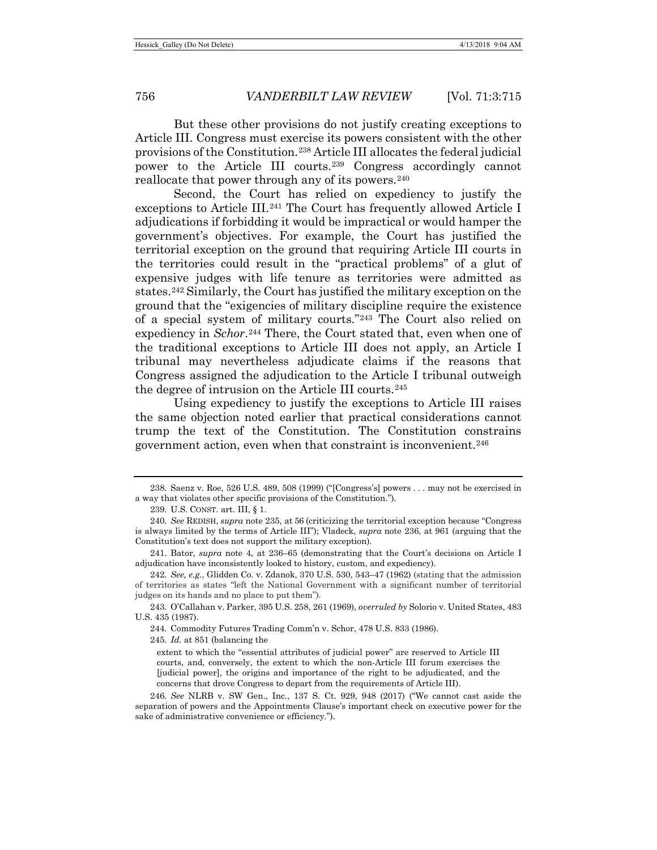But these other provisions do not justify creating exceptions to Article III. Congress must exercise its powers consistent with the other provisions of the Constitution.[238](#page-41-0) Article III allocates the federal judicial power to the Article III courts.[239](#page-41-1) Congress accordingly cannot reallocate that power through any of its powers.<sup>[240](#page-41-2)</sup>

Second, the Court has relied on expediency to justify the exceptions to Article III.[241](#page-41-3) The Court has frequently allowed Article I adjudications if forbidding it would be impractical or would hamper the government's objectives. For example, the Court has justified the territorial exception on the ground that requiring Article III courts in the territories could result in the "practical problems" of a glut of expensive judges with life tenure as territories were admitted as states.[242](#page-41-4) Similarly, the Court has justified the military exception on the ground that the "exigencies of military discipline require the existence of a special system of military courts."[243](#page-41-5) The Court also relied on expediency in *Schor*.<sup>[244](#page-41-6)</sup> There, the Court stated that, even when one of the traditional exceptions to Article III does not apply, an Article I tribunal may nevertheless adjudicate claims if the reasons that Congress assigned the adjudication to the Article I tribunal outweigh the degree of intrusion on the Article III courts.[245](#page-41-7)

Using expediency to justify the exceptions to Article III raises the same objection noted earlier that practical considerations cannot trump the text of the Constitution. The Constitution constrains government action, even when that constraint is inconvenient.<sup>[246](#page-41-8)</sup>

<span id="page-41-7"></span><span id="page-41-6"></span><span id="page-41-5"></span>243. O'Callahan v. Parker, 395 U.S. 258, 261 (1969), *overruled by* Solorio v. United States, 483 U.S. 435 (1987).

244. Commodity Futures Trading Comm'n v. Schor, 478 U.S. 833 (1986).

245*. Id.* at 851 (balancing the

<span id="page-41-0"></span><sup>238.</sup> Saenz v. Roe, 526 U.S. 489, 508 (1999) ("[Congress's] powers . . . may not be exercised in a way that violates other specific provisions of the Constitution.").

<sup>239.</sup> U.S. CONST. art. III, § 1.

<span id="page-41-2"></span><span id="page-41-1"></span><sup>240</sup>*. See* REDISH, *supra* note [235,](#page-40-5) at 56 (criticizing the territorial exception because "Congress is always limited by the terms of Article III"); Vladeck, *supra* note [236,](#page-40-6) at 961 (arguing that the Constitution's text does not support the military exception).

<span id="page-41-3"></span><sup>241.</sup> Bator, *supra* note [4,](#page-2-0) at 236–65 (demonstrating that the Court's decisions on Article I adjudication have inconsistently looked to history, custom, and expediency).

<span id="page-41-4"></span><sup>242</sup>*. See, e.g.*, Glidden Co. v. Zdanok, 370 U.S. 530, 543–47 (1962) (stating that the admission of territories as states "left the National Government with a significant number of territorial judges on its hands and no place to put them").

extent to which the "essential attributes of judicial power" are reserved to Article III courts, and, conversely, the extent to which the non-Article III forum exercises the [judicial power], the origins and importance of the right to be adjudicated, and the concerns that drove Congress to depart from the requirements of Article III).

<span id="page-41-8"></span><sup>246</sup>*. See* NLRB v. SW Gen., Inc., 137 S. Ct. 929, 948 (2017) ("We cannot cast aside the separation of powers and the Appointments Clause's important check on executive power for the sake of administrative convenience or efficiency.").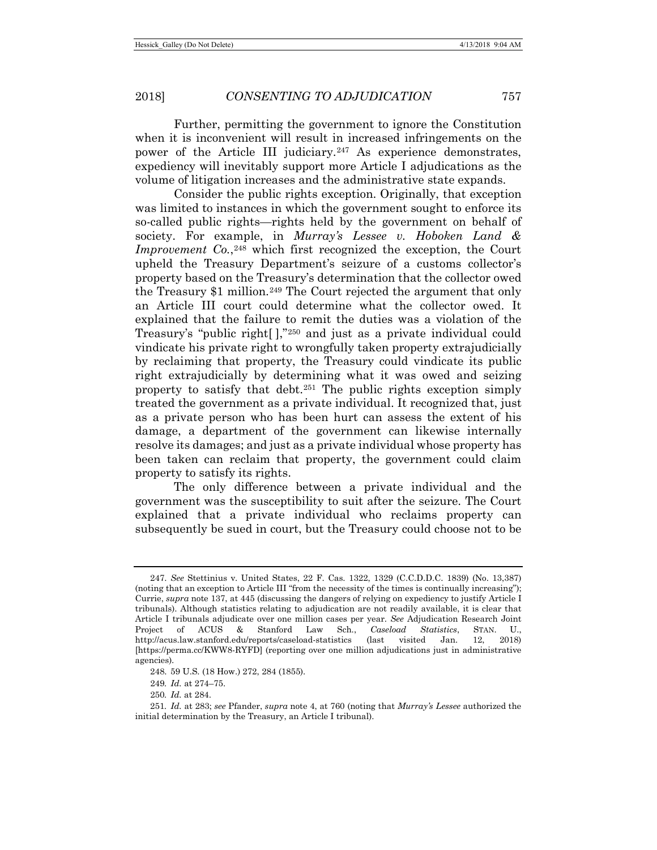Further, permitting the government to ignore the Constitution when it is inconvenient will result in increased infringements on the power of the Article III judiciary.[247](#page-42-0) As experience demonstrates, expediency will inevitably support more Article I adjudications as the volume of litigation increases and the administrative state expands.

Consider the public rights exception. Originally, that exception was limited to instances in which the government sought to enforce its so-called public rights—rights held by the government on behalf of society. For example, in *Murray's Lessee v. Hoboken Land & Improvement Co.*,<sup>[248](#page-42-1)</sup> which first recognized the exception, the Court upheld the Treasury Department's seizure of a customs collector's property based on the Treasury's determination that the collector owed the Treasury \$1 million.[249](#page-42-2) The Court rejected the argument that only an Article III court could determine what the collector owed. It explained that the failure to remit the duties was a violation of the Treasury's "public right[ ],"[250](#page-42-3) and just as a private individual could vindicate his private right to wrongfully taken property extrajudicially by reclaiming that property, the Treasury could vindicate its public right extrajudicially by determining what it was owed and seizing property to satisfy that debt.[251](#page-42-4) The public rights exception simply treated the government as a private individual. It recognized that, just as a private person who has been hurt can assess the extent of his damage, a department of the government can likewise internally resolve its damages; and just as a private individual whose property has been taken can reclaim that property, the government could claim property to satisfy its rights.

The only difference between a private individual and the government was the susceptibility to suit after the seizure. The Court explained that a private individual who reclaims property can subsequently be sued in court, but the Treasury could choose not to be

<span id="page-42-0"></span><sup>247.</sup> *See* Stettinius v. United States, 22 F. Cas. 1322, 1329 (C.C.D.D.C. 1839) (No. 13,387) (noting that an exception to Article III "from the necessity of the times is continually increasing"); Currie, *supra* not[e 137,](#page-23-6) at 445 (discussing the dangers of relying on expediency to justify Article I tribunals). Although statistics relating to adjudication are not readily available, it is clear that Article I tribunals adjudicate over one million cases per year. *See* Adjudication Research Joint Project of ACUS & Stanford Law Sch., *Caseload Statistics*, STAN. U., http://acus.law.stanford.edu/reports/caseload-statistics (last visited Jan. 12, 2018) [https://perma.cc/KWW8-RYFD] (reporting over one million adjudications just in administrative agencies).

<sup>248.</sup> 59 U.S. (18 How.) 272, 284 (1855).

<sup>249</sup>*. Id.* at 274–75.

<sup>250</sup>*. Id.* at 284.

<span id="page-42-4"></span><span id="page-42-3"></span><span id="page-42-2"></span><span id="page-42-1"></span><sup>251</sup>*. Id.* at 283; *see* Pfander, *supra* note [4,](#page-2-0) at 760 (noting that *Murray's Lessee* authorized the initial determination by the Treasury, an Article I tribunal).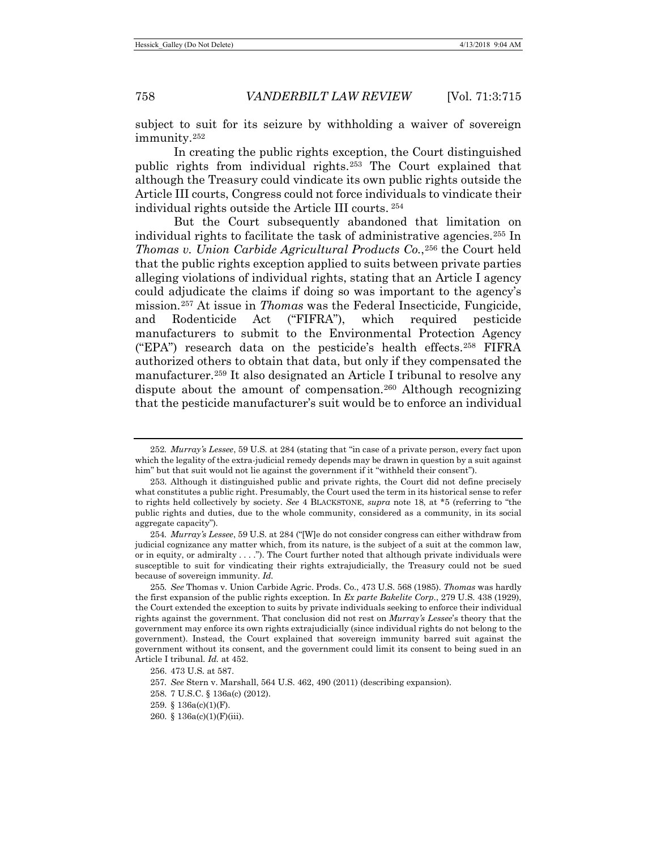subject to suit for its seizure by withholding a waiver of sovereign immunity.[252](#page-43-0)

In creating the public rights exception, the Court distinguished public rights from individual rights.[253](#page-43-1) The Court explained that although the Treasury could vindicate its own public rights outside the Article III courts, Congress could not force individuals to vindicate their individual rights outside the Article III courts. [254](#page-43-2)

<span id="page-43-9"></span>But the Court subsequently abandoned that limitation on individual rights to facilitate the task of administrative agencies.<sup>[255](#page-43-3)</sup> In *Thomas v. Union Carbide Agricultural Products Co.*,[256](#page-43-4) the Court held that the public rights exception applied to suits between private parties alleging violations of individual rights, stating that an Article I agency could adjudicate the claims if doing so was important to the agency's mission.[257](#page-43-5) At issue in *Thomas* was the Federal Insecticide, Fungicide, and Rodenticide Act ("FIFRA"), which required pesticide manufacturers to submit to the Environmental Protection Agency ("EPA") research data on the pesticide's health effects.[258](#page-43-6) FIFRA authorized others to obtain that data, but only if they compensated the manufacturer.[259](#page-43-7) It also designated an Article I tribunal to resolve any dispute about the amount of compensation.[260](#page-43-8) Although recognizing that the pesticide manufacturer's suit would be to enforce an individual

<span id="page-43-0"></span><sup>252</sup>*. Murray's Lessee*, 59 U.S. at 284 (stating that "in case of a private person, every fact upon which the legality of the extra-judicial remedy depends may be drawn in question by a suit against him" but that suit would not lie against the government if it "withheld their consent").

<span id="page-43-1"></span><sup>253.</sup> Although it distinguished public and private rights, the Court did not define precisely what constitutes a public right. Presumably, the Court used the term in its historical sense to refer to rights held collectively by society. *See* 4 BLACKSTONE, *supra* note [18,](#page-5-0) at \*5 (referring to "the public rights and duties, due to the whole community, considered as a community, in its social aggregate capacity").

<span id="page-43-2"></span><sup>254</sup>*. Murray's Lessee*, 59 U.S. at 284 ("[W]e do not consider congress can either withdraw from judicial cognizance any matter which, from its nature, is the subject of a suit at the common law, or in equity, or admiralty . . . ."). The Court further noted that although private individuals were susceptible to suit for vindicating their rights extrajudicially, the Treasury could not be sued because of sovereign immunity. *Id.*

<span id="page-43-3"></span><sup>255</sup>*. See* Thomas v. Union Carbide Agric. Prods. Co., 473 U.S. 568 (1985). *Thomas* was hardly the first expansion of the public rights exception. In *Ex parte Bakelite Corp*., 279 U.S. 438 (1929), the Court extended the exception to suits by private individuals seeking to enforce their individual rights against the government. That conclusion did not rest on *Murray's Lessee*'s theory that the government may enforce its own rights extrajudicially (since individual rights do not belong to the government). Instead, the Court explained that sovereign immunity barred suit against the government without its consent, and the government could limit its consent to being sued in an Article I tribunal. *Id.* at 452.

<span id="page-43-4"></span><sup>256.</sup> 473 U.S. at 587.

<span id="page-43-5"></span><sup>257</sup>*. See* Stern v. Marshall, 564 U.S. 462, 490 (2011) (describing expansion).

<span id="page-43-6"></span><sup>258.</sup> 7 U.S.C. § 136a(c) (2012).

<span id="page-43-7"></span><sup>259.</sup> § 136a(c)(1)(F).

<span id="page-43-8"></span><sup>260.</sup> § 136a(c)(1)(F)(iii).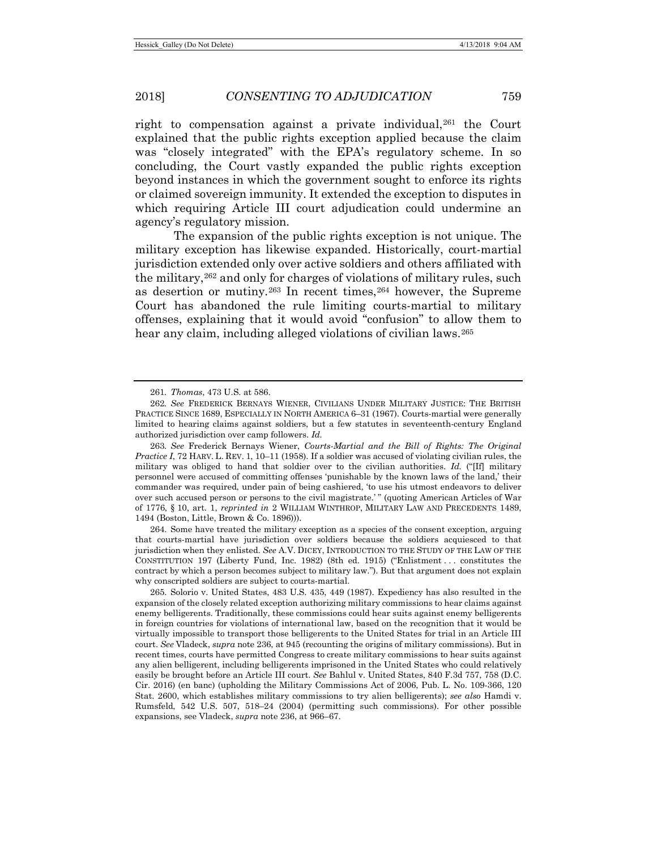<span id="page-44-5"></span>right to compensation against a private individual,  $261$  the Court explained that the public rights exception applied because the claim was "closely integrated" with the EPA's regulatory scheme. In so concluding, the Court vastly expanded the public rights exception beyond instances in which the government sought to enforce its rights or claimed sovereign immunity. It extended the exception to disputes in which requiring Article III court adjudication could undermine an agency's regulatory mission.

The expansion of the public rights exception is not unique. The military exception has likewise expanded. Historically, court-martial jurisdiction extended only over active soldiers and others affiliated with the military,[262](#page-44-1) and only for charges of violations of military rules, such as desertion or mutiny.[263](#page-44-2) In recent times,[264](#page-44-3) however, the Supreme Court has abandoned the rule limiting courts-martial to military offenses, explaining that it would avoid "confusion" to allow them to hear any claim, including alleged violations of civilian laws.<sup>[265](#page-44-4)</sup>

<span id="page-44-2"></span>263*. See* Frederick Bernays Wiener, *Courts-Martial and the Bill of Rights: The Original Practice I*, 72 HARV. L. REV. 1, 10–11 (1958). If a soldier was accused of violating civilian rules, the military was obliged to hand that soldier over to the civilian authorities. *Id.* ("[If] military personnel were accused of committing offenses 'punishable by the known laws of the land,' their commander was required, under pain of being cashiered, 'to use his utmost endeavors to deliver over such accused person or persons to the civil magistrate.' " (quoting American Articles of War of 1776, § 10, art. 1, *reprinted in* 2 WILLIAM WINTHROP, MILITARY LAW AND PRECEDENTS 1489, 1494 (Boston, Little, Brown & Co. 1896))).

<span id="page-44-3"></span>264. Some have treated the military exception as a species of the consent exception, arguing that courts-martial have jurisdiction over soldiers because the soldiers acquiesced to that jurisdiction when they enlisted. *See* A.V. DICEY, INTRODUCTION TO THE STUDY OF THE LAW OF THE CONSTITUTION 197 (Liberty Fund, Inc. 1982) (8th ed. 1915) ("Enlistment . . . constitutes the contract by which a person becomes subject to military law."). But that argument does not explain why conscripted soldiers are subject to courts-martial.

<span id="page-44-4"></span>265. Solorio v. United States, 483 U.S. 435, 449 (1987). Expediency has also resulted in the expansion of the closely related exception authorizing military commissions to hear claims against enemy belligerents. Traditionally, these commissions could hear suits against enemy belligerents in foreign countries for violations of international law, based on the recognition that it would be virtually impossible to transport those belligerents to the United States for trial in an Article III court. *See* Vladeck, *supra* not[e 236,](#page-40-6) at 945 (recounting the origins of military commissions). But in recent times, courts have permitted Congress to create military commissions to hear suits against any alien belligerent, including belligerents imprisoned in the United States who could relatively easily be brought before an Article III court. *See* Bahlul v. United States, 840 F.3d 757, 758 (D.C. Cir. 2016) (en banc) (upholding the Military Commissions Act of 2006, Pub. L. No. 109-366, 120 Stat. 2600, which establishes military commissions to try alien belligerents); *see also* Hamdi v. Rumsfeld, 542 U.S. 507, 518–24 (2004) (permitting such commissions). For other possible expansions, see Vladeck, *supra* not[e 236,](#page-40-6) at 966–67.

<sup>261</sup>*. Thomas*, 473 U.S. at 586.

<span id="page-44-1"></span><span id="page-44-0"></span><sup>262</sup>*. See* FREDERICK BERNAYS WIENER, CIVILIANS UNDER MILITARY JUSTICE: THE BRITISH PRACTICE SINCE 1689, ESPECIALLY IN NORTH AMERICA 6–31 (1967). Courts-martial were generally limited to hearing claims against soldiers, but a few statutes in seventeenth-century England authorized jurisdiction over camp followers. *Id.*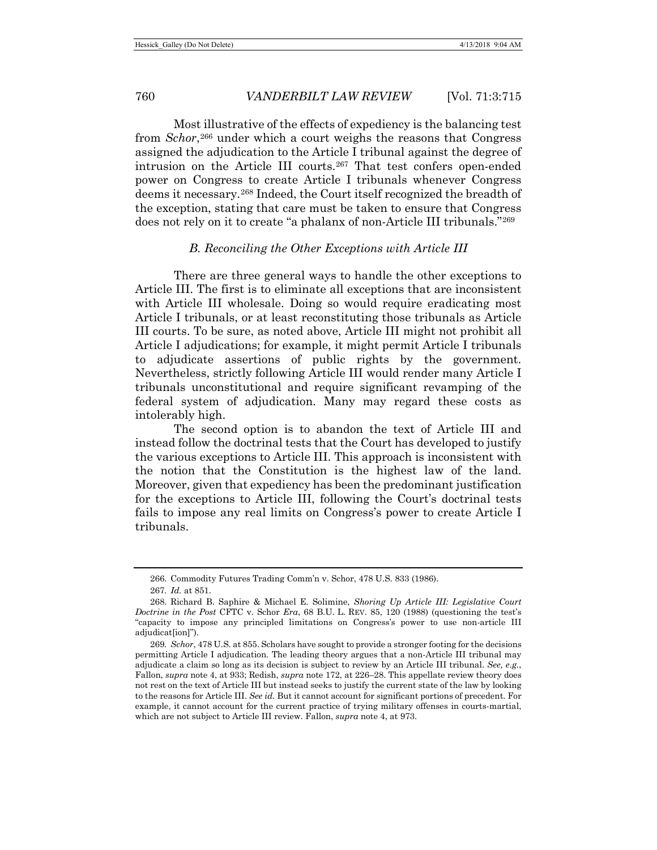Most illustrative of the effects of expediency is the balancing test from *Schor*,[266](#page-45-0) under which a court weighs the reasons that Congress assigned the adjudication to the Article I tribunal against the degree of intrusion on the Article III courts.<sup>[267](#page-45-1)</sup> That test confers open-ended power on Congress to create Article I tribunals whenever Congress deems it necessary.[268](#page-45-2) Indeed, the Court itself recognized the breadth of the exception, stating that care must be taken to ensure that Congress does not rely on it to create "a phalanx of non-Article III tribunals."[269](#page-45-3)

# *B. Reconciling the Other Exceptions with Article III*

There are three general ways to handle the other exceptions to Article III. The first is to eliminate all exceptions that are inconsistent with Article III wholesale. Doing so would require eradicating most Article I tribunals, or at least reconstituting those tribunals as Article III courts. To be sure, as noted above, Article III might not prohibit all Article I adjudications; for example, it might permit Article I tribunals to adjudicate assertions of public rights by the government. Nevertheless, strictly following Article III would render many Article I tribunals unconstitutional and require significant revamping of the federal system of adjudication. Many may regard these costs as intolerably high.

The second option is to abandon the text of Article III and instead follow the doctrinal tests that the Court has developed to justify the various exceptions to Article III. This approach is inconsistent with the notion that the Constitution is the highest law of the land. Moreover, given that expediency has been the predominant justification for the exceptions to Article III, following the Court's doctrinal tests fails to impose any real limits on Congress's power to create Article I tribunals.

<sup>266.</sup> Commodity Futures Trading Comm'n v. Schor, 478 U.S. 833 (1986).

<sup>267</sup>*. Id.* at 851.

<span id="page-45-2"></span><span id="page-45-1"></span><span id="page-45-0"></span><sup>268.</sup> Richard B. Saphire & Michael E. Solimine, *Shoring Up Article III: Legislative Court Doctrine in the Post* CFTC v. Schor *Era*, 68 B.U. L. REV. 85, 120 (1988) (questioning the test's "capacity to impose any principled limitations on Congress's power to use non-article III adjudicat[ion]").

<span id="page-45-3"></span><sup>269</sup>*. Schor*, 478 U.S. at 855. Scholars have sought to provide a stronger footing for the decisions permitting Article I adjudication. The leading theory argues that a non-Article III tribunal may adjudicate a claim so long as its decision is subject to review by an Article III tribunal. *See, e.g.*, Fallon, *supra* not[e 4,](#page-2-0) at 933; Redish, *supra* not[e 172,](#page-28-0) at 226–28. This appellate review theory does not rest on the text of Article III but instead seeks to justify the current state of the law by looking to the reasons for Article III. *See id.* But it cannot account for significant portions of precedent. For example, it cannot account for the current practice of trying military offenses in courts-martial, which are not subject to Article III review. Fallon, *supra* not[e 4,](#page-2-0) at 973.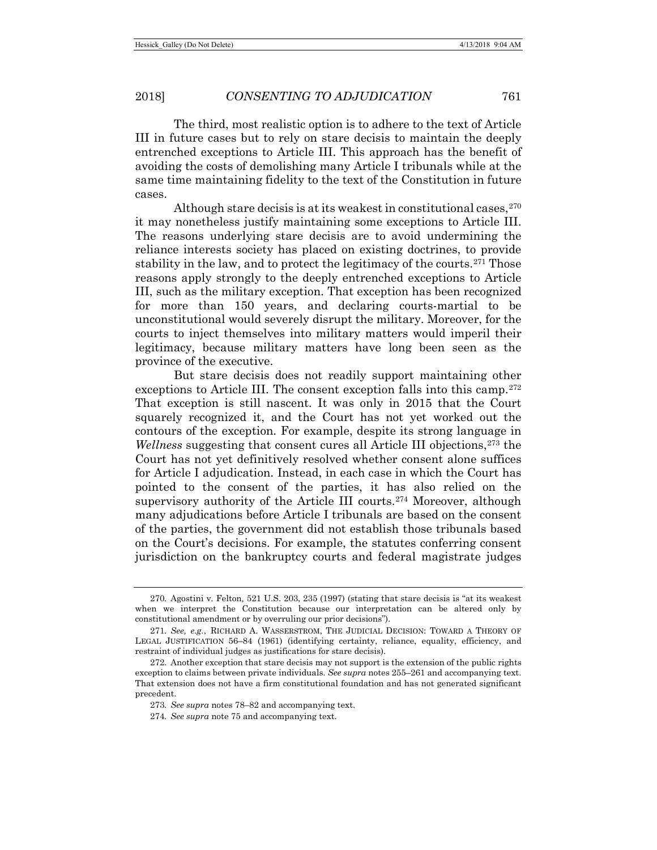2018] *CONSENTING TO ADJUDICATION* 761

The third, most realistic option is to adhere to the text of Article III in future cases but to rely on stare decisis to maintain the deeply entrenched exceptions to Article III. This approach has the benefit of avoiding the costs of demolishing many Article I tribunals while at the same time maintaining fidelity to the text of the Constitution in future cases.

Although stare decisis is at its weakest in constitutional cases,  $270$ it may nonetheless justify maintaining some exceptions to Article III. The reasons underlying stare decisis are to avoid undermining the reliance interests society has placed on existing doctrines, to provide stability in the law, and to protect the legitimacy of the courts.<sup>[271](#page-46-1)</sup> Those reasons apply strongly to the deeply entrenched exceptions to Article III, such as the military exception. That exception has been recognized for more than 150 years, and declaring courts-martial to be unconstitutional would severely disrupt the military. Moreover, for the courts to inject themselves into military matters would imperil their legitimacy, because military matters have long been seen as the province of the executive.

But stare decisis does not readily support maintaining other exceptions to Article III. The consent exception falls into this camp.[272](#page-46-2) That exception is still nascent. It was only in 2015 that the Court squarely recognized it, and the Court has not yet worked out the contours of the exception. For example, despite its strong language in *Wellness* suggesting that consent cures all Article III objections.<sup>[273](#page-46-3)</sup> the Court has not yet definitively resolved whether consent alone suffices for Article I adjudication. Instead, in each case in which the Court has pointed to the consent of the parties, it has also relied on the supervisory authority of the Article III courts.[274](#page-46-4) Moreover, although many adjudications before Article I tribunals are based on the consent of the parties, the government did not establish those tribunals based on the Court's decisions. For example, the statutes conferring consent jurisdiction on the bankruptcy courts and federal magistrate judges

<span id="page-46-0"></span><sup>270</sup>*.* Agostini v. Felton*,* 521 U.S. 203, 235 (1997) (stating that stare decisis is "at its weakest when we interpret the Constitution because our interpretation can be altered only by constitutional amendment or by overruling our prior decisions").

<span id="page-46-1"></span><sup>271</sup>*. See, e.g.*, RICHARD A. WASSERSTROM, THE JUDICIAL DECISION: TOWARD A THEORY OF LEGAL JUSTIFICATION 56–84 (1961) (identifying certainty, reliance, equality, efficiency, and restraint of individual judges as justifications for stare decisis).

<span id="page-46-4"></span><span id="page-46-3"></span><span id="page-46-2"></span><sup>272.</sup> Another exception that stare decisis may not support is the extension of the public rights exception to claims between private individuals. *See supra* note[s 255–](#page-43-9)[261](#page-44-5) and accompanying text. That extension does not have a firm constitutional foundation and has not generated significant precedent.

<sup>273</sup>*. See supra* notes [78](#page-14-0)[–82](#page-14-1) and accompanying text.

<sup>274</sup>*. See supra* not[e 75](#page-14-10) and accompanying text.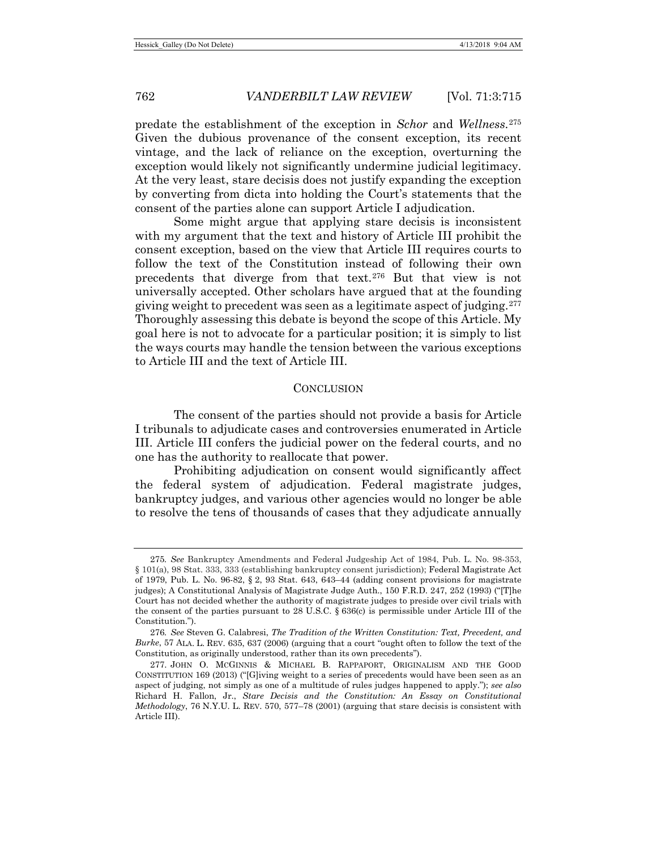predate the establishment of the exception in *Schor* and *Wellness*.[275](#page-47-0) Given the dubious provenance of the consent exception, its recent vintage, and the lack of reliance on the exception, overturning the exception would likely not significantly undermine judicial legitimacy. At the very least, stare decisis does not justify expanding the exception by converting from dicta into holding the Court's statements that the consent of the parties alone can support Article I adjudication.

Some might argue that applying stare decisis is inconsistent with my argument that the text and history of Article III prohibit the consent exception, based on the view that Article III requires courts to follow the text of the Constitution instead of following their own precedents that diverge from that text.[276](#page-47-1) But that view is not universally accepted. Other scholars have argued that at the founding giving weight to precedent was seen as a legitimate aspect of judging.[277](#page-47-2) Thoroughly assessing this debate is beyond the scope of this Article. My goal here is not to advocate for a particular position; it is simply to list the ways courts may handle the tension between the various exceptions to Article III and the text of Article III.

#### **CONCLUSION**

The consent of the parties should not provide a basis for Article I tribunals to adjudicate cases and controversies enumerated in Article III. Article III confers the judicial power on the federal courts, and no one has the authority to reallocate that power.

Prohibiting adjudication on consent would significantly affect the federal system of adjudication. Federal magistrate judges, bankruptcy judges, and various other agencies would no longer be able to resolve the tens of thousands of cases that they adjudicate annually

<span id="page-47-0"></span><sup>275</sup>*. See* Bankruptcy Amendments and Federal Judgeship Act of 1984, Pub. L. No. 98-353, § 101(a), 98 Stat. 333, 333 (establishing bankruptcy consent jurisdiction); Federal Magistrate Act of 1979, Pub. L. No. 96-82, § 2, 93 Stat. 643, 643–44 (adding consent provisions for magistrate judges); A Constitutional Analysis of Magistrate Judge Auth., 150 F.R.D. 247, 252 (1993) ("[T]he Court has not decided whether the authority of magistrate judges to preside over civil trials with the consent of the parties pursuant to 28 U.S.C. § 636(c) is permissible under Article III of the Constitution.").

<span id="page-47-1"></span><sup>276</sup>*. See* Steven G. Calabresi, *The Tradition of the Written Constitution: Text, Precedent, and Burke*, 57 ALA. L. REV. 635, 637 (2006) (arguing that a court "ought often to follow the text of the Constitution, as originally understood, rather than its own precedents").

<span id="page-47-2"></span><sup>277.</sup> JOHN O. MCGINNIS & MICHAEL B. RAPPAPORT, ORIGINALISM AND THE GOOD CONSTITUTION 169 (2013) ("[G]iving weight to a series of precedents would have been seen as an aspect of judging, not simply as one of a multitude of rules judges happened to apply."); *see also* Richard H. Fallon, Jr., *Stare Decisis and the Constitution: An Essay on Constitutional Methodology*, 76 N.Y.U. L. REV. 570, 577–78 (2001) (arguing that stare decisis is consistent with Article III).